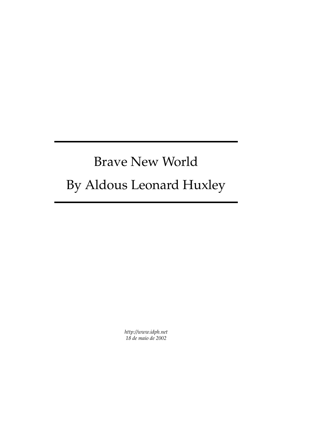# Brave New World By Aldous Leonard Huxley

*http://www.idph.net 18 de maio de 2002*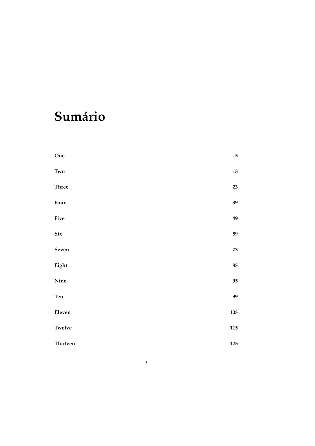## **Sumário**

| One              | 5   |
|------------------|-----|
| Two              | 15  |
| <b>Three</b>     | 23  |
| Four             | 39  |
| Five             | 49  |
| Six              | 59  |
| Seven            | 73  |
| Eight            | 83  |
| Nine             | 95  |
| $\mbox{\bf Ten}$ | 99  |
| Eleven           | 103 |
| <b>Twelve</b>    | 115 |
| Thirteen         | 125 |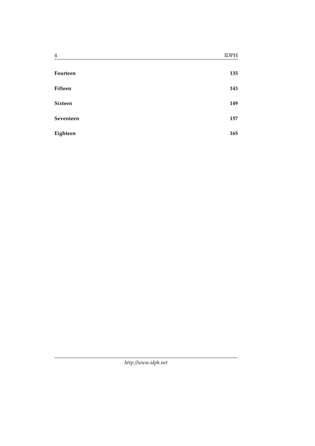| $\overline{4}$ | <b>IDPH</b> |
|----------------|-------------|
|                |             |
| Fourteen       | 135         |
| Fifteen        | 143         |
|                |             |
| <b>Sixteen</b> | 149         |
| Seventeen      | 157         |
|                |             |
| Eighteen       | 165         |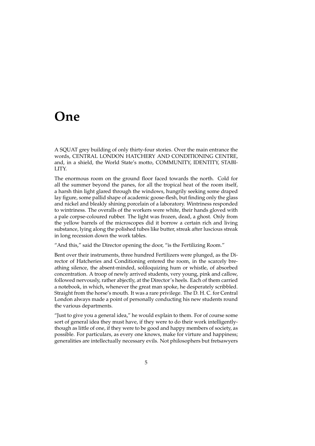### **One**

A SQUAT grey building of only thirty-four stories. Over the main entrance the words, CENTRAL LONDON HATCHERY AND CONDITIONING CENTRE, and, in a shield, the World State's motto, COMMUNITY, IDENTITY, STABI-LITY.

The enormous room on the ground floor faced towards the north. Cold for all the summer beyond the panes, for all the tropical heat of the room itself, a harsh thin light glared through the windows, hungrily seeking some draped lay figure, some pallid shape of academic goose-flesh, but finding only the glass and nickel and bleakly shining porcelain of a laboratory. Wintriness responded to wintriness. The overalls of the workers were white, their hands gloved with a pale corpse-coloured rubber. The light was frozen, dead, a ghost. Only from the yellow barrels of the microscopes did it borrow a certain rich and living substance, lying along the polished tubes like butter, streak after luscious streak in long recession down the work tables.

"And this," said the Director opening the door, "is the Fertilizing Room."

Bent over their instruments, three hundred Fertilizers were plunged, as the Director of Hatcheries and Conditioning entered the room, in the scarcely breathing silence, the absent-minded, soliloquizing hum or whistle, of absorbed concentration. A troop of newly arrived students, very young, pink and callow, followed nervously, rather abjectly, at the Director's heels. Each of them carried a notebook, in which, whenever the great man spoke, he desperately scribbled. Straight from the horse's mouth. It was a rare privilege. The D. H. C. for Central London always made a point of personally conducting his new students round the various departments.

"Just to give you a general idea," he would explain to them. For of course some sort of general idea they must have, if they were to do their work intelligentlythough as little of one, if they were to be good and happy members of society, as possible. For particulars, as every one knows, make for virture and happiness; generalities are intellectually necessary evils. Not philosophers but fretsawyers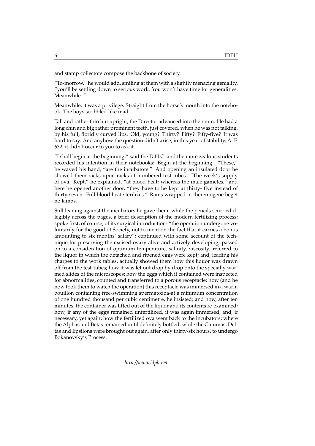and stamp collectors compose the backbone of society.

"To-morrow," he would add, smiling at them with a slightly menacing geniality, "you'll be settling down to serious work. You won't have time for generalities. Meanwhile ."

Meanwhile, it was a privilege. Straight from the horse's mouth into the notebook. The boys scribbled like mad.

Tall and rather thin but upright, the Director advanced into the room. He had a long chin and big rather prominent teeth, just covered, when he was not talking, by his full, floridly curved lips. Old, young? Thirty? Fifty? Fifty-five? It was hard to say. And anyhow the question didn't arise; in this year of stability, A. F. 632, it didn't occur to you to ask it.

"I shall begin at the beginning," said the D.H.C. and the more zealous students recorded his intention in their notebooks: Begin at the beginning. "These," he waved his hand, "are the incubators." And opening an insulated door he showed them racks upon racks of numbered test-tubes. "The week's supply of ova. Kept," he explained, "at blood heat; whereas the male gametes," and here he opened another door, "they have to be kept at thirty- five instead of thirty-seven. Full blood heat sterilizes." Rams wrapped in theremogene beget no lambs.

Still leaning against the incubators he gave them, while the pencils scurried illegibly across the pages, a brief description of the modern fertilizing process; spoke first, of course, of its surgical introduction- "the operation undergone voluntarily for the good of Society, not to mention the fact that it carries a bonus amounting to six months' salary"; continued with some account of the technique for preserving the excised ovary alive and actively developing; passed on to a consideration of optimum temperature, salinity, viscosity; referred to the liquor in which the detached and ripened eggs were kept; and, leading his charges to the work tables, actually showed them how this liquor was drawn off from the test-tubes; how it was let out drop by drop onto the specially warmed slides of the microscopes; how the eggs which it contained were inspected for abnormalities, counted and transferred to a porous receptacle; how (and he now took them to watch the operation) this receptacle was immersed in a warm bouillon containing free-swimming spermatozoa-at a minimum concentration of one hundred thousand per cubic centimetre, he insisted; and how, after ten minutes, the container was lifted out of the liquor and its contents re-examined; how, if any of the eggs remained unfertilized, it was again immersed, and, if necessary, yet again; how the fertilized ova went back to the incubators; where the Alphas and Betas remained until definitely bottled; while the Gammas, Deltas and Epsilons were brought out again, after only thirty-six hours, to undergo Bokanovsky's Process.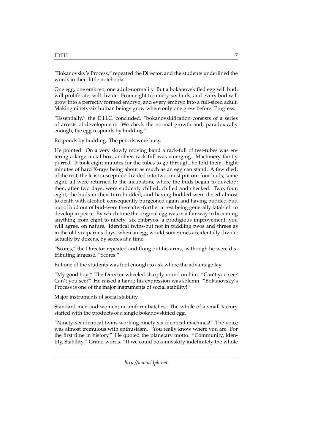"Bokanovsky's Process," repeated the Director, and the students underlined the words in their little notebooks.

One egg, one embryo, one adult-normality. But a bokanovskified egg will bud, will proliferate, will divide. From eight to ninety-six buds, and every bud will grow into a perfectly formed embryo, and every embryo into a full-sized adult. Making ninety-six human beings grow where only one grew before. Progress.

"Essentially," the D.H.C. concluded, "bokanovskification consists of a series of arrests of development. We check the normal growth and, paradoxically enough, the egg responds by budding."

Responds by budding. The pencils were busy.

He pointed. On a very slowly moving band a rack-full of test-tubes was entering a large metal box, another, rack-full was emerging. Machinery faintly purred. It took eight minutes for the tubes to go through, he told them. Eight minutes of hard X-rays being about as much as an egg can stand. A few died; of the rest, the least susceptible divided into two; most put out four buds; some eight; all were returned to the incubators, where the buds began to develop; then, after two days, were suddenly chilled, chilled and checked. Two, four, eight, the buds in their turn budded; and having budded were dosed almost to death with alcohol; consequently burgeoned again and having budded-bud out of bud out of bud-were thereafter-further arrest being generally fatal-left to develop in peace. By which time the original egg was in a fair way to becoming anything from eight to ninety- six embryos- a prodigious improvement, you will agree, on nature. Identical twins-but not in piddling twos and threes as in the old viviparous days, when an egg would sometimes accidentally divide; actually by dozens, by scores at a time.

"Scores," the Director repeated and flung out his arms, as though he were distributing largesse. "Scores."

But one of the students was fool enough to ask where the advantage lay.

"My good boy!" The Director wheeled sharply round on him. "Can't you see? Can't you see?" He raised a hand; his expression was solemn. "Bokanovsky's Process is one of the major instruments of social stability!"

Major instruments of social stability.

Standard men and women; in uniform batches. The whole of a small factory staffed with the products of a single bokanovskified egg.

"Ninety-six identical twins working ninety-six identical machines!" The voice was almost tremulous with enthusiasm. "You really know where you are. For the first time in history." He quoted the planetary motto. "Community, Identity, Stability." Grand words. "If we could bokanovskify indefinitely the whole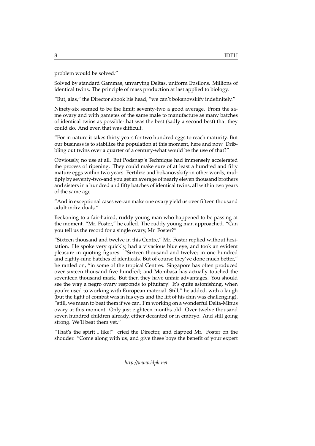problem would be solved."

Solved by standard Gammas, unvarying Deltas, uniform Epsilons. Millions of identical twins. The principle of mass production at last applied to biology.

"But, alas," the Director shook his head, "we can't bokanovskify indefinitely."

Ninety-six seemed to be the limit; seventy-two a good average. From the same ovary and with gametes of the same male to manufacture as many batches of identical twins as possible-that was the best (sadly a second best) that they could do. And even that was difficult.

"For in nature it takes thirty years for two hundred eggs to reach maturity. But our business is to stabilize the population at this moment, here and now. Dribbling out twins over a quarter of a century-what would be the use of that?"

Obviously, no use at all. But Podsnap's Technique had immensely accelerated the process of ripening. They could make sure of at least a hundred and fifty mature eggs within two years. Fertilize and bokanovskify-in other words, multiply by seventy-two-and you get an average of nearly eleven thousand brothers and sisters in a hundred and fifty batches of identical twins, all within two years of the same age.

"And in exceptional cases we can make one ovary yield us over fifteen thousand adult individuals."

Beckoning to a fair-haired, ruddy young man who happened to be passing at the moment. "Mr. Foster," he called. The ruddy young man approached. "Can you tell us the record for a single ovary, Mr. Foster?"

"Sixteen thousand and twelve in this Centre," Mr. Foster replied without hesitation. He spoke very quickly, had a vivacious blue eye, and took an evident pleasure in quoting figures. "Sixteen thousand and twelve; in one hundred and eighty-nine batches of identicals. But of course they've done much better," he rattled on, "in some of the tropical Centres. Singapore has often produced over sixteen thousand five hundred; and Mombasa has actually touched the seventeen thousand mark. But then they have unfair advantages. You should see the way a negro ovary responds to pituitary! It's quite astonishing, when you're used to working with European material. Still," he added, with a laugh (but the light of combat was in his eyes and the lift of his chin was challenging), "still, we mean to beat them if we can. I'm working on a wonderful Delta-Minus ovary at this moment. Only just eighteen months old. Over twelve thousand seven hundred children already, either decanted or in embryo. And still going strong. We'll beat them yet."

"That's the spirit I like!" cried the Director, and clapped Mr. Foster on the shouder. "Come along with us, and give these boys the benefit of your expert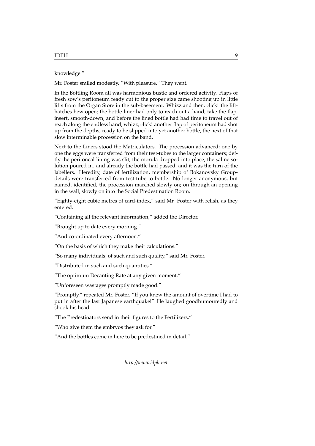knowledge."

Mr. Foster smiled modestly. "With pleasure." They went.

In the Bottling Room all was harmonious bustle and ordered activity. Flaps of fresh sow's peritoneum ready cut to the proper size came shooting up in little lifts from the Organ Store in the sub-basement. Whizz and then, click! the lifthatches hew open; the bottle-liner had only to reach out a hand, take the flap, insert, smooth-down, and before the lined bottle had had time to travel out of reach along the endless band, whizz, click! another flap of peritoneum had shot up from the depths, ready to be slipped into yet another bottle, the next of that slow interminable procession on the band.

Next to the Liners stood the Matriculators. The procession advanced; one by one the eggs were transferred from their test-tubes to the larger containers; deftly the peritoneal lining was slit, the morula dropped into place, the saline solution poured in. and already the bottle had passed, and it was the turn of the labellers. Heredity, date of fertilization, membership of Bokanovsky Groupdetails were transferred from test-tube to bottle. No longer anonymous, but named, identified, the procession marched slowly on; on through an opening in the wall, slowly on into the Social Predestination Room.

"Eighty-eight cubic metres of card-index," said Mr. Foster with relish, as they entered.

"Containing all the relevant information," added the Director.

"Brought up to date every morning."

"And co-ordinated every afternoon."

"On the basis of which they make their calculations."

"So many individuals, of such and such quality," said Mr. Foster.

"Distributed in such and such quantities."

"The optimum Decanting Rate at any given moment."

"Unforeseen wastages promptly made good."

"Promptly," repeated Mr. Foster. "If you knew the amount of overtime I had to put in after the last Japanese earthquake!" He laughed goodhumouredly and shook his head.

"The Predestinators send in their figures to the Fertilizers."

"Who give them the embryos they ask for."

"And the bottles come in here to be predestined in detail."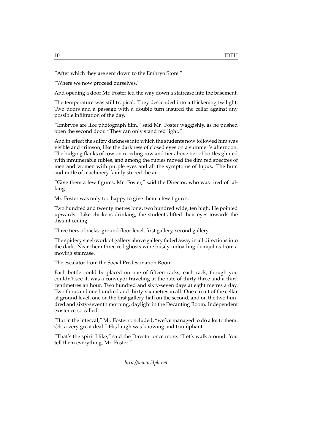"After which they are sent down to the Embryo Store."

"Where we now proceed ourselves."

And opening a door Mr. Foster led the way down a staircase into the basement.

The temperature was still tropical. They descended into a thickening twilight. Two doors and a passage with a double turn insured the cellar against any possible infiltration of the day.

"Embryos are like photograph film," said Mr. Foster waggishly, as he pushed open the second door. "They can only stand red light."

And in effect the sultry darkness into which the students now followed him was visible and crimson, like the darkness of closed eyes on a summer's afternoon. The bulging flanks of row on receding row and tier above tier of bottles glinted with innumerable rubies, and among the rubies moved the dim red spectres of men and women with purple eyes and all the symptoms of lupus. The hum and rattle of machinery faintly stirred the air.

"Give them a few figures, Mr. Foster," said the Director, who was tired of talking.

Mr. Foster was only too happy to give them a few figures.

Two hundred and twenty metres long, two hundred wide, ten high. He pointed upwards. Like chickens drinking, the students lifted their eyes towards the distant ceiling.

Three tiers of racks: ground floor level, first gallery, second gallery.

The spidery steel-work of gallery above gallery faded away in all directions into the dark. Near them three red ghosts were busily unloading demijohns from a moving staircase.

The escalator from the Social Predestination Room.

Each bottle could be placed on one of fifteen racks, each rack, though you couldn't see it, was a conveyor traveling at the rate of thirty-three and a third centimetres an hour. Two hundred and sixty-seven days at eight metres a day. Two thousand one hundred and thirty-six metres in all. One circuit of the cellar at ground level, one on the first gallery, half on the second, and on the two hundred and sixty-seventh morning, daylight in the Decanting Room. Independent existence-so called.

"But in the interval," Mr. Foster concluded, "we've managed to do a lot to them. Oh, a very great deal." His laugh was knowing and triumphant.

"That's the spirit I like," said the Director once more. "Let's walk around. You tell them everything, Mr. Foster."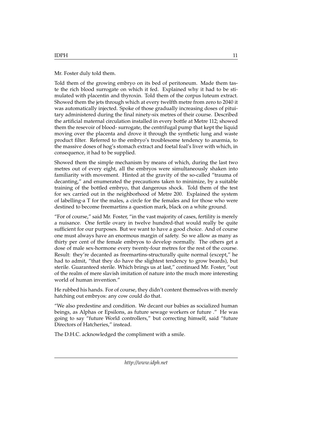#### Mr. Foster duly told them.

Told them of the growing embryo on its bed of peritoneum. Made them taste the rich blood surrogate on which it fed. Explained why it had to be stimulated with placentin and thyroxin. Told them of the corpus luteum extract. Showed them the jets through which at every twelfth metre from zero to 2040 it was automatically injected. Spoke of those gradually increasing doses of pituitary administered during the final ninety-six metres of their course. Described the artificial maternal circulation installed in every bottle at Metre 112; showed them the resevoir of blood- surrogate, the centrifugal pump that kept the liquid moving over the placenta and drove it through the synthetic lung and waste product filter. Referred to the embryo's troublesome tendency to anæmia, to the massive doses of hog's stomach extract and foetal foal's liver with which, in consequence, it had to be supplied.

Showed them the simple mechanism by means of which, during the last two metres out of every eight, all the embryos were simultaneously shaken into familiarity with movement. Hinted at the gravity of the so-called "trauma of decanting," and enumerated the precautions taken to minimize, by a suitable training of the bottled embryo, that dangerous shock. Told them of the test for sex carried out in the neighborhood of Metre 200. Explained the system of labelling-a T for the males, a circle for the females and for those who were destined to become freemartins a question mark, black on a white ground.

"For of course," said Mr. Foster, "in the vast majority of cases, fertility is merely a nuisance. One fertile ovary in twelve hundred-that would really be quite sufficient for our purposes. But we want to have a good choice. And of course one must always have an enormous margin of safety. So we allow as many as thirty per cent of the female embryos to develop normally. The others get a dose of male sex-hormone every twenty-four metres for the rest of the course. Result: they're decanted as freemartins-structurally quite normal (except," he had to admit, "that they do have the slightest tendency to grow beards), but sterile. Guaranteed sterile. Which brings us at last," continued Mr. Foster, "out of the realm of mere slavish imitation of nature into the much more interesting world of human invention."

He rubbed his hands. For of course, they didn't content themselves with merely hatching out embryos: any cow could do that.

"We also predestine and condition. We decant our babies as socialized human beings, as Alphas or Epsilons, as future sewage workers or future ." He was going to say "future World controllers," but correcting himself, said "future Directors of Hatcheries," instead.

The D.H.C. acknowledged the compliment with a smile.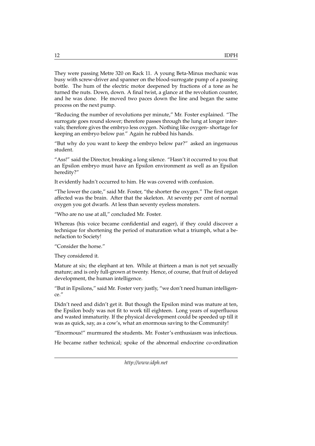They were passing Metre 320 on Rack 11. A young Beta-Minus mechanic was busy with screw-driver and spanner on the blood-surrogate pump of a passing bottle. The hum of the electric motor deepened by fractions of a tone as he turned the nuts. Down, down. A final twist, a glance at the revolution counter, and he was done. He moved two paces down the line and began the same process on the next pump.

"Reducing the number of revolutions per minute," Mr. Foster explained. "The surrogate goes round slower; therefore passes through the lung at longer intervals; therefore gives the embryo less oxygen. Nothing like oxygen- shortage for keeping an embryo below par." Again he rubbed his hands.

"But why do you want to keep the embryo below par?" asked an ingenuous student.

"Ass!" said the Director, breaking a long silence. "Hasn't it occurred to you that an Epsilon embryo must have an Epsilon environment as well as an Epsilon heredity?"

It evidently hadn't occurred to him. He was covered with confusion.

"The lower the caste," said Mr. Foster, "the shorter the oxygen." The first organ affected was the brain. After that the skeleton. At seventy per cent of normal oxygen you got dwarfs. At less than seventy eyeless monsters.

"Who are no use at all," concluded Mr. Foster.

Whereas (his voice became confidential and eager), if they could discover a technique for shortening the period of maturation what a triumph, what a benefaction to Society!

"Consider the horse."

They considered it.

Mature at six; the elephant at ten. While at thirteen a man is not yet sexually mature; and is only full-grown at twenty. Hence, of course, that fruit of delayed development, the human intelligence.

"But in Epsilons," said Mr. Foster very justly, "we don't need human intelligence."

Didn't need and didn't get it. But though the Epsilon mind was mature at ten, the Epsilon body was not fit to work till eighteen. Long years of superfluous and wasted immaturity. If the physical development could be speeded up till it was as quick, say, as a cow's, what an enormous saving to the Community!

"Enormous!" murmured the students. Mr. Foster's enthusiasm was infectious.

He became rather technical; spoke of the abnormal endocrine co-ordination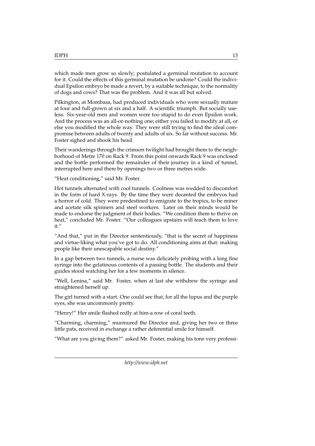which made men grow so slowly; postulated a germinal mutation to account for it. Could the effects of this germinal mutation be undone? Could the individual Epsilon embryo be made a revert, by a suitable technique, to the normality of dogs and cows? That was the problem. And it was all but solved.

Pilkington, at Mombasa, had produced individuals who were sexually mature at four and full-grown at six and a half. A scientific triumph. But socially useless. Six-year-old men and women were too stupid to do even Epsilon work. And the process was an all-or-nothing one; either you failed to modify at all, or else you modified the whole way. They were still trying to find the ideal compromise between adults of twenty and adults of six. So far without success. Mr. Foster sighed and shook his head.

Their wanderings through the crimson twilight had brought them to the neighborhood of Metre 170 on Rack 9. From this point onwards Rack 9 was enclosed and the bottle performed the remainder of their journey in a kind of tunnel, interrupted here and there by openings two or three metres wide.

"Heat conditioning," said Mr. Foster.

Hot tunnels alternated with cool tunnels. Coolness was wedded to discomfort in the form of hard X-rays. By the time they were decanted the embryos had a horror of cold. They were predestined to emigrate to the tropics, to be miner and acetate silk spinners and steel workers. Later on their minds would be made to endorse the judgment of their bodies. "We condition them to thrive on heat," concluded Mr. Foster. "Our colleagues upstairs will teach them to love it."

"And that," put in the Director sententiously, "that is the secret of happiness and virtue-liking what you've got to do. All conditioning aims at that: making people like their unescapable social destiny."

In a gap between two tunnels, a nurse was delicately probing with a long fine syringe into the gelatinous contents of a passing bottle. The students and their guides stood watching her for a few moments in silence.

"Well, Lenina," said Mr. Foster, when at last she withdrew the syringe and straightened herself up.

The girl turned with a start. One could see that, for all the lupus and the purple eyes, she was uncommonly pretty.

"Henry!" Her smile flashed redly at him-a row of coral teeth.

"Charming, charming," murmured the Director and, giving her two or three little pats, received in exchange a rather deferential smile for himself.

"What are you giving them?" asked Mr. Foster, making his tone very professi-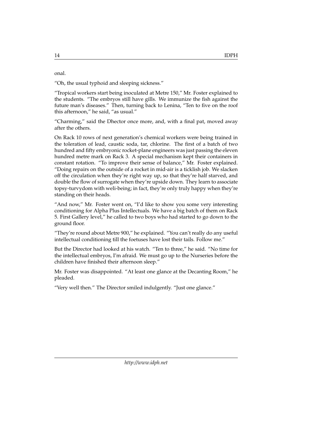onal.

"Oh, the usual typhoid and sleeping sickness."

"Tropical workers start being inoculated at Metre 150," Mr. Foster explained to the students. "The embryos still have gills. We immunize the fish against the future man's diseases." Then, turning back to Lenina, "Ten to five on the roof this afternoon," he said, "as usual."

"Charming," said the Dhector once more, and, with a final pat, moved away after the others.

On Rack 10 rows of next generation's chemical workers were being trained in the toleration of lead, caustic soda, tar, chlorine. The first of a batch of two hundred and fifty embryonic rocket-plane engineers was just passing the eleven hundred metre mark on Rack 3. A special mechanism kept their containers in constant rotation. "To improve their sense of balance," Mr. Foster explained. "Doing repairs on the outside of a rocket in mid-air is a ticklish job. We slacken off the circulation when they're right way up, so that they're half starved, and double the flow of surrogate when they're upside down. They learn to associate topsy-turvydom with weli-being; in fact, they're only truly happy when they're standing on their heads.

"And now," Mr. Foster went on, "I'd like to show you some very interesting conditioning for Alpha Plus Intellectuals. We have a big batch of them on Rack 5. First Gallery level," he called to two boys who had started to go down to the ground floor.

"They're round about Metre 900," he explained. "You can't really do any useful intellectual conditioning till the foetuses have lost their tails. Follow me."

But the Director had looked at his watch. "Ten to three," he said. "No time for the intellectual embryos, I'm afraid. We must go up to the Nurseries before the children have finished their afternoon sleep."

Mr. Foster was disappointed. "At least one glance at the Decanting Room," he pleaded.

"Very well then." The Director smiled indulgently. "Just one glance."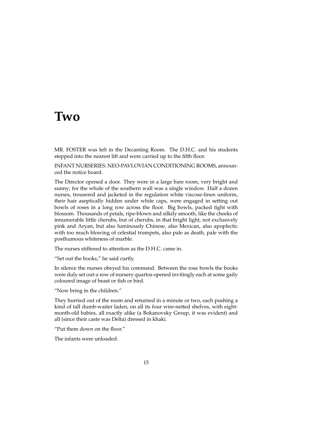### **Two**

MR. FOSTER was left in the Decanting Room. The D.H.C. and his students stepped into the nearest lift and were carried up to the fifth floor.

INFANT NURSERIES. NEO-PAVLOVIAN CONDITIONING ROOMS, announced the notice board.

The Director opened a door. They were in a large bare room, very bright and sunny; for the whole of the southern wall was a single window. Half a dozen nurses, trousered and jacketed in the regulation white viscose-linen uniform, their hair aseptically hidden under white caps, were engaged in setting out bowls of roses in a long row across the floor. Big bowls, packed tight with blossom. Thousands of petals, ripe-blown and silkily smooth, like the cheeks of innumerable little cherubs, but of cherubs, in that bright light, not exclusively pink and Aryan, but also luminously Chinese, also Mexican, also apoplectic with too much blowing of celestial trumpets, also pale as death, pale with the posthumous whiteness of marble.

The nurses stiffened to attention as the D.H.C. came in.

"Set out the books," he said curtly.

In silence the nurses obeyed his command. Between the rose bowls the books were duly set out-a row of nursery quartos opened invitingly each at some gaily coloured image of beast or fish or bird.

"Now bring in the children."

They hurried out of the room and returned in a minute or two, each pushing a kind of tall dumb-waiter laden, on all its four wire-netted shelves, with eightmonth-old babies, all exactly alike (a Bokanovsky Group, it was evident) and all (since their caste was Delta) dressed in khaki.

"Put them down on the floor."

The infants were unloaded.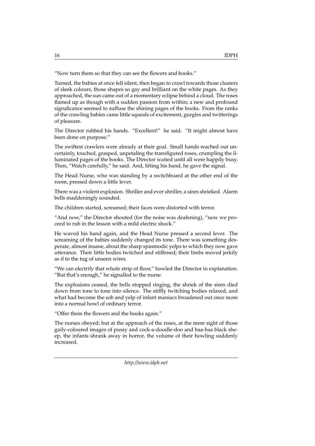"Now turn them so that they can see the flowers and books."

Turned, the babies at once fell silent, then began to crawl towards those clusters of sleek colours, those shapes so gay and brilliant on the white pages. As they approached, the sun came out of a momentary eclipse behind a cloud. The roses flamed up as though with a sudden passion from within; a new and profound sigruficance seemed to suffuse the shining pages of the books. From the ranks of the crawling babies came little squeals of excitement, gurgles and twitterings of pleasure.

The Director rubbed his hands. "Excellent!" he said. "It might almost have been done on purpose."

The swiftest crawlers were already at their goal. Small hands reached out uncertainly, touched, grasped, unpetaling the transfigured roses, crumpling the illuminated pages of the books. The Director waited until all were happily busy. Then, "Watch carefully," he said. And, lifting his hand, he gave the signal.

The Head Nurse, who was standing by a switchboard at the other end of the room, pressed down a little lever.

There was a violent explosion. Shriller and ever shriller, a siren shrieked. Alarm bells maddeningly sounded.

The children started, screamed; their faces were distorted with terror.

"And now," the Director shouted (for the noise was deafening), "now we proceed to rub in the lesson with a mild electric shock."

He waved his hand again, and the Head Nurse pressed a second lever. The screaming of the babies suddenly changed its tone. There was something desperate, almost insane, about the sharp spasmodic yelps to which they now gave utterance. Their little bodies twitched and stiffened; their limbs moved jerkily as if to the tug of unseen wires.

"We can electrify that whole strip of floor," bawled the Director in explanation. "But that's enough," he signalled to the nurse.

The explosions ceased, the bells stopped ringing, the shriek of the siren died down from tone to tone into silence. The stiffly twitching bodies relaxed, and what had become the sob and yelp of infant maniacs broadened out once more into a normal howl of ordinary terror.

"Offer them the flowers and the books again."

The nurses obeyed; but at the approach of the roses, at the mere sight of those gaily-coloured images of pussy and cock-a-doodle-doo and baa-baa black sheep, the infants shrank away in horror, the volume of their howling suddenly increased.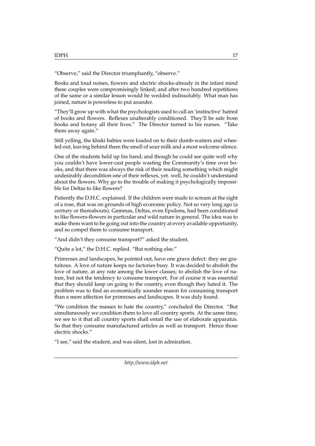"Observe," said the Director triumphantly, "observe."

Books and loud noises, fiowers and electric shocks-already in the infant mind these couples were compromisingly linked; and after two hundred repetitions of the same or a similar lesson would be wedded indissolubly. What man has joined, nature is powerless to put asunder.

"They'll grow up with what the psychologists used to call an 'instinctive' hatred of books and flowers. Reflexes unalterably conditioned. They'll be safe from books and botany all their lives." The Director turned to his nurses. "Take them away again."

Still yelling, the khaki babies were loaded on to their dumb-waiters and wheeled out, leaving behind them the smell of sour milk and a most welcome silence.

One of the students held up his hand; and though he could see quite well why you couldn't have lower-cast people wasting the Community's time over books, and that there was always the risk of their reading something which might undesirably decondition one of their reflexes, yet. well, he couldn't understand about the flowers. Why go to the trouble of making it psychologically impossible for Deltas to like flowers?

Patiently the D.H.C. explained. If the children were made to scream at the sight of a rose, that was on grounds of high economic policy. Not so very long ago (a century or thereabouts), Gammas, Deltas, even Epsilons, had been conditioned to like flowers-flowers in particular and wild nature in general. The idea was to make them want to be going out into the country at every available opportunity, and so compel them to consume transport.

"And didn't they consume transport?" asked the student.

"Quite a lot," the D.H.C. replied. "But nothing else."

Primroses and landscapes, he pointed out, have one grave defect: they are gratuitous. A love of nature keeps no factories busy. It was decided to abolish the love of nature, at any rate among the lower classes; to abolish the love of nature, but not the tendency to consume transport. For of course it was essential that they should keep on going to the country, even though they hated it. The problem was to find an economically sounder reason for consuming transport than a mere affection for primroses and landscapes. It was duly found.

"We condition the masses to hate the country," concluded the Director. "But simultaneously we condition them to love all country sports. At the same time, we see to it that all country sports shall entail the use of elaborate apparatus. So that they consume manufactured articles as well as transport. Hence those electric shocks."

"I see," said the student, and was silent, lost in admiration.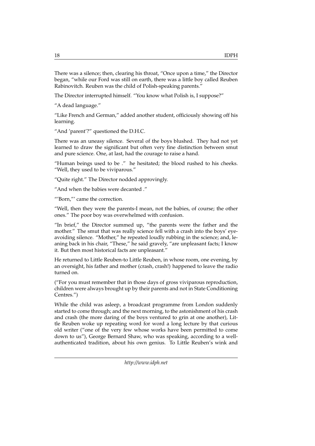There was a silence; then, clearing his throat, "Once upon a time," the Director began, "while our Ford was still on earth, there was a little boy called Reuben Rabinovitch. Reuben was the child of Polish-speaking parents."

The Director interrupted himself. "You know what Polish is, I suppose?"

"A dead language."

"Like French and German," added another student, officiously showing off his learning.

"And 'parent'?" questioned the D.H.C.

There was an uneasy silence. Several of the boys blushed. They had not yet learned to draw the significant but often very fine distinction between smut and pure science. One, at last, had the courage to raise a hand.

"Human beings used to be ." he hesitated; the blood rushed to his cheeks. "Well, they used to be viviparous."

"Quite right." The Director nodded approvingly.

"And when the babies were decanted ."

"'Born."' came the correction.

"Well, then they were the parents-I mean, not the babies, of course; the other ones." The poor boy was overwhelmed with confusion.

"In brief," the Director summed up, "the parents were the father and the mother." The smut that was really science fell with a crash into the boys' eyeavoiding silence. "Mother," he repeated loudly rubbing in the science; and, leaning back in his chair, "These," he said gravely, "are unpleasant facts; I know it. But then most historical facts are unpleasant."

He returned to Little Reuben-to Little Reuben, in whose room, one evening, by an oversight, his father and mother (crash, crash!) happened to leave the radio turned on.

("For you must remember that in those days of gross viviparous reproduction, children were always brought up by their parents and not in State Conditioning Centres.")

While the child was asleep, a broadcast programme from London suddenly started to come through; and the next morning, to the astonishment of his crash and crash (the more daring of the boys ventured to grin at one another), Little Reuben woke up repeating word for word a long lecture by that curious old writer ("one of the very few whose works have been permitted to come down to us"), George Bernard Shaw, who was speaking, according to a wellauthenticated tradition, about his own genius. To Little Reuben's wink and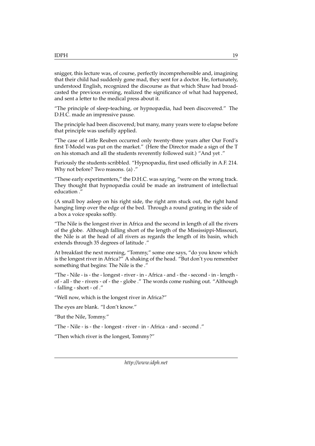snigger, this lecture was, of course, perfectly incomprehensible and, imagining that their child had suddenly gone mad, they sent for a doctor. He, fortunately, understood English, recognized the discourse as that which Shaw had broadcasted the previous evening, realized the significance of what had happened, and sent a letter to the medical press about it.

"The principle of sleep-teaching, or hypnopædia, had been discovered." The D.H.C. made an impressive pause.

The principle had been discovered; but many, many years were to elapse before that principle was usefully applied.

"The case of Little Reuben occurred only twenty-three years after Our Ford's first T-Model was put on the market." (Here the Director made a sign of the T on his stomach and all the students reverently followed suit.) "And yet ."

Furiously the students scribbled. "Hypnopædia, first used officially in A.F. 214. Why not before? Two reasons. (a) ."

"These early experimenters," the D.H.C. was saying, "were on the wrong track. They thought that hypnopædia could be made an instrument of intellectual education ."

(A small boy asleep on his right side, the right arm stuck out, the right hand hanging limp over the edge of the bed. Through a round grating in the side of a box a voice speaks softly.

"The Nile is the longest river in Africa and the second in length of all the rivers of the globe. Although falling short of the length of the Mississippi-Missouri, the Nile is at the head of all rivers as regards the length of its basin, which extends through 35 degrees of latitude ."

At breakfast the next morning, "Tommy," some one says, "do you know which is the longest river in Africa?" A shaking of the head. "But don't you remember something that begins: The Nile is the ."

"The - Nile - is - the - longest - river - in - Africa - and - the - second - in - length of - all - the - rivers - of - the - globe ." The words come rushing out. "Although - falling - short - of ."

"Well now, which is the longest river in Africa?"

The eyes are blank. "I don't know."

"But the Nile, Tommy."

"The - Nile - is - the - longest - river - in - Africa - and - second ."

"Then which river is the longest, Tommy?"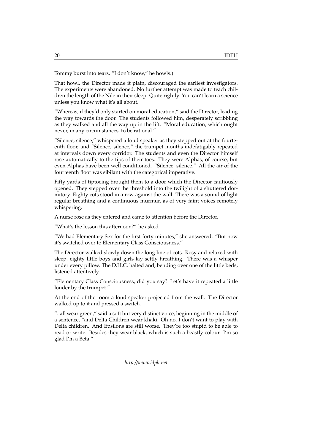Tommy burst into tears. "I don't know," he howls.)

That howl, the Director made it plain, discouraged the earliest invesfigators. The experiments were abandoned. No further attempt was made to teach children the length of the Nile in their sleep. Quite rightly. You can't learn a science unless you know what it's all about.

"Whereas, if they'd only started on moral education," said the Director, leading the way towards the door. The students followed him, desperately scribbling as they walked and all the way up in the lift. "Moral education, which ought never, in any circumstances, to be rational."

"Silence, silence," whispered a loud speaker as they stepped out at the fourteenth floor, and "Silence, silence," the trumpet mouths indefatigably repeated at intervals down every corridor. The students and even the Director himself rose automatically to the tips of their toes. They were Alphas, of course, but even Alphas have been well conditioned. "Silence, silence." All the air of the fourteenth floor was sibilant with the categorical imperative.

Fifty yards of tiptoeing brought them to a door which the Director cautiously opened. They stepped over the threshold into the twilight of a shuttered dormitory. Eighty cots stood in a row against the wall. There was a sound of light regular breathing and a continuous murmur, as of very faint voices remotely whispering.

A nurse rose as they entered and came to attention before the Director.

"What's the lesson this afternoon?" he asked.

"We had Elementary Sex for the first forty minutes," she answered. "But now it's switched over to Elementary Class Consciousness."

The Director walked slowly down the long line of cots. Rosy and relaxed with sleep, eighty little boys and girls lay seftly hreathing. There was a whisper under every pillow. The D.H.C. halted and, bending over one of the little beds, listened attentively.

"Elementary Class Consciousness, did you say? Let's have it repeated a little louder by the trumpet."

At the end of the room a loud speaker projected from the wall. The Director walked up to it and pressed a switch.

". all wear green," said a soft but very distinct voice, beginning in the middle of a sentence, "and Delta Children wear khaki. Oh no, I don't want to play with Delta children. And Epsilons are still worse. They're too stupid to be able to read or write. Besides they wear black, which is such a beastly colour. I'm so glad I'm a Beta."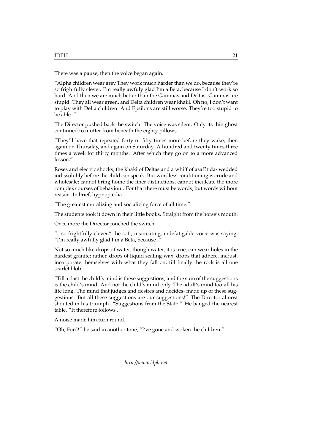There was a pause; then the voice began again.

"Alpha children wear grey They work much harder than we do, because they're so frightfully clever. I'm really awfuly glad I'm a Beta, because I don't work so hard. And then we are much better than the Gammas and Deltas. Gammas are stupid. They all wear green, and Delta children wear khaki. Oh no, I don't want to play with Delta children. And Epsilons are still worse. They're too stupid to be able ."

The Director pushed back the switch. The voice was silent. Only its thin ghost continued to mutter from beneath the eighty pillows.

"They'll have that repeated forty or fifty times more before they wake; then again on Thursday, and again on Saturday. A hundred and twenty times three times a week for thirty months. After which they go on to a more advanced lesson."

Roses and electric shocks, the khaki of Deltas and a whiff of asaf?tida- wedded indissolubly before the child can speak. But wordless conditioning is crude and wholesale; cannot bring home the finer distinctions, cannot inculcate the more complex courses of behaviour. For that there must be words, but words without reason. In brief, hypnopædia.

"The greatest moralizing and socializing force of all time."

The students took it down in their little books. Straight from the horse's mouth.

Once more the Director touched the switch.

". so frightfully clever," the soft, insinuating, indefatigable voice was saying, "I'm really awfully glad I'm a Beta, because ."

Not so much like drops of water, though water, it is true, can wear holes in the hardest granite; rather, drops of liquid sealing-wax, drops that adhere, incrust, incorporate themselves with what they fall on, till finally the rock is all one scarlet blob.

"Till at last the child's mind is these suggestions, and the sum of the suggestions is the child's mind. And not the child's mind only. The adult's mind too-all his life long. The mind that judges and desires and decides- made up of these suggestions. But all these suggestions are our suggestions!" The Director almost shouted in his triumph. "Suggestions from the State." He banged the nearest table. "It therefore follows ."

A noise made him turn round.

"Oh, Ford!" he said in another tone, "I've gone and woken the children."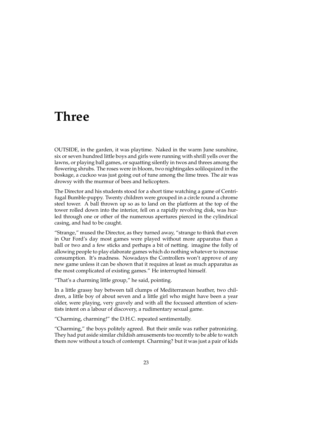### **Three**

OUTSIDE, in the garden, it was playtime. Naked in the warm June sunshine, six or seven hundred little boys and girls were running with shrill yells over the lawns, or playing ball games, or squatting silently in twos and threes among the flowering shrubs. The roses were in bloom, two nightingales soliloquized in the boskage, a cuckoo was just going out of tune among the lime trees. The air was drowsy with the murmur of bees and helicopters.

The Director and his students stood for a short time watching a game of Centrifugal Bumble-puppy. Twenty children were grouped in a circle round a chrome steel tower. A ball thrown up so as to land on the platform at the top of the tower rolled down into the interior, fell on a rapidly revolving disk, was hurled through one or other of the numerous apertures pierced in the cylindrical casing, and had to be caught.

"Strange," mused the Director, as they turned away, "strange to think that even in Our Ford's day most games were played without more apparatus than a ball or two and a few sticks and perhaps a bit of netting. imagine the folly of allowing people to play elaborate games which do nothing whatever to increase consumption. It's madness. Nowadays the Controllers won't approve of any new game unless it can be shown that it requires at least as much apparatus as the most complicated of existing games." He interrupted himself.

"That's a charming little group," he said, pointing.

In a little grassy bay between tall clumps of Mediterranean heather, two children, a little boy of about seven and a little girl who might have been a year older, were playing, very gravely and with all the focussed attention of scientists intent on a labour of discovery, a rudimentary sexual game.

"Charming, charming!" the D.H.C. repeated sentimentally.

"Charming," the boys politely agreed. But their smile was rather patronizing. They had put aside similar childish amusements too recently to be able to watch them now without a touch of contempt. Charming? but it was just a pair of kids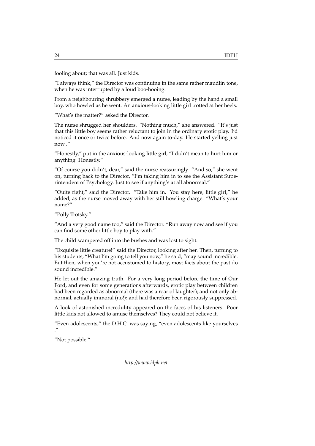fooling about; that was all. Just kids.

"I always think," the Director was continuing in the same rather maudlin tone, when he was interrupted by a loud boo-hooing.

From a neighbouring shrubbery emerged a nurse, leading by the hand a small boy, who howled as he went. An anxious-looking little girl trotted at her heels.

"What's the matter?" asked the Director.

The nurse shrugged her shoulders. "Nothing much," she answered. "It's just that this little boy seems rather reluctant to join in the ordinary erotic play. I'd noticed it once or twice before. And now again to-day. He started yelling just now ."

"Honestly," put in the anxious-looking little girl, "I didn't mean to hurt him or anything. Honestly."

"Of course you didn't, dear," said the nurse reassuringly. "And so," she went on, turning back to the Director, "I'm taking him in to see the Assistant Superintendent of Psychology. Just to see if anything's at all abnormal."

"Ouite right," said the Director. "Take him in. You stay here, little girl," he added, as the nurse moved away with her still howling charge. "What's your name?"

"Polly Trotsky."

"And a very good name too," said the Director. "Run away now and see if you can find some other little boy to play with."

The child scampered off into the bushes and was lost to sight.

"Exquisite little creature!" said the Director, looking after her. Then, turning to his students, "What I'm going to tell you now," he said, "may sound incredible. But then, when you're not accustomed to history, most facts about the past do sound incredible."

He let out the amazing truth. For a very long period before the time of Our Ford, and even for some generations afterwards, erotic play between children had been regarded as abnormal (there was a roar of laughter); and not only abnormal, actually immoral (no!): and had therefore been rigorously suppressed.

A look of astonished incredulity appeared on the faces of his listeners. Poor little kids not allowed to amuse themselves? They could not believe it.

"Even adolescents," the D.H.C. was saying, "even adolescents like yourselves ."

"Not possible!"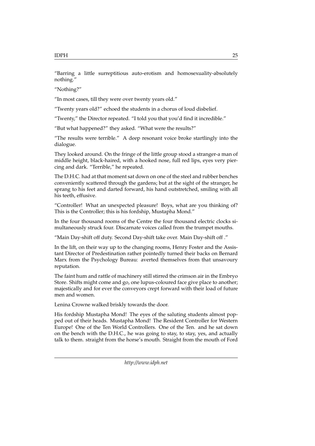"Barring a little surreptitious auto-erotism and homosexuality-absolutely nothing."

"Nothing?"

"In most cases, till they were over twenty years old."

"Twenty years old?" echoed the students in a chorus of loud disbelief.

"Twenty," the Director repeated. "I told you that you'd find it incredible."

"But what happened?" they asked. "What were the results?"

"The results were terrible." A deep resonant voice broke startlingly into the dialogue.

They looked around. On the fringe of the little group stood a stranger-a man of middle height, black-haired, with a hooked nose, full red lips, eyes very piercing and dark. "Terrible," he repeated.

The D.H.C. had at that moment sat down on one of the steel and rubber benches conveniently scattered through the gardens; but at the sight of the stranger, he sprang to his feet and darted forward, his hand outstretched, smiling with all his teeth, effusive.

"Controller! What an unexpected pleasure! Boys, what are you thinking of? This is the Controller; this is his fordship, Mustapha Mond."

In the four thousand rooms of the Centre the four thousand electric clocks simultaneously struck four. Discarnate voices called from the trumpet mouths.

"Main Day-shift off duty. Second Day-shift take over. Main Day-shift off ."

In the lift, on their way up to the changing rooms, Henry Foster and the Assistant Director of Predestination rather pointedly turned their backs on Bernard Marx from the Psychology Bureau: averted themselves from that unsavoury reputation.

The faint hum and rattle of machinery still stirred the crimson air in the Embryo Store. Shifts might come and go, one lupus-coloured face give place to another; majestically and for ever the conveyors crept forward with their load of future men and women.

Lenina Crowne walked briskly towards the door.

His fordship Mustapha Mond! The eyes of the saluting students almost popped out of their heads. Mustapha Mond! The Resident Controller for Western Europe! One of the Ten World Controllers. One of the Ten. and he sat down on the bench with the D.H.C., he was going to stay, to stay, yes, and actually talk to them. straight from the horse's mouth. Straight from the mouth of Ford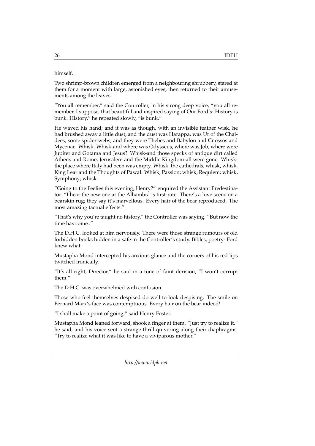### himself.

Two shrimp-brown children emerged from a neighbouring shrubbery, stared at them for a moment with large, astonished eyes, then returned to their amusements among the leaves.

"You all remember," said the Controller, in his strong deep voice, "you all remember, I suppose, that beautiful and inspired saying of Our Ford's: History is bunk. History," he repeated slowly, "is bunk."

He waved his hand; and it was as though, with an invisible feather wisk, he had brushed away a little dust, and the dust was Harappa, was Ur of the Chaldees; some spider-webs, and they were Thebes and Babylon and Cnossos and Mycenae. Whisk. Whisk-and where was Odysseus, where was Job, where were Jupiter and Gotama and Jesus? Whisk-and those specks of antique dirt called Athens and Rome, Jerusalem and the Middle Kingdom-all were gone. Whiskthe place where Italy had been was empty. Whisk, the cathedrals; whisk, whisk, King Lear and the Thoughts of Pascal. Whisk, Passion; whisk, Requiem; whisk, Symphony; whisk.

"Going to the Feelies this evening, Henry?" enquired the Assistant Predestinator. "I hear the new one at the Alhambra is first-rate. There's a love scene on a bearskin rug; they say it's marvellous. Every hair of the bear reproduced. The most amazing tactual effects."

"That's why you're taught no history," the Controller was saying. "But now the time has come ."

The D.H.C. looked at him nervously. There were those strange rumours of old forbidden books hidden in a safe in the Controller's study. Bibles, poetry- Ford knew what.

Mustapha Mond intercepted his anxious glance and the corners of his red lips twitched ironically.

"It's all right, Director," he said in a tone of faint derision, "I won't corrupt them."

The D.H.C. was overwhelmed with confusion.

Those who feel themselves despised do well to look despising. The smile on Bernard Marx's face was contemptuous. Every hair on the bear indeed!

"I shall make a point of going," said Henry Foster.

Mustapha Mond leaned forward, shook a finger at them. "Just try to realize it," he said, and his voice sent a strange thrill quivering along their diaphragms. "Try to realize what it was like to have a viviparous mother."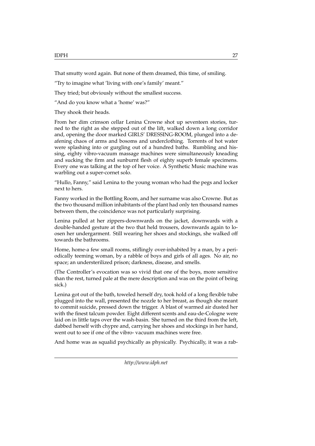That smutty word again. But none of them dreamed, this time, of smiling.

"Try to imagine what 'living with one's family' meant."

They tried; but obviously without the smallest success.

"And do you know what a 'home' was?"

They shook their heads.

From her dim crimson cellar Lenina Crowne shot up seventeen stories, turned to the right as she stepped out of the lift, walked down a long corridor and, opening the door marked GIRLS' DRESSING-ROOM, plunged into a deafening chaos of arms and bosoms and underclothing. Torrents of hot water were splashing into or gurgling out of a hundred baths. Rumbling and hissing, eighty vibro-vacuum massage machines were simultaneously kneading and sucking the firm and sunburnt flesh of eighty superb female specimens. Every one was talking at the top of her voice. A Synthetic Music machine was warbling out a super-cornet solo.

"Hullo, Fanny," said Lenina to the young woman who had the pegs and locker next to hers.

Fanny worked in the Bottling Room, and her surname was also Crowne. But as the two thousand million inhabitants of the plant had only ten thousand names between them, the coincidence was not particularly surprising.

Lenina pulled at her zippers-downwards on the jacket, downwards with a double-handed gesture at the two that held trousers, downwards again to loosen her undergarment. Still wearing her shoes and stockings, she walked off towards the bathrooms.

Home, home-a few small rooms, stiflingly over-inhabited by a man, by a periodically teeming woman, by a rabble of boys and girls of all ages. No air, no space; an understerilized prison; darkness, disease, and smells.

(The Controller's evocation was so vivid that one of the boys, more sensitive than the rest, turned pale at the mere description and was on the point of being sick.)

Lenina got out of the bath, toweled herself dry, took hold of a long flexible tube plugged into the wall, presented the nozzle to her breast, as though she meant to commit suicide, pressed down the trigger. A blast of warmed air dusted her with the finest talcum powder. Eight different scents and eau-de-Cologne were laid on in little taps over the wash-basin. She turned on the third from the left, dabbed herself with chypre and, carrying her shoes and stockings in her hand, went out to see if one of the vibro- vacuum machines were free.

And home was as squalid psychically as physically. Psychically, it was a rab-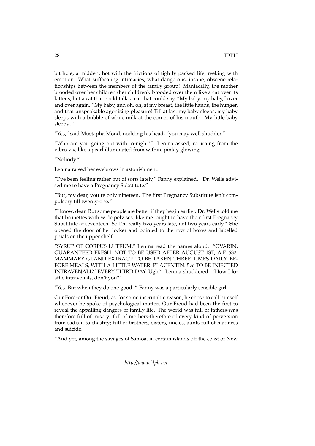bit hole, a midden, hot with the frictions of tightly packed life, reeking with emotion. What suffocating intimacies, what dangerous, insane, obscene relationships between the members of the family group! Maniacally, the mother brooded over her children (her children). brooded over them like a cat over its kittens; but a cat that could talk, a cat that could say, "My baby, my baby," over and over again. "My baby, and oh, oh, at my breast, the little hands, the hunger, and that unspeakable agonizing pleasure! Till at last my baby sleeps, my baby sleeps with a bubble of white milk at the corner of his mouth. My little baby sleeps ."

"Yes," said Mustapha Mond, nodding his head, "you may well shudder."

"Who are you going out with to-night?" Lenina asked, returning from the vibro-vac like a pearl illuminated from within, pinkly glowing.

"Nobody."

Lenina raised her eyebrows in astonishment.

"I've been feeling rather out of sorts lately," Fanny explained. "Dr. Wells advised me to have a Pregnancy Substitute."

"But, my dear, you're only nineteen. The first Pregnancy Substitute isn't compulsory till twenty-one."

"I know, dear. But some people are better if they begin earlier. Dr. Wells told me that brunettes with wide pelvises, like me, ought to have their first Pregnancy Substitute at seventeen. So I'm really two years late, not two years early." She opened the door of her locker and pointed to the row of boxes and labelled phials on the upper shelf.

"SYRUP OF CORPUS LUTEUM," Lenina read the names aloud. "OVARIN, GUARANTEED FRESH: NOT TO BE USED AFTER AUGUST 1ST, A.F. 632. MAMMARY GLAND EXTRACT: TO BE TAKEN THREE TIMES DAILY, BE-FORE MEALS, WITH A LITTLE WATER. PLACENTIN: 5cc TO BE INJECTED INTRAVENALLY EVERY THIRD DAY. Ugh!" Lenina shuddered. "How I loathe intravenals, don't you?"

"Yes. But when they do one good ." Fanny was a particularly sensible girl.

Our Ford-or Our Freud, as, for some inscrutable reason, he chose to call himself whenever he spoke of psychological matters-Our Freud had been the first to reveal the appalling dangers of family life. The world was full of fathers-was therefore full of misery; full of mothers-therefore of every kind of perversion from sadism to chastity; full of brothers, sisters, uncles, aunts-full of madness and suicide.

"And yet, among the savages of Samoa, in certain islands off the coast of New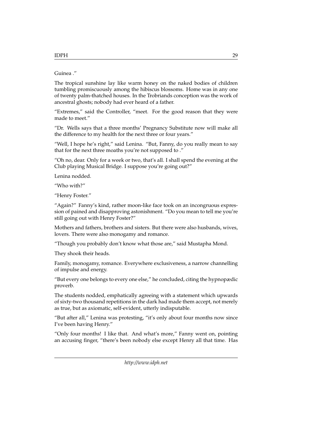#### Guinea ."

The tropical sunshine lay like warm honey on the naked bodies of children tumbling promiscuously among the hibiscus blossoms. Home was in any one of twenty palm-thatched houses. In the Trobriands conception was the work of ancestral ghosts; nobody had ever heard of a father.

"Extremes," said the Controller, "meet. For the good reason that they were made to meet."

"Dr. Wells says that a three months' Pregnancy Substitute now will make all the difference to my health for the next three or four years."

"Well, I hope he's right," said Lenina. "But, Fanny, do you really mean to say that for the next three moaths you're not supposed to ."

"Oh no, dear. Only for a week or two, that's all. I shall spend the evening at the Club playing Musical Bridge. I suppose you're going out?"

Lenina nodded.

"Who with?"

"Henry Foster."

"Again?" Fanny's kind, rather moon-like face took on an incongruous expression of pained and disapproving astonishment. "Do you mean to tell me you're still going out with Henry Foster?"

Mothers and fathers, brothers and sisters. But there were also husbands, wives, lovers. There were also monogamy and romance.

"Though you probably don't know what those are," said Mustapha Mond.

They shook their heads.

Family, monogamy, romance. Everywhere exclusiveness, a narrow channelling of impulse and energy.

"But every one belongs to every one else," he concluded, citing the hypnopædic proverb.

The students nodded, emphatically agreeing with a statement which upwards of sixty-two thousand repetitions in the dark had made them accept, not merely as true, but as axiomatic, self-evident, utterly indisputable.

"But after all," Lenina was protesting, "it's only about four months now since I've been having Henry."

"Only four months! I like that. And what's more," Fanny went on, pointing an accusing finger, "there's been nobody else except Henry all that time. Has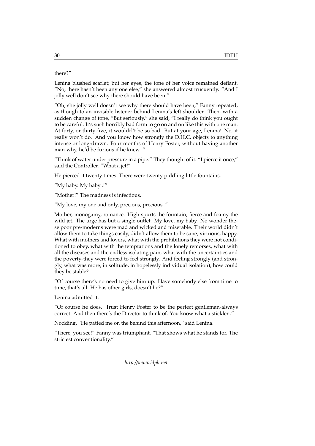#### there?"

Lenina blushed scarlet; but her eyes, the tone of her voice remained defiant. "No, there hasn't been any one else," she answered almost trucuently. "And I jolly well don't see why there should have been."

"Oh, she jolly well doesn't see why there should have been," Fanny repeated, as though to an invisible listener behind Lenina's left shoulder. Then, with a sudden change of tone, "But seriously," she said, "I really do think you ought to be careful. It's such horribly bad form to go on and on like this with one man. At forty, or thirty-five, it wouldrl't be so bad. But at your age, Lenina! No, it really won't do. And you know how strongly the D.H.C. objects to anything intense or long-drawn. Four months of Henry Foster, without having another man-why, he'd be furious if he knew ."

"Think of water under pressure in a pipe." They thought of it. "I pierce it once," said the Controller. "What a jet!"

He pierced it twenty times. There were twenty piddling little fountains.

"My baby. My baby .!"

"Mother!" The madness is infectious.

"My love, my one and only, precious, precious ."

Mother, monogamy, romance. High spurts the fountain; fierce and foamy the wild jet. The urge has but a single outlet. My love, my baby. No wonder these poor pre-moderns were mad and wicked and miserable. Their world didn't allow them to take things easily, didn't allow them to be sane, virtuous, happy. What with mothers and lovers, what with the prohibitions they were not conditioned to obey, what with the temptations and the lonely remorses, what with all the diseases and the endless isolating pain, what with the uncertainties and the poverty-they were forced to feel strongly. And feeling strongly (and strongly, what was more, in solitude, in hopelessly individual isolation), how could they be stable?

"Of course there's no need to give him up. Have somebody else from time to time, that's all. He has other girls, doesn't he?"

Lenina admitted it.

"Of course he does. Trust Henry Foster to be the perfect gentleman-always correct. And then there's the Director to think of. You know what a stickler ."

Nodding, "He patted me on the behind this afternoon," said Lenina.

"There, you see!" Fanny was triumphant. "That shows what he stands for. The strictest conventionality."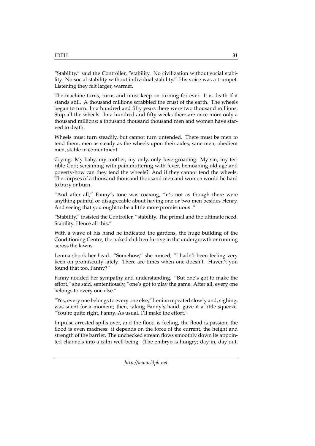"Stability," said the Controller, "stability. No civilization without social stability. No social stability without individual stability." His voice was a trumpet. Listening they felt larger, warmer.

The machine turns, turns and must keep on turning-for ever. It is death if it stands still. A thousand millions scrabbled the crust of the earth. The wheels began to turn. In a hundred and fifty years there were two thousand millions. Stop all the wheels. In a hundred and fifty weeks there are once more only a thousand millions; a thousand thousand thousand men and women have starved to death.

Wheels must turn steadily, but cannot turn untended. There must be men to tend them, men as steady as the wheels upon their axles, sane men, obedient men, stable in contentment.

Crying: My baby, my mother, my only, only love groaning: My sin, my terrible God; screaming with pain,muttering with fever, bemoaning old age and poverty-how can they tend the wheels? And if they cannot tend the wheels. The corpses of a thousand thousand thousand men and women would be hard to bury or burn.

"And after all," Fanny's tone was coaxing, "it's not as though there were anything painful or disagreeable about having one or two men besides Henry. And seeing that you ought to be a little more promiscuous ."

"Stability," insisted the Controller, "stability. The primal and the ultimate need. Stability. Hence all this."

With a wave of his hand he indicated the gardens, the huge building of the Conditioning Centre, the naked children furtive in the undergrowth or running across the lawns.

Lenina shook her head. "Somehow," she mused, "I hadn't been feeling very keen on promiscuity lately. There are times when one doesn't. Haven't you found that too, Fanny?"

Fanny nodded her sympathy and understanding. "But one's got to make the effort," she said, sententiously, "one's got to play the game. After all, every one belongs to every one else."

"Yes, every one belongs to every one else," Lenina repeated slowly and, sighing, was silent for a moment; then, taking Fanny's hand, gave it a little squeeze. "You're quite right, Fanny. As usual. I'll make the effort."

Impulse arrested spills over, and the flood is feeling, the flood is passion, the flood is even madness: it depends on the force of the current, the height and strength of the barrier. The unchecked stream flows smoothly down its appointed channels into a calm well-being. (The embryo is hungry; day in, day out,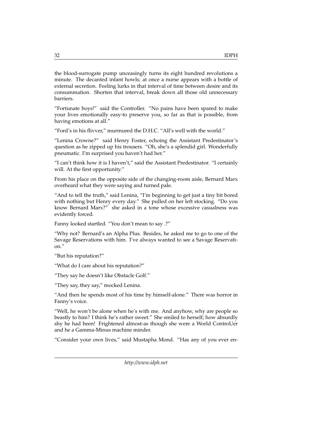the blood-surrogate pump unceasingly turns its eight hundred revolutions a minute. The decanted infant howls; at once a nurse appears with a bottle of external secretion. Feeling lurks in that interval of time between desire and its consummation. Shorten that interval, break down all those old unnecessary barriers.

"Fortunate boys!" said the Controller. "No pains have been spared to make your lives emotionally easy-to preserve you, so far as that is possible, from having emotions at all."

"Ford's in his flivver," murmured the D.H.C. "All's well with the world."

"Lenina Crowne?" said Henry Foster, echoing the Assistant Predestinator's question as he zipped up his trousers. "Oh, she's a splendid girl. Wonderfully pneumatic. I'm surprised you haven't had her."

"I can't think how it is I haven't," said the Assistant Predestinator. "I certainly will. At the first opportunity."

From his place on the opposite side of the changing-room aisle, Bernard Marx overheard what they were saying and turned pale.

"And to tell the truth," said Lenina, "I'm beginning to get just a tiny bit bored with nothing but Henry every day." She pulled on her left stocking. "Do you know Bernard Marx?" she asked in a tone whose excessive casualness was evidently forced.

Fanny looked startled. "You don't mean to say .?"

"Why not? Bernard's an Alpha Plus. Besides, he asked me to go to one of the Savage Reservations with him. I've always wanted to see a Savage Reservation."

"But his reputation?"

"What do I care about his reputation?"

"They say he doesn't like Obstacle Golf."

"They say, they say," mocked Lenina.

"And then he spends most of his time by himself-alone." There was horror in Fanny's voice.

"Well, he won't be alone when he's with me. And anyhow, why are people so beastly to him? I think he's rather sweet." She smiled to herself; how absurdly shy he had been! Frightened almost-as though she were a World ControUer and he a Gamma-Minus machine minder.

"Consider your own lives," said Mustapha Mond. "Has any of you ever en-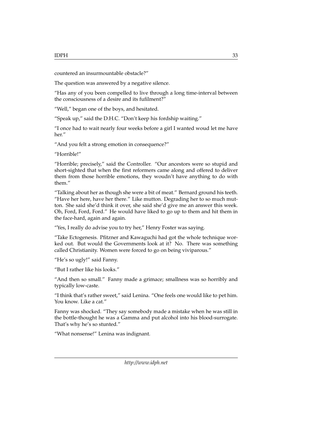countered an insurmountable obstacle?"

The question was answered by a negative silence.

"Has any of you been compelled to live through a long time-interval between the consciousness of a desire and its fufilment?"

"Well," began one of the boys, and hesitated.

"Speak up," said the D.H.C. "Don't keep his fordship waiting."

"I once had to wait nearly four weeks before a girl I wanted woud let me have her."

"And you felt a strong emotion in consequence?"

"Horrible!"

"Horrible; precisely," said the Controller. "Our ancestors were so stupid and short-sighted that when the first reformers came along and offered to deliver them from those horrible emotions, they woudn't have anything to do with them."

"Talking about her as though she were a bit of meat." Bernard ground his teeth. "Have her here, have her there." Like mutton. Degrading her to so much mutton. She said she'd think it over, she said she'd give me an answer this week. Oh, Ford, Ford, Ford." He would have liked to go up to them and hit them in the face-hard, again and again.

"Yes, I really do advise you to try her," Henry Foster was saying.

"Take Ectogenesis. Pfitzner and Kawaguchi had got the whole technique worked out. But would the Governments look at it? No. There was something called Christianity. Women were forced to go on being viviparous."

"He's so ugly!" said Fanny.

"But I rather like his looks."

"And then so small." Fanny made a grimace; smallness was so horribly and typically low-caste.

"I think that's rather sweet," said Lenina. "One feels one would like to pet him. You know. Like a cat."

Fanny was shocked. "They say somebody made a mistake when he was still in the bottle-thought he was a Gamma and put alcohol into his blood-surrogate. That's why he's so stunted."

"What nonsense!" Lenina was indignant.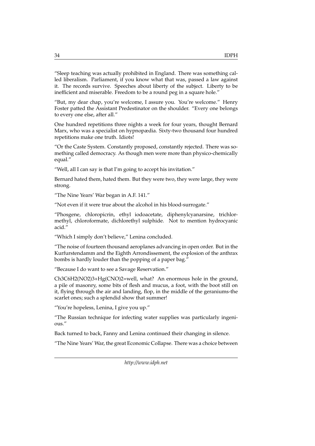"Sleep teaching was actually prohibited in England. There was something called liberalism. Parliament, if you know what that was, passed a law against it. The records survive. Speeches about liberty of the subject. Liberty to be inefficient and miserable. Freedom to be a round peg in a square hole."

"But, my dear chap, you're welcome, I assure you. You're welcome." Henry Foster patted the Assistant Predestinator on the shoulder. "Every one belongs to every one else, after all."

One hundred repetitions three nights a week for four years, thought Bernard Marx, who was a specialist on hypnopædia. Sixty-two thousand four hundred repetitions make one truth. Idiots!

"Or the Caste System. Constantly proposed, constantly rejected. There was something called democracy. As though men were more than physico-chemically equal."

"Well, all I can say is that I'm going to accept his invitation."

Bernard hated them, hated them. But they were two, they were large, they were strong.

"The Nine Years' War began in A.F. 141."

"Not even if it were true about the alcohol in his blood-surrogate."

"Phosgene, chloropicrin, ethyl iodoacetate, diphenylcyanarsine, trichlormethyl, chloroformate, dichlorethyl sulphide. Not to mention hydrocyanic acid."

"Which I simply don't believe," Lenina concluded.

"The noise of fourteen thousand aeroplanes advancing in open order. But in the Kurfurstendamm and the Eighth Arrondissement, the explosion of the anthrax bombs is hardly louder than the popping of a paper bag."

"Because I do want to see a Savage Reservation."

Ch3C6H2(NO2)3+Hg(CNO)2=well, what? An enormous hole in the ground, a pile of masonry, some bits of flesh and mucus, a foot, with the boot still on it, flying through the air and landing, flop, in the middle of the geraniums-the scarlet ones; such a splendid show that summer!

"You're hopeless, Lenina, I give you up."

"The Russian technique for infecting water supplies was particularly ingenious."

Back turned to back, Fanny and Lenina continued their changing in silence.

"The Nine Years' War, the great Economic Collapse. There was a choice between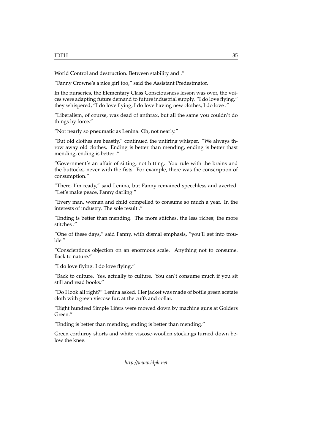World Control and destruction. Between stability and ."

"Fanny Crowne's a nice girl too," said the Assistant Predestmator.

In the nurseries, the Elementary Class Consciousness lesson was over, the voices were adapting future demand to future industrial supply. "I do love flying," they whispered, "I do love flying, I do love having new clothes, I do love ."

"Liberalism, of course, was dead of anthrax, but all the same you couldn't do things by force."

"Not nearly so pneumatic as Lenina. Oh, not nearly."

"But old clothes are beastly," continued the untiring whisper. "We always throw away old clothes. Ending is better than mending, ending is better thast mending, ending is better ."

"Government's an affair of sitting, not hitting. You rule with the brains and the buttocks, never with the fists. For example, there was the conscription of consumption."

"There, I'm ready," said Lenina, but Fanny remained speechless and averted. "Let's make peace, Fanny darling."

"Every man, woman and child compelled to consume so much a year. In the interests of industry. The sole result ."

"Ending is better than mending. The more stitches, the less riches; the more stitches ."

"One of these days," said Fanny, with dismal emphasis, "you'll get into trouble."

"Conscientious objection on an enormous scale. Anything not to consume. Back to nature."

"I do love flying. I do love flying."

"Back to culture. Yes, actually to culture. You can't consume much if you sit still and read books."

"Do I look all right?" Lenina asked. Her jacket was made of bottle green acetate cloth with green viscose fur; at the cuffs and collar.

"Eight hundred Simple Lifers were mowed down by machine guns at Golders Green."

"Ending is better than mending, ending is better than mending."

Green corduroy shorts and white viscose-woollen stockings turned down below the knee.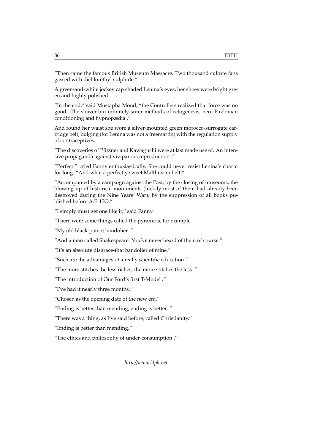"Then came the famous British Museum Massacre. Two thousand culture fans gassed with dichlorethyl sulphide."

A green-and-white jockey cap shaded Lenina's eyes; her shoes were bright green and highly polished.

"In the end," said Mustapha Mond, "the Controllers realized that force was no good. The slower but infinitely surer methods of ectogenesis, neo- Pavlovian conditioning and hypnopædia ."

And round her waist she wore a silver-mounted green morocco-surrogate cartridge belt, bulging (for Lenina was not a freemartin) with the regulation supply of contraceptives.

"The discoveries of Pfitzner and Kawaguchi were at last made use of. An intensive propaganda against viviparous reproduction ."

"Perfect!" cried Fanny enthusiastically. She could never resist Lenina's charm for long. "And what a perfectly sweet Malthusian belt!"

"Accompanied by a campaign against the Past; by the closing of museums, the blowing up of historical monuments (luckily most of them had already been destroyed during the Nine Years' War); by the suppression of all books published before A.F. 15O."

"I simply must get one like it," said Fanny.

"There were some things called the pyramids, for example.

"My old black-patent bandolier ."

"And a man called Shakespeare. You've never heard of them of course."

"It's an absolute disgrace-that bandolier of mine."

"Such are the advantages of a really scientific education."

"The more stitches the less riches; the more stitches the less ."

"The introduction of Our Ford's first T-Model ."

"I've had it nearly three months."

"Chosen as the opening date of the new era."

"Ending is better than mending; ending is better ."

"There was a thing, as I've said before, called Christianity."

"Ending is better than mending."

"The ethics and philosophy of under-consumption ."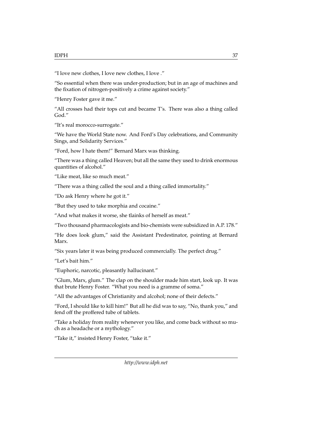"I love new clothes, I love new clothes, I love ."

"So essential when there was under-production; but in an age of machines and the fixation of nitrogen-positively a crime against society."

"Henry Foster gave it me."

"All crosses had their tops cut and became T's. There was also a thing called God."

"It's real morocco-surrogate."

"We have the World State now. And Ford's Day celebrations, and Community Sings, and Solidarity Services."

"Ford, how I hate them!" Bernard Marx was thinking.

"There was a thing called Heaven; but all the same they used to drink enormous quantities of alcohol."

"Like meat, like so much meat."

"There was a thing called the soul and a thing called immortality."

"Do ask Henry where he got it."

"But they used to take morphia and cocaine."

"And what makes it worse, she tlainks of herself as meat."

"Two thousand pharmacologists and bio-chemists were subsidized in A.P. 178."

"He does look glum," said the Assistant Predestinator, pointing at Bernard Marx.

"Six years later it was being produced commercially. The perfect drug."

"Let's bait him."

"Euphoric, narcotic, pleasantly hallucinant."

"Glum, Marx, glum." The clap on the shoulder made him start, look up. It was that brute Henry Foster. "What you need is a gramme of soma."

"All the advantages of Christianity and alcohol; none of their defects."

"Ford, I should like to kill him!" But all he did was to say, "No, thank you," and fend off the proffered tube of tablets.

"Take a holiday from reality whenever you like, and come back without so much as a headache or a mythology."

"Take it," insisted Henry Foster, "take it."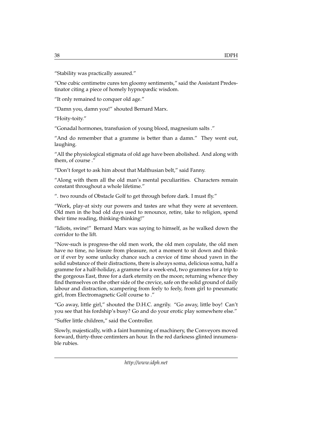"Stability was practically assured."

"One cubic centimetre cures ten gloomy sentiments," said the Assistant Predestinator citing a piece of homely hypnopædic wisdom.

"It only remained to conquer old age."

"Damn you, damn you!" shouted Bernard Marx.

"Hoity-toity."

"Gonadal hormones, transfusion of young blood, magnesium salts ."

"And do remember that a gramme is better than a damn." They went out, laughing.

"All the physiological stigmata of old age have been abolished. And along with them, of course ."

"Don't forget to ask him about that Malthusian belt," said Fanny.

"Along with them all the old man's mental peculiarities. Characters remain constant throughout a whole lifetime."

". two rounds of Obstacle Golf to get through before dark. I must fly."

"Work, play-at sixty our powers and tastes are what they were at seventeen. Old men in the bad old days used to renounce, retire, take to religion, spend their time reading, thinking-thinking!"

"Idiots, swine!" Bernard Marx was saying to himself, as he walked down the corridor to the lift.

"Now-such is progress-the old men work, the old men copulate, the old men have no time, no leisure from pleasure, not a moment to sit down and thinkor if ever by some unlucky chance such a crevice of time shoud yawn in the solid substance of their distractions, there is always soma, delicious soma, half a gramme for a half-holiday, a gramme for a week-end, two grammes for a trip to the gorgeous East, three for a dark eternity on the moon; returning whence they find themselves on the other side of the crevice, safe on the solid ground of daily labour and distraction, scampering from feely to feely, from girl to pneumatic girl, from Electromagnetic Golf course to ."

"Go away, little girl," shouted the D.H.C. angrily. "Go away, little boy! Can't you see that his fordship's busy? Go and do your erotic play somewhere else."

"Suffer little children," said the Controller.

Slowly, majestically, with a faint humming of machinery, the Conveyors moved forward, thirty-three centimters an hour. In the red darkness glinted innumerable rubies.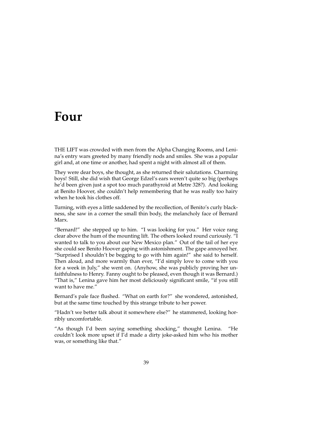## **Four**

THE LIFT was crowded with men from the Alpha Changing Rooms, and Lenina's entry wars greeted by many friendly nods and smiles. She was a popular girl and, at one time or another, had spent a night with almost all of them.

They were dear boys, she thought, as she returned their salutations. Charming boys! Still, she did wish that George Edzel's ears weren't quite so big (perhaps he'd been given just a spot too much parathyroid at Metre 328?). And looking at Benito Hoover, she couldn't help remembering that he was really too hairy when he took his clothes off.

Turning, with eyes a little saddened by the recollection, of Benito's curly blackness, she saw in a corner the small thin body, the melancholy face of Bernard Marx.

"Bernard!" she stepped up to him. "I was looking for you." Her voice rang clear above the hum of the mounting lift. The others looked round curiously. "I wanted to talk to you about our New Mexico plan." Out of the tail of her eye she could see Benito Hoover gaping with astonishment. The gape annoyed her. "Surprised I shouldn't be begging to go with him again!" she said to herself. Then aloud, and more warmly than ever, "I'd simply love to come with you for a week in July," she went on. (Anyhow, she was publicly proving her unfaithfulness to Henry. Fanny ought to be pleased, even though it was Bernard.) "That is," Lenina gave him her most deliciously significant smile, "if you still want to have me."

Bernard's pale face flushed. "What on earth for?" she wondered, astonished, but at the same time touched by this strange tribute to her power.

"Hadn't we better talk about it somewhere else?" he stammered, looking horribly uncomfortable.

"As though I'd been saying something shocking," thought Lenina. "He couldn't look more upset if I'd made a dirty joke-asked him who his mother was, or something like that."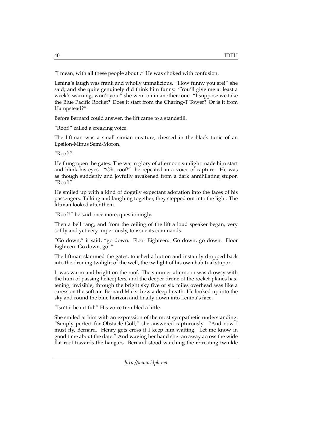"I mean, with all these people about ." He was choked with confusion.

Lenina's laugh was frank and wholly unmalicious. "How funny you are!" she said; and she quite genuinely did think him funny. "You'll give me at least a week's warning, won't you," she went on in another tone. "I suppose we take the Blue Pacific Rocket? Does it start from the Charing-T Tower? Or is it from Hampstead?"

Before Bernard could answer, the lift came to a standstill.

"Roof!" called a creaking voice.

The liftman was a small simian creature, dressed in the black tunic of an Epsilon-Minus Semi-Moron.

"Roof!"

He flung open the gates. The warm glory of afternoon sunlight made him start and blink his eyes. "Oh, roof!" he repeated in a voice of rapture. He was as though suddenly and joyfully awakened from a dark annihilating stupor. "Roof!"

He smiled up with a kind of doggily expectant adoration into the faces of his passengers. Talking and laughing together, they stepped out into the light. The liftman looked after them.

"Roof?" he said once more, questioningly.

Then a bell rang, and from the ceiling of the lift a loud speaker began, very softly and yet very imperiously, to issue its commands.

"Go down," it said, "go down. Floor Eighteen. Go down, go down. Floor Eighteen. Go down, go ."

The liftman slammed the gates, touched a button and instantly dropped back into the droning twilight of the well, the twilight of his own habitual stupor.

It was warm and bright on the roof. The summer afternoon was drowsy with the hum of passing helicopters; and the deeper drone of the rocket-planes hastening, invisible, through the bright sky five or six miles overhead was like a caress on the soft air. Bernard Marx drew a deep breath. He looked up into the sky and round the blue horizon and finally down into Lenina's face.

"Isn't it beautiful!" His voice trembled a little.

She smiled at him with an expression of the most sympathetic understanding. "Simply perfect for Obstacle Golf," she answered rapturously. "And now I must fly, Bernard. Henry gets cross if I keep him waiting. Let me know in good time about the date." And waving her hand she ran away across the wide flat roof towards the hangars. Bernard stood watching the retreating twinkle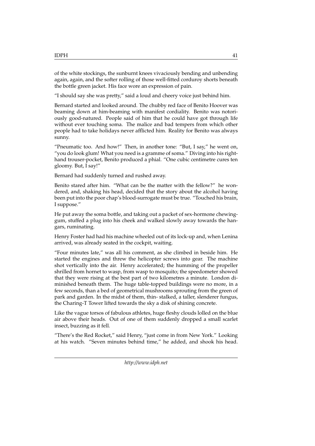of the white stockings, the sunburnt knees vivaciously bending and unbending again, again, and the softer rolling of those well-fitted corduroy shorts beneath the bottle green jacket. His face wore an expression of pain.

"I should say she was pretty," said a loud and cheery voice just behind him.

Bernard started and looked around. The chubby red face of Benito Hoover was beaming down at him-beaming with manifest cordiality. Benito was notoriously good-natured. People said of him that he could have got through life without ever touching soma. The malice and bad tempers from which other people had to take holidays never afflicted him. Reality for Benito was always sunny.

"Pneumatic too. And how!" Then, in another tone: "But, I say," he went on, "you do look glum! What you need is a gramme of soma." Diving into his righthand trouser-pocket, Benito produced a phial. "One cubic centimetre cures ten gloomy. But, I say!"

Bernard had suddenly turned and rushed away.

Benito stared after him. "What can be the matter with the fellow?" he wondered, and, shaking his head, decided that the story about the alcohol having been put into the poor chap's blood-surrogate must be true. "Touched his brain, I suppose."

He put away the soma bottle, and taking out a packet of sex-hormone chewinggum, stuffed a plug into his cheek and walked slowly away towards the hangars, ruminating.

Henry Foster had had his machine wheeled out of its lock-up and, when Lenina arrived, was already seated in the cockpit, waiting.

"Four minutes late," was all his comment, as she climbed in beside him. He started the engines and threw the helicopter screws into gear. The machine shot vertically into the air. Henry accelerated; the humming of the propeller shrilled from hornet to wasp, from wasp to mosquito; the speedometer showed that they were rising at the best part of two kilometres a minute. London diminished beneath them. The huge table-topped buildings were no more, in a few seconds, than a bed of geometrical mushrooms sprouting from the green of park and garden. In the midst of them, thin- stalked, a taller, slenderer fungus, the Charing-T Tower lifted towards the sky a disk of shining concrete.

Like the vague torsos of fabulous athletes, huge fleshy clouds lolled on the blue air above their heads. Out of one of them suddenly dropped a small scarlet insect, buzzing as it fell.

"There's the Red Rocket," said Henry, "just come in from New York." Looking at his watch. "Seven minutes behind time," he added, and shook his head.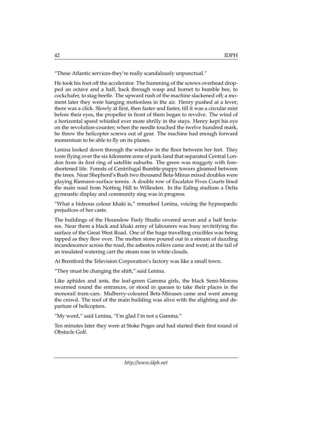"These Atlantic services-they're really scandalously unpunctual."

He took his foot off the accelerator. The humming of the screws overhead dropped an octave and a half, back through wasp and hornet to bumble bee, to cockchafer, to stag-beetle. The upward rush of the machine slackened off; a moment later they were hanging motionless in the air. Henry pushed at a lever; there was a click. Slowly at first, then faster and faster, till it was a circular mist before their eyes, the propeller in front of them began to revolve. The wind of a horizontal speed whistled ever more shrilly in the stays. Henry kept his eye on the revolution-counter; when the needle touched the twelve hundred mark, he threw the helicopter screws out of gear. The machine had enough forward momentum to be able to fly on its planes.

Lenina looked down through the window in the floor between her feet. They were flying over the six kilometre zone of park-land that separated Central London from its first ring of satellite suburbs. The green was maggoty with foreshortened life. Forests of Centrifugal Bumble-puppy towers gleamed between the trees. Near Shepherd's Bush two thousand Beta-Minus mixed doubles were playing Riemann-surface tennis. A double row of Escalator Fives Courts lined the main road from Notting Hill to Willesden. In the Ealing stadium a Delta gymnastic display and community sing was in progress.

"What a hideous colour khaki is," remarked Lenina, voicing the hypnopædic prejudices of her caste.

The buildings of the Hounslow Feely Studio covered seven and a half hectares. Near them a black and khaki army of labourers was busy revitrifying the surface of the Great West Road. One of the huge travelling crucibles was being tapped as they flew over. The molten stone poured out in a stream of dazzling incandescence across the road, the asbestos rollers came and went; at the tail of an insulated watering cart the steam rose in white clouds.

At Brentford the Television Corporation's factory was like a small town.

"They must be changing the shift," said Lenina.

Like aphides and ants, the leaf-green Gamma girls, the black Semi-Morons swarmed round the entrances, or stood in queues to take their places in the monorail tram-cars. Mulberry-coloured Beta-Minuses came and went among the crowd. The roof of the main building was alive with the alighting and departure of helicopters.

"My word," said Lenina, "I'm glad I'm not a Gamma."

Ten minutes later they were at Stoke Poges and had started their first round of Obstacle Golf.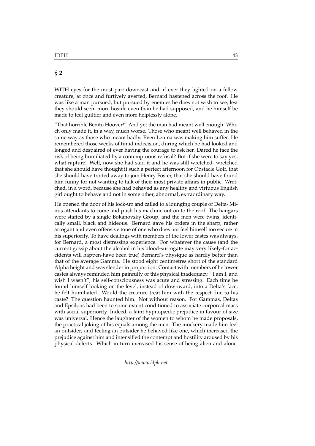### **§ 2**

WITH eyes for the most part downcast and, if ever they lighted on a fellow creature, at once and furtively averted, Bernard hastened across the roof. He was like a man pursued, but pursued by enemies he does not wish to see, lest they should seem more hostile even than he had supposed, and he himself be made to feel guiltier and even more helplessly alone.

"That horrible Benito Hoover!" And yet the man had meant well enough. Which only made it, in a way, much worse. Those who meant well behaved in the same way as those who meant badly. Even Lenina was making him suffer. He remembered those weeks of timid indecision, during which he had looked and longed and despaired of ever having the courage to ask her. Dared he face the risk of being humiliated by a contemptuous refusal? But if she were to say yes, what rapture! Well, now she had said it and he was still wretched- wretched that she should have thought it such a perfect afternoon for Obstacle Golf, that she should have trotted away to join Henry Foster, that she should have found him funny for not wanting to talk of their most private affairs in public. Wretched, in a word, because she had behaved as any healthy and virtuous English girl ought to behave and not in some other, abnormal, extraordinary way.

He opened the door of his lock-up and called to a lounging couple of Delta- Minus attendants to come and push his machine out on to the roof. The hangars were staffed by a single Bokanovsky Group, and the men were twins, identically small, black and hideous. Bernard gave his orders in the sharp, rather arrogant and even offensive tone of one who does not feel himself too secure in his superiority. To have dealings with members of the lower castes was always, for Bernard, a most distressing experience. For whatever the cause (and the current gossip about the alcohol in his blood-surrogate may very likely-for accidents will happen-have been true) Bernard's physique as hardly better than that of the average Gamma. He stood eight centimetres short of the standard Alpha height and was slender in proportion. Contact with members of he lower castes always reminded him painfully of this physical inadequacy. "I am I, and wish I wasn't"; his self-consciousness was acute and stressing. Each time he found himself looking on the level, instead of downward, into a Delta's face, he felt humiliated. Would the creature treat him with the respect due to his caste? The question haunted him. Not without reason. For Gammas, Deltas and Epsilons had been to some extent conditioned to associate corporeal mass with social superiority. Indeed, a faint hypnopædic prejudice in favour of size was universal. Hence the laughter of the women to whom he made proposals, the practical joking of his equals among the men. The mockery made him feel an outsider; and feeling an outsider he behaved like one, which increased the prejudice against him and intensified the contempt and hostility aroused by his physical defects. Which in turn increased his sense of being alien and alone.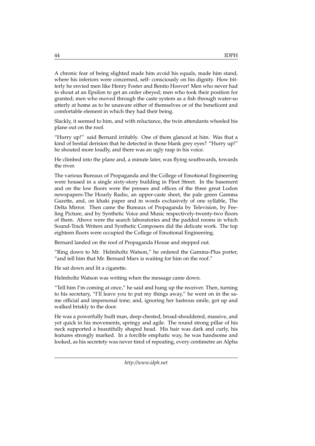A chronic fear of being slighted made him avoid his equals, made him stand, where his inferiors were concerned, self- consciously on his dignity. How bitterly he envied men like Henry Foster and Benito Hoover! Men who never had to shout at an Epsilon to get an order obeyed; men who took their position for granted; men who moved through the caste system as a fish through water-so utterly at home as to be unaware either of themselves or of the beneficent and comfortable element in which they had their being.

Slackly, it seemed to him, and with reluctance, the twin attendants wheeled his plane out on the roof.

"Hurry up!" said Bernard irritably. One of them glanced at him. Was that a kind of bestial derision that he detected in those blank grey eyes? "Hurry up!" he shouted more loudly, and there was an ugly rasp in his voice.

He climbed into the plane and, a minute later, was flying southwards, towards the river.

The various Bureaux of Propaganda and the College of Emotional Engineering were housed in a single sixty-story building in Fleet Street. In the basement and on the low floors were the presses and offices of the three great Lodon newspapers-The Hourly Radio, an upper-caste sheet, the pale green Gamma Gazette, and, on khaki paper and in words exclusively of one syllable, The Delta Mirror. Then came the Bureaux of Propaganda by Television, by Feeling Picture, and by Synthetic Voice and Music respectively-twenty-two floors of them. Above were the search laboratories and the padded rooms in which Sound-Track Writers and Synthetic Composers did the delicate work. The top eighteen floors were occupied the College of Emotional Engineering.

Bernard landed on the roof of Propaganda House and stepped out.

"Ring down to Mr. Helmholtz Watson," he ordered the Gamma-Plus porter, "and tell him that Mr. Bernard Marx is waiting for him on the roof."

He sat down and lit a cigarette.

Helmholtz Watson was writing when the message came down.

"Tell him I'm coming at once," he said and hung up the receiver. Then, turning to his secretary, "I'll leave you to put my things away," he went on in the same official and impersonal tone; and, ignoring her lustrous smile, got up and walked briskly to the door.

He was a powerfully built man, deep-chested, broad-shouldered, massive, and yet quick in his movements, springy and agile. The round strong pillar of his neck supported a beautifully shaped head. His hair was dark and curly, his features strongly marked. In a forcible emphatic way, he was handsome and looked, as his secretety was never tired of repeating, every centimetre an Alpha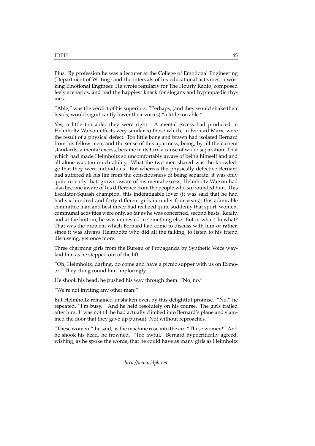Plus. By profession he was a lecturer at the College of Emotional Engineering (Department of Writing) and the intervals of his educational activities, a working Emotional Engineer. He wrote regularly for The Hourly Radio, composed feely scenarios, and had the happiest knack for slogans and hypnopædic rhymes.

"Able," was the verdict of his superiors. "Perhaps, (and they would shake their heads, would significantly lower their voices) "a little too able."

Yes, a little too able; they were right. A mental excess had produced in Helmholtz Watson effects very similar to those which, in Bernard Marx, were the result of a physical defect. Too little bone and brawn had isolated Bernard from his fellow men, and the sense of this apartness, being, by all the current standards, a mental excess, became in its turn a cause of wider separation. That which had made Helmholtz so uncomfortably aware of being himself and and all alone was too much ability. What the two men shared was the knowledge that they were individuals. But whereas the physically defective Bernard had suffered all his life from the consciousness of being separate, it was only quite recently that, grown aware of his mental excess, Helmholtz Watson had also become aware of his difference from the people who surrounded him. This Escalator-Squash champion, this indefatigable lover (it was said that he had had six hundred and forty different girls in under four years), this admirable committee man and best mixer had realized quite suddenly that sport, women, communal activities were only, so far as he was concerned, second bests. Really, and at the bottom, he was interested in something else. But in what? In what? That was the problem which Bernard had come to discuss with him-or rather, since it was always Helmholtz who did all the talking, to listen to his friend discussing, yet once more.

Three charming girls from the Bureau of Propaganda by Synthetic Voice waylaid him as he stepped out of the lift.

"Oh, Helmholtz, darling, do come and have a picnic supper with us on Exmoor." They clung round him imploringly.

He shook his head, he pushed his way through them. "No, no."

"We're not inviting any other man."

But Helmholtz remained unshaken even by this delightful promise. "No," he repeated, "I'm busy." And he held resolutely on his course. The girls trailed after him. It was not till he had actually climbed into Bernard's plane and slammed the door that they gave up pursuit. Not without reproaches.

"These women!" he said, as the machine rose into the air. "These women!" And he shook his head, he frowned. "Too awful," Bernard hypocritically agreed, wishing, as he spoke the words, that he could have as many girls as Helmholtz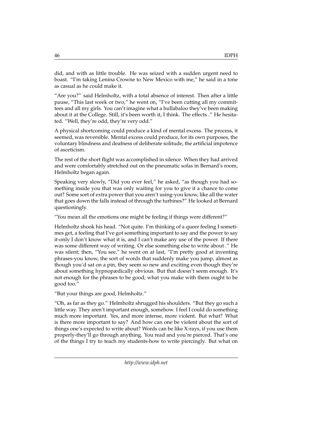did, and with as little trouble. He was seized with a sudden urgent need to boast. "I'm taking Lenina Crowne to New Mexico with me," he said in a tone as casual as he could make it.

"Are you?" said Helmholtz, with a total absence of interest. Then after a little pause, "This last week or two," he went on, "I've been cutting all my committees and all my girls. You can't imagine what a hullabaloo they've been making about it at the College. Still, it's been worth it, I think. The effects ." He hesitated. "Well, they're odd, they're very odd."

A physical shortcoming could produce a kind of mental excess. The process, it seemed, was reversible. Mental excess could produce, for its own purposes, the voluntary blindness and deafness of deliberate solitude, the artificial impotence of asceticism.

The rest of the short flight was accomplished in silence. When they had arrived and were comfortably stretched out on the pneumatic sofas in Bernard's room, Helmholtz began again.

Speaking very slowly, "Did you ever feel," he asked, "as though you had something inside you that was only waiting for you to give it a chance to come out? Some sort of extra power that you aren't using-you know, like all the water that goes down the falls instead of through the turbines?" He looked at Bernard questioningly.

"You mean all the emotions one might be feeling if things were different?"

Helmholtz shook his head. "Not quite. I'm thinking of a queer feeling I sometimes get, a feeling that I've got something important to say and the power to say it-only I don't know what it is, and I can't make any use of the power. If there was some different way of writing. Or else something else to write about ." He was silent; then, "You see," he went on at last, "I'm pretty good at inventing phrases-you know, the sort of words that suddenly make you jump, almost as though you'd sat on a pin, they seem so new and exciting even though they're about something hypnopædically obvious. But that doesn't seem enough. It's not enough for the phrases to be good; what you make with them ought to be good too."

"But your things are good, Helmholtz."

"Oh, as far as they go." Helmholtz shrugged his shoulders. "But they go such a little way. They aren't important enough, somehow. I feel I could do something much more important. Yes, and more intense, more violent. But what? What is there more important to say? And how can one be violent about the sort of things one's expected to write about? Words can be like X-rays, if you use them properly-they'll go through anything. You read and you're pierced. That's one of the things I try to teach my students-how to write piercingly. But what on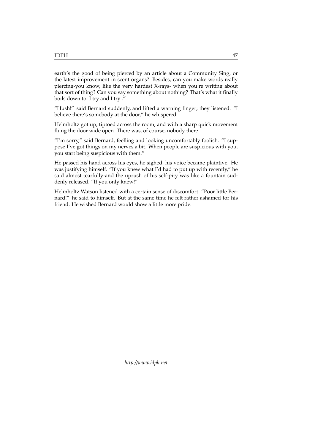earth's the good of being pierced by an article about a Community Sing, or the latest improvement in scent organs? Besides, can you make words really piercing-you know, like the very hardest X-rays- when you're writing about that sort of thing? Can you say something about nothing? That's what it finally boils down to. I try and I try ."

"Hush!" said Bernard suddenly, and lifted a warning finger; they listened. "I believe there's somebody at the door," he whispered.

Helmholtz got up, tiptoed across the room, and with a sharp quick movement flung the door wide open. There was, of course, nobody there.

"I'm sorry," said Bernard, feelling and looking uncomfortably foolish. "I suppose I've got things on my nerves a bit. When people are suspicious with you, you start being suspicious with them."

He passed his hand across his eyes, he sighed, his voice became plaintive. He was justifying himself. "If you knew what I'd had to put up with recently," he said almost tearfully-and the uprush of his self-pity was like a fountain suddenly released. "If you only knew!"

Helmholtz Watson listened with a certain sense of discomfort. "Poor little Bernard!" he said to himself. But at the same time he felt rather ashamed for his friend. He wished Bernard would show a little more pride.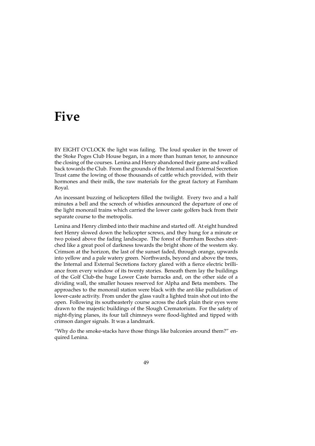## **Five**

BY EIGHT O'CLOCK the light was failing. The loud speaker in the tower of the Stoke Poges Club House began, in a more than human tenor, to announce the closing of the courses. Lenina and Henry abandoned their game and walked back towards the Club. From the grounds of the Internal and External Secretion Trust came the lowing of those thousands of cattle which provided, with their hormones and their milk, the raw materials for the great factory at Farnham Royal.

An incessant buzzing of helicopters filled the twilight. Every two and a half minutes a bell and the screech of whistles announced the departure of one of the light monorail trains which carried the lower caste golfers back from their separate course to the metropolis.

Lenina and Henry climbed into their machine and started off. At eight hundred feet Henry slowed down the helicopter screws, and they hung for a minute or two poised above the fading landscape. The forest of Burnham Beeches stretched like a great pool of darkness towards the bright shore of the western sky. Crimson at the horizon, the last of the sunset faded, through orange, upwards into yellow and a pale watery green. Northwards, beyond and above the trees, the Internal and External Secretions factory glared with a fierce electric brilliance from every window of its twenty stories. Beneath them lay the buildings of the Golf Club-the huge Lower Caste barracks and, on the other side of a dividing wall, the smaller houses reserved for Alpha and Beta members. The approaches to the monorail station were black with the ant-like pullulation of lower-caste activity. From under the glass vault a lighted train shot out into the open. Following its southeasterly course across the dark plain their eyes were drawn to the majestic buildings of the Slough Crematorium. For the safety of night-flying planes, its four tall chimneys were flood-lighted and tipped with crimson danger signals. It was a landmark.

"Why do the smoke-stacks have those things like balconies around them?" enquired Lenina.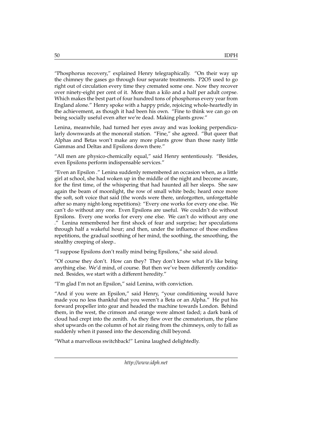"Phosphorus recovery," explained Henry telegraphically. "On their way up the chimney the gases go through four separate treatments. P2O5 used to go right out of circulation every time they cremated some one. Now they recover over ninety-eight per cent of it. More than a kilo and a half per adult corpse. Which makes the best part of four hundred tons of phosphorus every year from England alone." Henry spoke with a happy pride, rejoicing whole-heartedly in the achievement, as though it had been his own. "Fine to think we can go on being socially useful even after we're dead. Making plants grow."

Lenina, meanwhile, had turned her eyes away and was looking perpendicularly downwards at the monorail station. "Fine," she agreed. "But queer that Alphas and Betas won't make any more plants grow than those nasty little Gammas and Deltas and Epsilons down there."

"All men are physico-chemically equal," said Henry sententiously. "Besides, even Epsilons perform indispensable services."

"Even an Epsilon ." Lenina suddenly remembered an occasion when, as a little girl at school, she had woken up in the middle of the night and become aware, for the first time, of the whispering that had haunted all her sleeps. She saw again the beam of moonlight, the row of small white beds; heard once more the soft, soft voice that said (the words were there, unforgotten, unforgettable after so many night-long repetitions): "Every one works for every one else. We can't do without any one. Even Epsilons are useful. We couldn't do without Epsilons. Every one works for every one else. We can't do without any one ." Lenina remembered her first shock of fear and surprise; her speculations through half a wakeful hour; and then, under the influence of those endless repetitions, the gradual soothing of her mind, the soothing, the smoothing, the stealthy creeping of sleep..

"I suppose Epsilons don't really mind being Epsilons," she said aloud.

"Of course they don't. How can they? They don't know what it's like being anything else. We'd mind, of course. But then we've been differently conditioned. Besides, we start with a different heredity."

"I'm glad I'm not an Epsilon," said Lenina, with conviction.

"And if you were an Epsilon," said Henry, "your conditioning would have made you no less thankful that you weren't a Beta or an Alpha." He put his forward propeller into gear and headed the machine towards London. Behind them, in the west, the crimson and orange were almost faded; a dark bank of cloud had crept into the zenith. As they flew over the crematorium, the plane shot upwards on the column of hot air rising from the chimneys, only to fall as suddenly when it passed into the descending chill beyond.

"What a marvellous switchback!" Lenina laughed delightedly.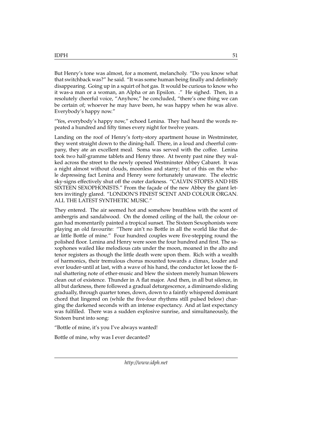But Henry's tone was almost, for a moment, melancholy. "Do you know what that switchback was?" he said. "It was some human being finally and definitely disappearing. Going up in a squirt of hot gas. It would be curious to know who it was-a man or a woman, an Alpha or an Epsilon. ." He sighed. Then, in a resolutely cheerful voice, "Anyhow," he concluded, "there's one thing we can be certain of; whoever he may have been, he was happy when he was alive. Everybody's happy now."

"Yes, everybody's happy now," echoed Lenina. They had heard the words repeated a hundred and fifty times every night for twelve years.

Landing on the roof of Henry's forty-story apartment house in Westminster, they went straight down to the dining-hall. There, in a loud and cheerful company, they ate an excellent meal. Soma was served with the coffee. Lenina took two half-gramme tablets and Henry three. At twenty past nine they walked across the street to the newly opened Westminster Abbey Cabaret. It was a night almost without clouds, moonless and starry; but of this on the whole depressing fact Lenina and Henry were fortunately unaware. The electric sky-signs effectively shut off the outer darkness. "CALVIN STOPES AND HIS SIXTEEN SEXOPHONISTS." From the façade of the new Abbey the giant letters invitingly glared. "LONDON'S FINEST SCENT AND COLOUR ORGAN. ALL THE LATEST SYNTHETIC MUSIC."

They entered. The air seemed hot and somehow breathless with the scent of ambergris and sandalwood. On the domed ceiling of the hall, the colour organ had momentarily painted a tropical sunset. The Sixteen Sexophonists were playing an old favourite: "There ain't no Bottle in all the world like that dear little Bottle of mine." Four hundred couples were five-stepping round the polished floor. Lenina and Henry were soon the four hundred and first. The saxophones wailed like melodious cats under the moon, moaned in the alto and tenor registers as though the little death were upon them. Rich with a wealth of harmonics, their tremulous chorus mounted towards a climax, louder and ever louder-until at last, with a wave of his hand, the conductor let loose the final shattering note of ether-music and blew the sixteen merely human blowers clean out of existence. Thunder in A flat major. And then, in all but silence, in all but darkness, there followed a gradual deturgescence, a diminuendo sliding gradually, through quarter tones, down, down to a faintly whispered dominant chord that lingered on (while the five-four rhythms still pulsed below) charging the darkened seconds with an intense expectancy. And at last expectancy was fulfilled. There was a sudden explosive sunrise, and simultaneously, the Sixteen burst into song:

"Bottle of mine, it's you I've always wanted!

Bottle of mine, why was I ever decanted?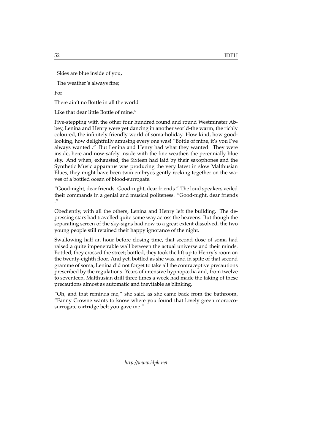Skies are blue inside of you,

The weather's always fine;

For

There ain't no Bottle in all the world

Like that dear little Bottle of mine."

Five-stepping with the other four hundred round and round Westminster Abbey, Lenina and Henry were yet dancing in another world-the warm, the richly coloured, the infinitely friendly world of soma-holiday. How kind, how goodlooking, how delightfully amusing every one was! "Bottle of mine, it's you I've always wanted ." But Lenina and Henry had what they wanted. They were inside, here and now-safely inside with the fine weather, the perennially blue sky. And when, exhausted, the Sixteen had laid by their saxophones and the Synthetic Music apparatus was producing the very latest in slow Malthusian Blues, they might have been twin embryos gently rocking together on the waves of a bottled ocean of blood-surrogate.

"Good-night, dear friends. Good-night, dear friends." The loud speakers veiled their commands in a genial and musical politeness. "Good-night, dear friends ."

Obediently, with all the others, Lenina and Henry left the building. The depressing stars had travelled quite some way across the heavens. But though the separating screen of the sky-signs had now to a great extent dissolved, the two young people still retained their happy ignorance of the night.

Swallowing half an hour before closing time, that second dose of soma had raised a quite impenetrable wall between the actual universe and their minds. Bottled, they crossed the street; bottled, they took the lift up to Henry's room on the twenty-eighth floor. And yet, bottled as she was, and in spite of that second gramme of soma, Lenina did not forget to take all the contraceptive precautions prescribed by the regulations. Years of intensive hypnopædia and, from twelve to seventeen, Malthusian drill three times a week had made the taking of these precautions almost as automatic and inevitable as blinking.

"Oh, and that reminds me," she said, as she came back from the bathroom, "Fanny Crowne wants to know where you found that lovely green moroccosurrogate cartridge belt you gave me."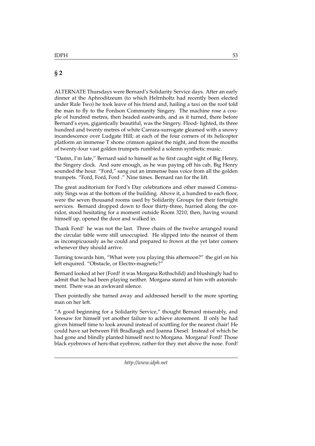### **§ 2**

ALTERNATE Thursdays were Bernard's Solidarity Service days. After an early dinner at the Aphroditzeum (to which Helrnholtz had recently been elected under Rule Two) he took leave of his friend and, hailing a taxi on the roof told the man to fly to the Fordson Community Singery. The machine rose a couple of hundred metres, then headed eastwards, and as it turned, there before Bernard's eyes, gigantically beautiful, was the Singery. Flood- lighted, its three hundred and twenty metres of white Carrara-surrogate gleamed with a snowy incandescence over Ludgate Hill; at each of the four corners of its helicopter platform an immense T shone crimson against the night, and from the mouths of twenty-four vast golden trumpets rumbled a solemn synthetic music.

"Damn, I'm late," Bernard said to himself as he first caught sight of Big Henry, the Singery clock. And sure enough, as he was paying off his cab, Big Henry sounded the hour. "Ford," sang out an immense bass voice from all the golden trumpets. "Ford, Ford, Ford ." Nine times. Bernard ran for the lift.

The great auditorium for Ford's Day celebrations and other massed Community Sings was at the bottom of the building. Above it, a hundred to each floor, were the seven thousand rooms used by Solidarity Groups for their fortnight services. Bernard dropped down to floor thirty-three, hurried along the corridor, stood hesitating for a moment outside Room 3210, then, having wound himself up, opened the door and walked in.

Thank Ford! he was not the last. Three chairs of the twelve arranged round the circular table were still unoccupied. He slipped into the nearest of them as inconspicuously as he could and prepared to frown at the yet later comers whenever they should arrive.

Turning towards him, "What were you playing this afternoon?" the girl on his left enquired. "Obstacle, or Electro-magnetic?"

Bernard looked at her (Ford! it was Morgana Rothschild) and blushingly had to admit that he had been playing neither. Morgana stared at him with astonishment. There was an awkward silence.

Then pointedly she turned away and addressed herself to the more sporting man on her left.

"A good beginning for a Solidarity Service," thought Bernard miserably, and foresaw for himself yet another failure to achieve atonement. If only he had given himself time to look around instead of scuttling for the nearest chair! He could have sat between Fifi Bradlaugh and Joanna Diesel. Instead of which he had gone and blindly planted himself next to Morgana. Morgana! Ford! Those black eyebrows of hers-that eyebrow, rather-for they met above the nose. Ford!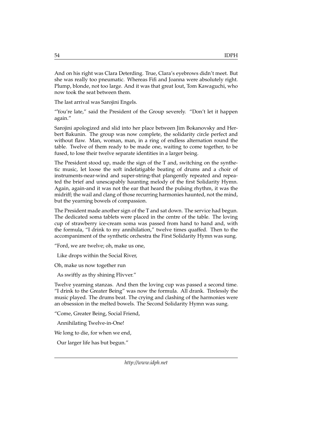And on his right was Clara Deterding. True, Clara's eyebrows didn't meet. But she was really too pneumatic. Whereas Fifi and Joanna were absolutely right. Plump, blonde, not too large. And it was that great lout, Tom Kawaguchi, who now took the seat between them.

The last arrival was Sarojini Engels.

"You're late," said the President of the Group severely. "Don't let it happen again."

Sarojini apologized and slid into her place between Jim Bokanovsky and Herbert Bakunin. The group was now complete, the solidarity circle perfect and without flaw. Man, woman, man, in a ring of endless alternation round the table. Twelve of them ready to be made one, waiting to come together, to be fused, to lose their twelve separate identities in a larger being.

The President stood up, made the sign of the T and, switching on the synthetic music, let loose the soft indefatigable beating of drums and a choir of instruments-near-wind and super-string-that plangently repeated and repeated the brief and unescapably haunting melody of the first Solidarity Hymn. Again, again-and it was not the ear that heard the pulsing rhythm, it was the midriff; the wail and clang of those recurring harmonies haunted, not the mind, but the yearning bowels of compassion.

The President made another sign of the T and sat down. The service had begun. The dedicated soma tablets were placed in the centre of the table. The loving cup of strawberry ice-cream soma was passed from hand to hand and, with the formula, "I drink to my annihilation," twelve times quaffed. Then to the accompaniment of the synthetic orchestra the First Solidarity Hymn was sung.

"Ford, we are twelve; oh, make us one,

Like drops within the Social River,

Oh, make us now together run

As swiftly as thy shining Flivver."

Twelve yearning stanzas. And then the loving cup was passed a second time. "I drink to the Greater Being" was now the formula. All drank. Tirelessly the music played. The drums beat. The crying and clashing of the harmonies were an obsession in the melted bowels. The Second Solidarity Hymn was sung.

"Come, Greater Being, Social Friend,

Annihilating Twelve-in-One!

We long to die, for when we end,

Our larger life has but begun."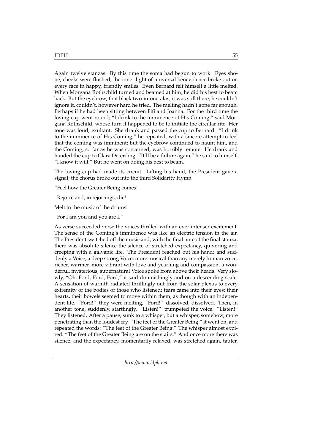Again twelve stanzas. By this time the soma had begun to work. Eyes shone, cheeks were flushed, the inner light of universal benevolence broke out on every face in happy, friendly smiles. Even Bernard felt himself a little melted. When Morgana Rothschild turned and beamed at him, he did his best to beam back. But the eyebrow, that black two-in-one-alas, it was still there; he couldn't ignore it, couldn't, however hard he tried. The melting hadn't gone far enough. Perhaps if he had been sitting between Fifi and Joanna. For the third time the loving cup went round; "I drink to the imminence of His Coming," said Morgana Rothschild, whose turn it happened to be to initiate the circular rite. Her tone was loud, exultant. She drank and passed the cup to Bernard. "I drink to the imminence of His Coming," he repeated, with a sincere attempt to feel that the coming was imminent; but the eyebrow continued to haunt him, and the Coming, so far as he was concerned, was horribly remote. He drank and handed the cup to Clara Deterding. "It'll be a failure again," he said to himself. "I know it will." But he went on doing his best to beam.

The loving cup had made its circuit. Lifting his hand, the President gave a signal; the chorus broke out into the third Solidarity Hymn.

"Feel how the Greater Being comes!

Rejoice and, in rejoicings, die!

Melt in the music of the drums!

For I am you and you are I."

As verse succeeded verse the voices thrilled with an ever intenser excitement. The sense of the Coming's imminence was like an electric tension in the air. The President switched off the music and, with the final note of the final stanza, there was absolute silence-the silence of stretched expectancy, quivering and creeping with a galvanic life. The President reached out his hand; and suddenly a Voice, a deep strong Voice, more musical than any merely human voice, richer, warmer, more vibrant with love and yearning and compassion, a wonderful, mysterious, supernatural Voice spoke from above their heads. Very slowly, "Oh, Ford, Ford, Ford," it said diminishingly and on a descending scale. A sensation of warmth radiated thrillingly out from the solar plexus to every extremity of the bodies of those who listened; tears came into their eyes; their hearts, their bowels seemed to move within them, as though with an independent life. "Ford!" they were melting, "Ford!" dissolved, dissolved. Then, in another tone, suddenly, startlingly. "Listen!" trumpeted the voice. "Listen!" They listened. After a pause, sunk to a whisper, but a whisper, somehow, more penetrating than the loudest cry. "The feet of the Greater Being," it went on, and repeated the words: "The feet of the Greater Being." The whisper almost expired. "The feet of the Greater Being are on the stairs." And once more there was silence; and the expectancy, momentarily relaxed, was stretched again, tauter,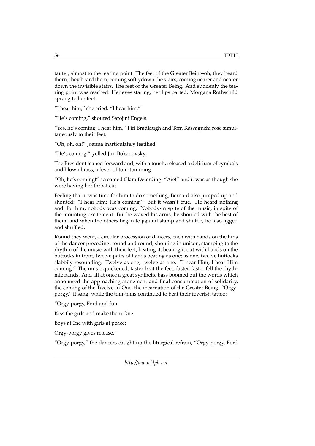tauter, almost to the tearing point. The feet of the Greater Being-oh, they heard thern, they heard them, coming softlydown the stairs, coming nearer and nearer down the invisible stairs. The feet of the Greater Being. And suddenly the tearing point was reached. Her eyes staring, her lips parted. Morgana Rothschild sprang to her feet.

"I hear him," she cried. "I hear him."

"He's coming," shouted Sarojini Engels.

"Yes, he's coming, I hear him." Fifi Bradlaugh and Tom Kawaguchi rose simultaneously to their feet.

"Oh, oh, oh!" Joanna inarticulately testified.

"He's coming!" yelled Jim Bokanovsky.

The President leaned forward and, with a touch, released a delirium of cymbals and blown brass, a fever of tom-tomming.

"Oh, he's coming!" screamed Clara Deterding. "Aie!" and it was as though she were having her throat cut.

Feeling that it was time for him to do something, Bernard also jumped up and shouted: "I hear him; He's coming." But it wasn't true. He heard nothing and, for him, nobody was coming. Nobody-in spite of the music, in spite of the mounting excitement. But he waved his arms, he shouted with the best of them; and when the others began to jig and stamp and shuffle, he also jigged and shuffled.

Round they went, a circular procession of dancers, each with hands on the hips of the dancer preceding, round and round, shouting in unison, stamping to the rhythm of the music with their feet, beating it, beating it out with hands on the buttocks in front; twelve pairs of hands beating as one; as one, twelve buttocks slabbily resounding. Twelve as one, twelve as one. "I hear Him, I hear Him coming." The music quickened; faster beat the feet, faster, faster fell the rhythmic hands. And all at once a great synthetic bass boomed out the words which announced the approaching atonement and final consummation of solidarity, the coming of the Twelve-in-One, the incarnation of the Greater Being. "Orgyporgy," it sang, while the tom-toms continued to beat their feverish tattoo:

"Orgy-porgy, Ford and fun,

Kiss the girls and make them One.

Boys at 0ne with girls at peace;

Orgy-porgy gives release."

"Orgy-porgy," the dancers caught up the liturgical refrain, "Orgy-porgy, Ford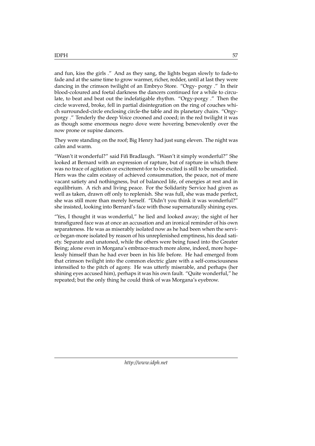and fun, kiss the girls ." And as they sang, the lights began slowly to fade-to fade and at the same time to grow warmer, richer, redder, until at last they were dancing in the crimson twilight of an Embryo Store. "Orgy- porgy ." In their blood-coloured and foetal darkness the dancers continued for a while to circulate, to beat and beat out the indefatigable rhythm. "Orgy-porgy ." Then the circle wavered, broke, fell in partial disintegration on the ring of couches which surrounded-circle enclosing circle-the table and its planetary chairs. "Orgyporgy ." Tenderly the deep Voice crooned and cooed; in the red twilight it was as though some enormous negro dove were hovering benevolently over the now prone or supine dancers.

They were standing on the roof; Big Henry had just sung eleven. The night was calm and warm.

"Wasn't it wonderful?" said Fifi Bradlaugh. "Wasn't it simply wonderful?" She looked at Bernard with an expression of rapture, but of rapture in which there was no trace of agitation or excitement-for to be excited is still to be unsatisfied. Hers was the calm ecstasy of achieved consummation, the peace, not of mere vacant satiety and nothingness, but of balanced life, of energies at rest and in equilibrium. A rich and living peace. For the Solidarity Service had given as well as taken, drawn off only to replenish. She was full, she was made perfect, she was still more than merely herself. "Didn't you think it was wonderful?" she insisted, looking into Bernard's face with those supernaturally shining eyes.

"Yes, I thought it was wonderful," he lied and looked away; the sight of her transfigured face was at once an accusation and an ironical reminder of his own separateness. He was as miserably isolated now as he had been when the service began-more isolated by reason of his unreplenished emptiness, his dead satiety. Separate and unatoned, while the others were being fused into the Greater Being; alone even in Morgana's embrace-much more alone, indeed, more hopelessly himself than he had ever been in his life before. He had emerged from that crimson twilight into the common electric glare with a self-consciousness intensified to the pitch of agony. He was utterly miserable, and perhaps (her shining eyes accused him), perhaps it was his own fault. "Quite wonderful," he repeated; but the only thing he could think of was Morgana's eyebrow.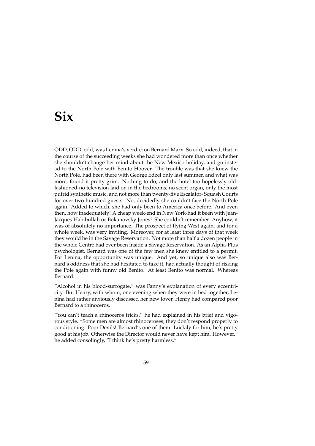# **Six**

ODD, ODD, odd, was Lenina's verdict on Bernard Marx. So odd, indeed, that in the course of the succeeding weeks she had wondered more than once whether she shouldn't change her mind about the New Mexico holiday, and go instead to the North Pole with Benito Hoover. The trouble was that she knew the North Pole, had been there with George Edzel only last summer, and what was more, found it pretty grim. Nothing to do, and the hotel too hopelessly oldfashioned-no television laid on in the bedrooms, no scent organ, only the most putrid synthetic music, and not more than twenty-five Escalator- Squash Courts for over two hundred guests. No, decidedly she couldn't face the North Pole again. Added to which, she had only been to America once before. And even then, how inadequately! A cheap week-end in New York-had it been with Jean-Jacques Habibullah or Bokanovsky Jones? She couldn't remember. Anyhow, it was of absolutely no importance. The prospect of flying West again, and for a whole week, was very inviting. Moreover, for at least three days of that week they would be in the Savage Reservation. Not more than half a dozen people in the whole Centre had ever been inside a Savage Reservation. As an Alpha-Plus psychologist, Bernard was one of the few men she knew entitled to a permit. For Lenina, the opportunity was unique. And yet, so unique also was Bernard's oddness that she had hesitated to take it, had actually thought of risking the Pole again with funny old Benito. At least Benito was normal. Whereas Bernard.

"Alcohol in his blood-surrogate," was Fanny's explanation of every eccentricity. But Henry, with whom, one evening when they were in bed together, Lenina had rather anxiously discussed her new lover, Henry had compared poor Bernard to a rhinoceros.

"You can't teach a rhinoceros tricks," he had explained in his brief and vigorous style. "Some men are almost rhinoceroses; they don't respond properly to conditioning. Poor Devils! Bernard's one of them. Luckily for him, he's pretty good at his job. Otherwise the Director would never have kept him. However," he added consolingly, "I think he's pretty harmless."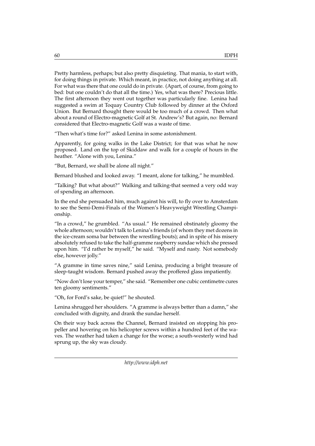Pretty harmless, perhaps; but also pretty disquieting. That mania, to start with, for doing things in private. Which meant, in practice, not doing anything at all. For what was there that one could do in private. (Apart, of course, from going to bed: but one couldn't do that all the time.) Yes, what was there? Precious little. The first afternoon they went out together was particularly fine. Lenina had suggested a swim at Toquay Country Club followed by dinner at the Oxford Union. But Bernard thought there would be too much of a crowd. Then what about a round of Electro-magnetic Golf at St. Andrew's? But again, no: Bernard considered that Electro-magnetic Golf was a waste of time.

"Then what's time for?" asked Lenina in some astonishment.

Apparently, for going walks in the Lake District; for that was what he now proposed. Land on the top of Skiddaw and walk for a couple of hours in the heather. "Alone with you, Lenina."

"But, Bernard, we shall be alone all night."

Bernard blushed and looked away. "I meant, alone for talking," he mumbled.

"Talking? But what about?" Walking and talking-that seemed a very odd way of spending an afternoon.

In the end she persuaded him, much against his will, to fly over to Amsterdam to see the Semi-Demi-Finals of the Women's Heavyweight Wrestling Championship.

"In a crowd," he grumbled. "As usual." He remained obstinately gloomy the whole afternoon; wouldn't talk to Lenina's friends (of whom they met dozens in the ice-cream soma bar between the wrestling bouts); and in spite of his misery absolutely refused to take the half-gramme raspberry sundae which she pressed upon him. "I'd rather be myself," he said. "Myself and nasty. Not somebody else, however jolly."

"A gramme in time saves nine," said Lenina, producing a bright treasure of sleep-taught wisdom. Bernard pushed away the proffered glass impatiently.

"Now don't lose your temper," she said. "Remember one cubic centimetre cures ten gloomy sentiments."

"Oh, for Ford's sake, be quiet!" he shouted.

Lenina shrugged her shoulders. "A gramme is always better than a damn," she concluded with dignity, and drank the sundae herself.

On their way back across the Channel, Bernard insisted on stopping his propeller and hovering on his helicopter screws within a hundred feet of the waves. The weather had taken a change for the worse; a south-westerly wind had sprung up, the sky was cloudy.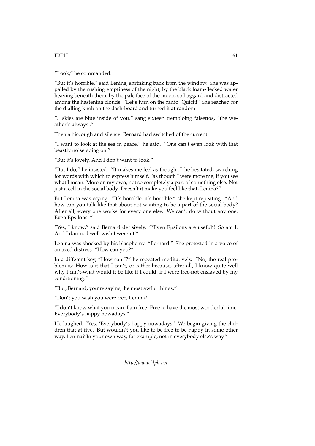#### "Look," he commanded.

"But it's horrible," said Lenina, shrtnking back from the window. She was appalled by the rushing emptiness of the night, by the black foam-flecked water heaving beneath them, by the pale face of the moon, so haggard and distracted among the hastening clouds. "Let's turn on the radio. Quick!" She reached for the dialling knob on the dash-board and turned it at random.

". skies are blue inside of you," sang sixteen tremoloing falsettos, "the weather's always ."

Then a hiccough and silence. Bernard had switched of the current.

"I want to look at the sea in peace," he said. "One can't even look with that beastly noise going on."

"But it's lovely. And I don't want to look."

"But I do," he insisted. "It makes me feel as though ." he hesitated, searching for words with which to express himself, "as though I were more me, if you see what I mean. More on my own, not so completely a part of something else. Not just a cell in the social body. Doesn't it make you feel like that, Lenina?"

But Lenina was crying. "It's horrible, it's horrible," she kept repeating. "And how can you talk like that about not wanting to be a part of the social body? After all, every one works for every one else. We can't do without any one. Even Epsilons ."

"Yes, I know," said Bernard derisively. "'Even Epsilons are useful'! So am I. And I damned well wish I weren't!"

Lenina was shocked by his blasphemy. "Bernard!" She protested in a voice of amazed distress. "How can you?"

In a different key, "How can I?" he repeated meditatively. "No, the real problem is: How is it that I can't, or rather-because, after all, I know quite well why I can't-what would it be like if I could, if I were free-not enslaved by my conditioning."

"But, Bernard, you're saying the most awful things."

"Don't you wish you were free, Lenina?"

"I don't know what you mean. I am free. Free to have the most wonderful time. Everybody's happy nowadays."

He laughed, "Yes, 'Everybody's happy nowadays.' We begin giving the children that at five. But wouldn't you like to be free to be happy in some other way, Lenina? In your own way, for example; not in everybody else's way."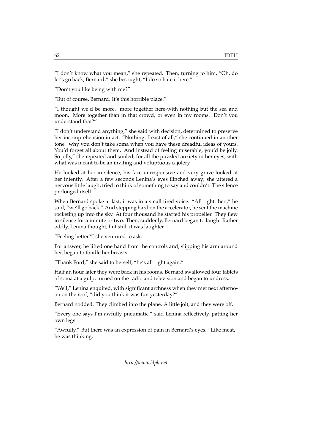"I don't know what you mean," she repeated. Then, turning to him, "Oh, do let's go back, Bernard," she besought; "I do so hate it here."

"Don't you like being with me?"

"But of course, Bernard. It's this horrible place."

"I thought we'd be more. more together here-with nothing but the sea and moon. More together than in that crowd, or even in my rooms. Don't you understand that?"

"I don't understand anything," she said with decision, determined to preserve her incomprehension intact. "Nothing. Least of all," she continued in another tone "why you don't take soma when you have these dreadful ideas of yours. You'd forget all about them. And instead of feeling miserable, you'd be jolly. So jolly," she repeated and smiled, for all the puzzled anxiety in her eyes, with what was meant to be an inviting and voluptuous cajolery.

He looked at her in silence, his face unresponsive and very grave-looked at her intently. After a few seconds Lenina's eyes flinched away; she uttered a nervous little laugh, tried to think of something to say and couldn't. The silence prolonged itself.

When Bernard spoke at last, it was in a small tired voice. "All right then," he said, "we'll go back." And stepping hard on the accelerator, he sent the machine rocketing up into the sky. At four thousand he started his propeller. They flew in silence for a minute or two. Then, suddenly, Bernard began to laugh. Rather oddly, Lenina thought, but still, it was laughter.

"Feeling better?" she ventured to ask.

For answer, he lifted one hand from the controls and, slipping his arm around her, began to fondle her breasts.

"Thank Ford," she said to herself, "he's all right again."

Half an hour later they were back in his rooms. Bernard swallowed four tablets of soma at a gulp, turned on the radio and television and began to undress.

"Well," Lenina enquired, with significant archness when they met next afternoon on the roof, "did you think it was fun yesterday?"

Bernard nodded. They climbed into the plane. A little jolt, and they were off.

"Every one says I'm awfully pneumatic," said Lenina reflectively, patting her own legs.

"Awfully." But there was an expression of pain in Bernard's eyes. "Like meat," he was thinking.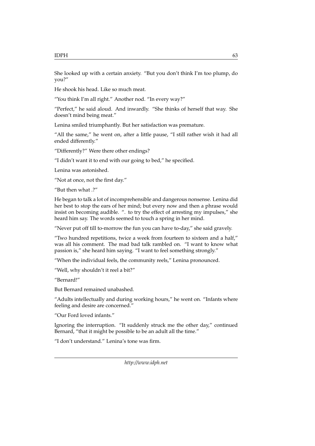She looked up with a certain anxiety. "But you don't think I'm too plump, do you?"

He shook his head. Like so much meat.

"You think I'm all right." Another nod. "In every way?"

"Perfect," he said aloud. And inwardly. "She thinks of herself that way. She doesn't mind being meat."

Lenina smiled triumphantly. But her satisfaction was premature.

"All the same," he went on, after a little pause, "I still rather wish it had all ended differently."

"Differently?" Were there other endings?

"I didn't want it to end with our going to bed," he specified.

Lenina was astonished.

"Not at once, not the first day."

"But then what .?"

He began to talk a lot of incomprehensible and dangerous nonsense. Lenina did her best to stop the ears of her mind; but every now and then a phrase would insist on becoming audible. ". to try the effect of arresting my impulses," she heard him say. The words seemed to touch a spring in her mind.

"Never put off till to-morrow the fun you can have to-day," she said gravely.

"Two hundred repetitions, twice a week from fourteen to sixteen and a half," was all his comment. The mad bad talk rambled on. "I want to know what passion is," she heard him saying. "I want to feel something strongly."

"When the individual feels, the community reels," Lenina pronounced.

"Well, why shouldn't it reel a bit?"

"Bernard!"

But Bernard remained unabashed.

"Adults intellectually and during working hours," he went on. "Infants where feeling and desire are concerned."

"Our Ford loved infants."

Ignoring the interruption. "It suddenly struck me the other day," continued Bernard, "that it might be possible to be an adult all the time."

"I don't understand." Lenina's tone was firm.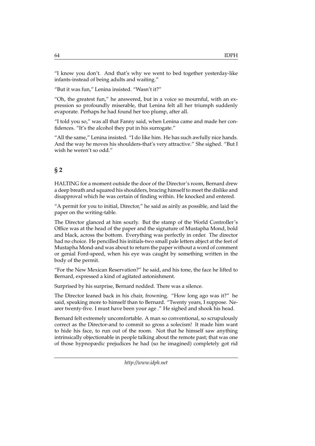"I know you don't. And that's why we went to bed together yesterday-like infants-instead of being adults and waiting."

"But it was fun," Lenina insisted. "Wasn't it?"

"Oh, the greatest fun," he answered, but in a voice so mournful, with an expression so profoundly miserable, that Lenina felt all her triumph suddenly evaporate. Perhaps he had found her too plump, after all.

"I told you so," was all that Fanny said, when Lenina came and made her confidences. "It's the alcohol they put in his surrogate."

"All the same," Lenina insisted. "I do like him. He has such awfully nice hands. And the way he moves his shoulders-that's very attractive." She sighed. "But I wish he weren't so odd."

### **§ 2**

HALTING for a moment outside the door of the Director's room, Bernard drew a deep breath and squared his shoulders, bracing himself to meet the dislike and disapproval which he was certain of finding within. He knocked and entered.

"A permit for you to initial, Director," he said as airily as possible, and laid the paper on the writing-table.

The Director glanced at him sourly. But the stamp of the World Controller's Office was at the head of the paper and the signature of Mustapha Mond, bold and black, across the bottom. Everything was perfectly in order. The director had no choice. He pencilled his initials-two small pale letters abject at the feet of Mustapha Mond-and was about to return the paper without a word of comment or genial Ford-speed, when his eye was caught by something written in the body of the permit.

"For the New Mexican Reservation?" he said, and his tone, the face he lifted to Bernard, expressed a kind of agitated astonishment.

Surprised by his surprise, Bernard nodded. There was a silence.

The Director leaned back in his chair, frowning. "How long ago was it?" he said, speaking more to himself than to Bernard. "Twenty years, I suppose. Nearer twenty-five. I must have been your age ." He sighed and shook his head.

Bernard felt extremely uncomfortable. A man so conventional, so scrupulously correct as the Director-and to commit so gross a solecism! lt made him want to hide his face, to run out of the room. Not that he himself saw anything intrinsically objectionable in people talking about the remote past; that was one of those hypnopædic prejudices he had (so he imagined) completely got rid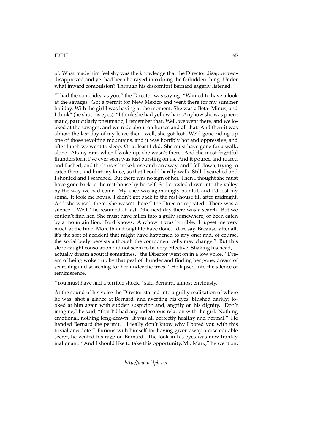of. What made him feel shy was the knowledge that the Director disapproveddisapproved and yet had been betrayed into doing the forbidden thing. Under what inward compulsion? Through his discomfort Bernard eagerly listened.

"I had the same idea as you," the Director was saying. "Wanted to have a look at the savages. Got a permit for New Mexico and went there for my summer holiday. With the girl I was having at the moment. She was a Beta- Minus, and I think" (he shut his eyes), "I think she had yellow hair. Anyhow she was pneumatic, particularly pneumatic; I remember that. Well, we went there, and we looked at the savages, and we rode about on horses and all that. And then-it was almost the last day of my leave-then. well, she got lost. We'd gone riding up one of those revolting mountains, and it was horribly hot and oppressive, and after lunch we went to sleep. Or at least I did. She must have gone for a walk, alone. At any rate, when I woke up, she wasn't there. And the most frightful thunderstorm I've ever seen was just bursting on us. And it poured and roared and flashed; and the horses broke loose and ran away; and I fell down, trying to catch them, and hurt my knee, so that I could hardly walk. Still, I searched and I shouted and I searched. But there was no sign of her. Then I thought she must have gone back to the rest-house by herself. So I crawled down into the valley by the way we had come. My knee was agonizingly painful, and I'd lost my soma. It took me hours. I didn't get back to the rest-house till after midnight. And she wasn't there; she wasn't there," the Director repeated. There was a silence. "Well," he resumed at last, "the next day there was a search. But we couldn't find her. She must have fallen into a gully somewhere; or been eaten by a mountain lion. Ford knows. Anyhow it was horrible. It upset me very much at the time. More than it ought to have done, I dare say. Because, after all, it's the sort of accident that might have happened to any one; and, of course, the social body persists although the component cells may change." But this sleep-taught consolation did not seem to be very effective. Shaking his head, "I actually dream about it sometimes," the Director went on in a low voice. "Dream of being woken up by that peal of thunder and finding her gone; dream of searching and searching for her under the trees." He lapsed into the silence of reminiscence.

"You must have had a terrible shock," said Bernard, almost enviously.

At the sound of his voice the Director started into a guilty realization of where he was; shot a glance at Bernard, and averting his eyes, blushed darkly; looked at him again with sudden suspicion and, angrily on his dignity, "Don't imagine," he said, "that I'd had any indecorous relation with the girl. Nothing emotional, nothing long-drawn. It was all perfectly healthy and normal." He handed Bernard the permit. "I really don't know why I bored you with this trivial anecdote." Furious with himself for having given away a discreditable secret, he vented his rage on Bernard. The look in his eyes was now frankly malignant. "And I should like to take this opportunity, Mr. Marx," he went on,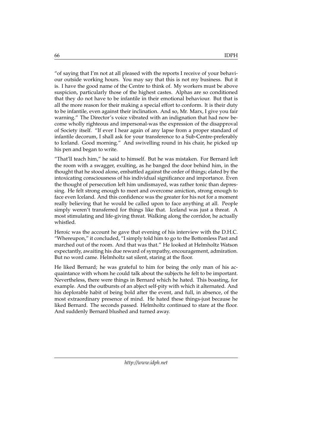"of saying that I'm not at all pleased with the reports I receive of your behaviour outside working hours. You may say that this is not my business. But it is. I have the good name of the Centre to think of. My workers must be above suspicion, particularly those of the highest castes. Alphas are so conditioned that they do not have to be infantile in their emotional behaviour. But that is all the more reason for their making a special effort to conform. lt is their duty to be infantile, even against their inclination. And so, Mr. Marx, I give you fair warning." The Director's voice vibrated with an indignation that had now become wholly righteous and impersonal-was the expression of the disapproval of Society itself. "If ever I hear again of any lapse from a proper standard of infantile decorum, I shall ask for your transference to a Sub-Centre-preferably to Iceland. Good morning." And swivelling round in his chair, he picked up his pen and began to write.

"That'll teach him," he said to himself. But he was mistaken. For Bernard left the room with a swagger, exulting, as he banged the door behind him, in the thought that he stood alone, embattled against the order of things; elated by the intoxicating consciousness of his individual significance and importance. Even the thought of persecution left him undismayed, was rather tonic than depressing. He felt strong enough to meet and overcome amiction, strong enough to face even Iceland. And this confidence was the greater for his not for a moment really believing that he would be called upon to face anything at all. People simply weren't transferred for things like that. Iceland was just a threat. A most stimulating and life-giving threat. Walking along the corridor, he actually whistled.

Heroic was the account he gave that evening of his interview with the D.H.C. "Whereupon," it concluded, "I simply told him to go to the Bottomless Past and marched out of the room. And that was that." He looked at Helmholtz Watson expectantly, awaiting his due reward of sympathy, encouragement, admiration. But no word came. Helmholtz sat silent, staring at the floor.

He liked Bernard; he was grateful to him for being the only man of his acquaintance with whom he could talk about the subjects he felt to be important. Nevertheless, there were things in Bernard which he hated. This boasting, for example. And the outbursts of an abject self-pity with which it alternated. And his deplorable habit of being bold after the event, and full, in absence, of the most extraordinary presence of mind. He hated these things-just because he liked Bernard. The seconds passed. Helmholtz continued to stare at the floor. And suddenly Bernard blushed and turned away.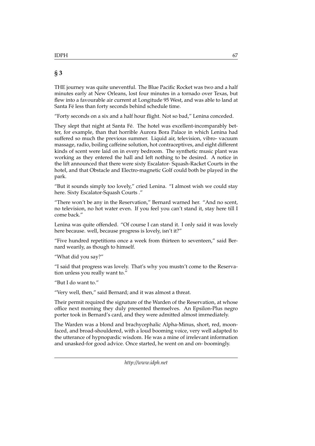### **§ 3**

THE journey was quite uneventful. The Blue Pacific Rocket was two and a half minutes early at New Orleans, lost four minutes in a tornado over Texas, but flew into a favourable air current at Longitude 95 West, and was able to land at Santa Fé less than forty seconds behind schedule time.

"Forty seconds on a six and a half hour flight. Not so bad," Lenina conceded.

They slept that night at Santa Fé. The hotel was excellent-incomparably better, for example, than that horrible Aurora Bora Palace in which Lenina had suffered so much the previous summer. Liquid air, television, vibro- vacuum massage, radio, boiling caffeine solution, hot contraceptives, and eight different kinds of scent were laid on in every bedroom. The synthetic music plant was working as they entered the hall and left nothing to be desired. A notice in the lift announced that there were sixty Escalator- Squash-Racket Courts in the hotel, and that Obstacle and Electro-magnetic Golf could both be played in the park.

"But it sounds simply too lovely," cried Lenina. "I almost wish we could stay here. Sixty Escalator-Squash Courts ."

"There won't be any in the Reservation," Bernard warned her. "And no scent, no television, no hot water even. If you feel you can't stand it, stay here till I come back."

Lenina was quite offended. "Of course I can stand it. I only said it was lovely here because. well, because progress is lovely, isn't it?"

"Five hundred repetitions once a week from thirteen to seventeen," said Bernard wearily, as though to himself.

"What did you say?"

"I said that progress was lovely. That's why you mustn't come to the Reservation unless you really want to."

"But I do want to."

"Very well, then," said Bernard; and it was almost a threat.

Their permit required the signature of the Warden of the Reservation, at whose office next morning they duly presented themselves. An Epsilon-Plus negro porter took in Bernard's card, and they were admitted almost imrnediately.

The Warden was a blond and brachycephalic Alpha-Minus, short, red, moonfaced, and broad-shouldered, with a loud booming voice, very well adapted to the utterance of hypnopædic wisdom. He was a mine of irrelevant information and unasked-for good advice. Once started, he went on and on- boomingly.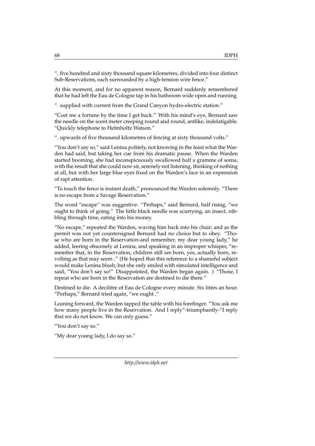". five hundred and sixty thousand square kilometres, divided into four distinct Sub-Reservations, each surrounded by a high-tension wire fence."

At this moment, and for no apparent reason, Bernard suddenly remembered that he had left the Eau de Cologne tap in his bathroom wide open and running.

". supplied with current from the Grand Canyon hydro-electric station."

"Cost me a fortune by the time I get back." With his mind's eye, Bernard saw the needle on the scent meter creeping round and round, antlike, indefatigable. "Quickly telephone to Helmholtz Watson."

". upwards of five thousand kilometres of fencing at sixty thousand volts."

"You don't say so," said Lenina politely, not knowing in the least what the Warden had said, but taking her cue from his dramatic pause. When the Warden started booming, she had inconspicuously swallowed half a gramme of soma, with the result that she could now sit, serenely not listening, thinking of nothing at all, but with her large blue eyes fixed on the Warden's face in an expression of rapt attention.

"To touch the fence is instant death," pronounced the Warden solemnly. "There is no escape from a Savage Reservation."

The word "escape" was suggestive. "Perhaps," said Bernard, half rising, "we ought to think of going." The little black needle was scurrying, an insect, nibbling through time, eating into his money.

"No escape," repeated the Warden, waving him back into his chair; and as the permit was not yet countersigned Bernard had no choice but to obey. "Those who are born in the Reservation-and remember, my dear young lady," he added, leering obscenely at Lenina, and speaking in an improper whisper, "remember that, in the Reservation, children still are born, yes, actually born, revolting as that may seem ." (He hoped that this reference to a shameful subject would make Lenina blush; but she only smiled with simulated intelligence and said, "You don't say so!" Disappointed, the Warden began again. ) "Those, I repeat who are born in the Reservation are destined to die there."

Destined to die. A decilitre of Eau de Cologne every minute. Six litres an hour. "Perhaps," Bernard tried again, "we ought ."

Leaning forward, the Warden tapped the table with his forefinger. "You ask me how many people live in the Reservation. And I reply"-triumphantly-"I reply that we do not know. We can only guess."

"You don't say so."

"My dear young lady, I do say so."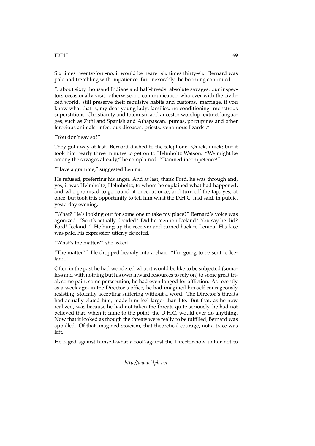Six times twenty-four-no, it would be nearer six times thirty-six. Bernard was pale and trembling with impatience. But inexorably the booming continued.

". about sixty thousand Indians and half-breeds. absolute savages. our inspectors occasionally visit. otherwise, no communication whatever with the civilized world. still preserve their repulsive habits and customs. marriage, if you know what that is, my dear young lady; families. no conditioning. monstrous superstitions. Christianity and totemism and ancestor worship. extinct languages, such as Zuñi and Spanish and Athapascan. pumas, porcupines and other ferocious animals. infectious diseases. priests. venomous lizards ."

"You don't say so?"

They got away at last. Bernard dashed to the telephone. Quick, quick; but it took him nearly three minutes to get on to Helmholtz Watson. "We might be among the savages already," he complained. "Damned incompetence!"

"Have a gramme," suggested Lenina.

He refused, preferring his anger. And at last, thank Ford, he was through and, yes, it was Helmholtz; Helmholtz, to whom he explained what had happened, and who promised to go round at once, at once, and turn off the tap, yes, at once, but took this opportunity to tell him what the D.H.C. had said, in public, yesterday evening.

"What? He's looking out for some one to take my place?" Bernard's voice was agonized. "So it's actually decided? Did he mention Iceland? You say he did? Ford! Iceland ." He hung up the receiver and turned back to Lenina. His face was pale, his expression utterly dejected.

"What's the matter?" she asked.

"The matter?" He dropped heavily into a chair. "I'm going to be sent to Iceland."

Often in the past he had wondered what it would be like to be subjected (somaless and with nothing but his own inward resources to rely on) to some great trial, some pain, some persecution; he had even longed for affliction. As recently as a week ago, in the Director's office, he had imagined himself courageously resisting, stoically accepting suffering without a word. The Director's threats had actually elated him, made him feel larger than life. But that, as he now realized, was because he had not taken the threats quite seriously, he had not believed that, when it came to the point, the D.H.C. would ever do anything. Now that it looked as though the threats were really to be fulfilled, Bernard was appalled. Of that imagined stoicism, that theoretical courage, not a trace was left.

He raged against himself-what a fool!-against the Director-how unfair not to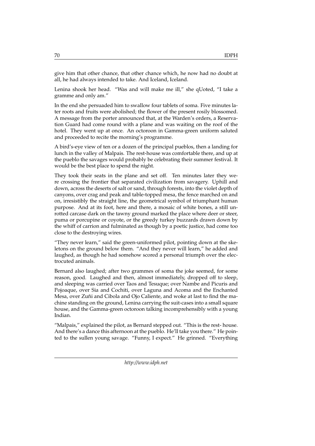give him that other chance, that other chance which, he now had no doubt at all, he had always intended to take. And Iceland, Iceland.

Lenina shook her head. "Was and will make me ill," she qUoted, "I take a gramme and only am."

In the end she persuaded him to swallow four tablets of soma. Five minutes later roots and fruits were abolished; the flower of the present rosily blossomed. A message from the porter announced that, at the Warden's orders, a Reservation Guard had come round with a plane and was waiting on the roof of the hotel. They went up at once. An octoroon in Gamma-green uniform saluted and proceeded to recite the morning's programme.

A bird's-eye view of ten or a dozen of the principal pueblos, then a landing for lunch in the valley of Malpais. The rest-house was comfortable there, and up at the pueblo the savages would probably be celebrating their summer festival. It would be the best place to spend the night.

They took their seats in the plane and set off. Ten minutes later they were crossing the frontier that separated civilization from savagery. Uphill and down, across the deserts of salt or sand, through forests, into the violet depth of canyons, over crag and peak and table-topped mesa, the fence marched on and on, irresistibly the straight line, the geometrical symbol of triumphant human purpose. And at its foot, here and there, a mosaic of white bones, a still unrotted carcase dark on the tawny ground marked the place where deer or steer, puma or porcupine or coyote, or the greedy turkey buzzards drawn down by the whiff of carrion and fulminated as though by a poetic justice, had come too close to the destroying wires.

"They never learn," said the green-uniformed pilot, pointing down at the skeletons on the ground below them. "And they never will learn," he added and laughed, as though he had somehow scored a personal triumph over the electrocuted animals.

Bernard also laughed; after two grammes of soma the joke seemed, for some reason, good. Laughed and then, almost immediately, dropped off to sleep, and sleeping was carried over Taos and Tesuque; over Nambe and Picuris and Pojoaque, over Sia and Cochiti, over Laguna and Acoma and the Enchanted Mesa, over Zuñi and Cibola and Ojo Caliente, and woke at last to find the machine standing on the ground, Lenina carrying the suit-cases into a small square house, and the Gamma-green octoroon talking incomprehensibly with a young Indian.

"Malpais," explained the pilot, as Bernard stepped out. "This is the rest- house. And there's a dance this afternoon at the pueblo. He'll take you there." He pointed to the sullen young savage. "Funny, I expect." He grinned. "Everything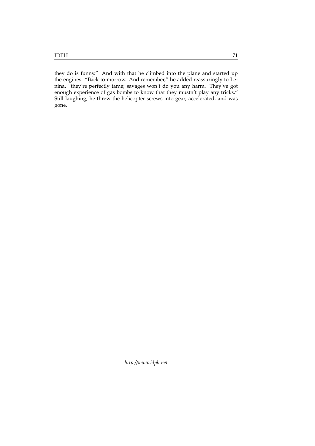they do is funny." And with that he climbed into the plane and started up the engines. "Back to-morrow. And remember," he added reassuringly to Lenina, "they're perfectly tame; savages won't do you any harm. They've got enough experience of gas bombs to know that they mustn't play any tricks." Still laughing, he threw the helicopter screws into gear, accelerated, and was gone.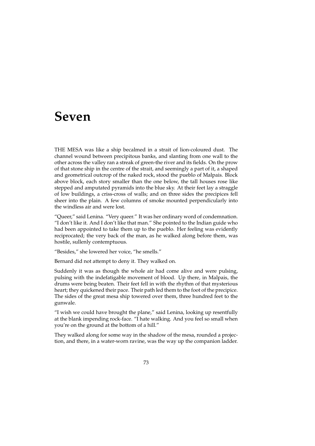#### **Seven**

THE MESA was like a ship becalmed in a strait of lion-coloured dust. The channel wound between precipitous banks, and slanting from one wall to the other across the valley ran a streak of green-the river and its fields. On the prow of that stone ship in the centre of the strait, and seemingly a part of it, a shaped and geometrical outcrop of the naked rock, stood the pueblo of Malpais. Block above block, each story smaller than the one below, the tall houses rose like stepped and amputated pyramids into the blue sky. At their feet lay a straggle of low buildings, a criss-cross of walls; and on three sides the precipices fell sheer into the plain. A few columns of smoke mounted perpendicularly into the windless air and were lost.

"Queer," said Lenina. "Very queer." It was her ordinary word of condemnation. "I don't like it. And I don't like that man." She pointed to the Indian guide who had been appointed to take them up to the pueblo. Her feeling was evidently reciprocated; the very back of the man, as he walked along before them, was hostile, sullenly contemptuous.

"Besides," she lowered her voice, "he smells."

Bernard did not attempt to deny it. They walked on.

Suddenly it was as though the whole air had come alive and were pulsing, pulsing with the indefatigable movement of blood. Up there, in Malpais, the drums were being beaten. Their feet fell in with the rhythm of that mysterious heart; they quickened their pace. Their path led them to the foot of the precipice. The sides of the great mesa ship towered over them, three hundred feet to the gunwale.

"I wish we could have brought the plane," said Lenina, looking up resentfully at the blank impending rock-face. "I hate walking. And you feel so small when you're on the ground at the bottom of a hill."

They walked along for some way in the shadow of the mesa, rounded a projection, and there, in a water-worn ravine, was the way up the companion ladder.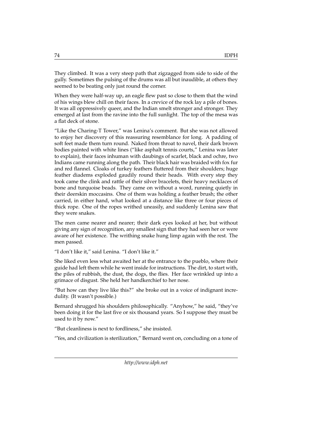They climbed. It was a very steep path that zigzagged from side to side of the gully. Sometimes the pulsing of the drums was all but inaudible, at others they seemed to be beating only just round the corner.

When they were half-way up, an eagle flew past so close to them that the wind of his wings blew chill on their faces. In a crevice of the rock lay a pile of bones. It was all oppressively queer, and the Indian smelt stronger and stronger. They emerged at last from the ravine into the full sunlight. The top of the mesa was a flat deck of stone.

"Like the Charing-T Tower," was Lenina's comment. But she was not allowed to enjoy her discovery of this reassuring resemblance for long. A padding of soft feet made them turn round. Naked from throat to navel, their dark brown bodies painted with white lines ("like asphalt tennis courts," Lenina was later to explain), their faces inhuman with daubings of scarlet, black and ochre, two Indians came running along the path. Their black hair was braided with fox fur and red flannel. Cloaks of turkey feathers fluttered from their shoulders; huge feather diadems exploded gaudily round their heads. With every step they took came the clink and rattle of their silver bracelets, their heavy necklaces of bone and turquoise beads. They came on without a word, running quietly in their deerskin moccasins. One of them was holding a feather brush; the other carried, in either hand, what looked at a distance like three or four pieces of thick rope. One of the ropes writhed uneasily, and suddenly Lenina saw that they were snakes.

The men came nearer and nearer; their dark eyes looked at her, but without giving any sign of recognition, any smallest sign that they had seen her or were aware of her existence. The writhing snake hung limp again with the rest. The men passed.

"I don't like it," said Lenina. "I don't like it."

She liked even less what awaited her at the entrance to the pueblo, where their guide had left them while he went inside for instructions. The dirt, to start with, the piles of rubbish, the dust, the dogs, the flies. Her face wrinkled up into a grimace of disgust. She held her handkerchief to her nose.

"But how can they live like this?" she broke out in a voice of indignant incredulity. (It wasn't possible.)

Bernard shrugged his shoulders philosophically. "Anyhow," he said, "they've been doing it for the last five or six thousand years. So I suppose they must be used to it by now."

"But cleanliness is next to fordliness," she insisted.

"Yes, and civilization is sterilization," Bernard went on, concluding on a tone of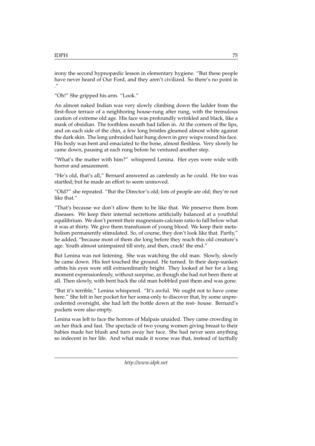irony the second hypnopædic lesson in elementary hygiene. "But these people have never heard of Our Ford, and they aren't civilized. So there's no point in ."

"Oh!" She gripped his arm. "Look."

An almost naked Indian was very slowly climbing down the ladder from the first-floor terrace of a neighboring house-rung after rung, with the tremulous caution of extreme old age. His face was profoundly wrinkled and black, like a mask of obsidian. The toothless mouth had fallen in. At the corners of the lips, and on each side of the chin, a few long bristles gleamed almost white against the dark skin. The long unbraided hair hung down in grey wisps round his face. His body was bent and emaciated to the bone, almost fleshless. Very slowly he came down, pausing at each rung before he ventured another step.

"What's the matter with him?" whispered Lenina. Her eyes were wide with horror and amazement.

"He's old, that's all," Bernard answered as carelessly as he could. He too was startled; but he made an effort to seem unmoved.

"Old?" she repeated. "But the Director's old; lots of people are old; they're not like that."

"That's because we don't allow them to be like that. We preserve them from diseases. We keep their internal secretions artificially balanced at a youthful equilibrium. We don't permit their magnesium-calcium ratio to fall below what it was at thirty. We give them transfusion of young blood. We keep their metabolism permanently stimulated. So, of course, they don't look like that. Partly," he added, "because most of them die long before they reach this old creature's age. Youth almost unimpaired till sixty, and then, crack! the end."

But Lenina was not listening. She was watching the old man. Slowly, slowly he came down. His feet touched the ground. He turned. In their deep-sunken orbits his eyes were still extraordinarily bright. They looked at her for a long moment expressionlessly, without surprise, as though she had not been there at all. Then slowly, with bent back the old man hobbled past them and was gone.

"But it's terrible," Lenina whispered. "It's awful. We ought not to have come here." She felt in her pocket for her soma-only to discover that, by some unprecedented oversight, she had left the bottle down at the rest- house. Bernard's pockets were also empty.

Lenina was left to face the horrors of Malpais unaided. They came crowding in on her thick and fast. The spectacle of two young women giving breast to their babies made her blush and turn away her face. She had never seen anything so indecent in her life. And what made it worse was that, instead of tactfully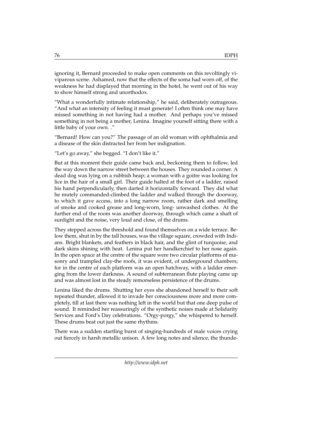ignoring it, Bernard proceeded to make open comments on this revoltingly viviparous scene. Ashamed, now that the effects of the soma had worn off, of the weakness he had displayed that morning in the hotel, he went out of his way to show himself strong and unorthodox.

"What a wonderfully intimate relationship," he said, deliberately outrageous. "And what an intensity of feeling it must generate! I often think one may have missed something in not having had a mother. And perhaps you've missed something in not being a mother, Lenina. Imagine yourself sitting there with a little baby of your own. ."

"Bernard! How can you?" The passage of an old woman with ophthalmia and a disease of the skin distracted her from her indignation.

"Let's go away," she begged. "I don't like it."

But at this moment their guide came back and, beckoning them to follow, led the way down the narrow street between the houses. They rounded a corner. A dead dog was lying on a rubbish heap; a woman with a goitre was looking for lice in the hair of a small girl. Their guide halted at the foot of a ladder, raised his hand perpendicularly, then darted it horizontally forward. They did what he mutely commanded-climbed the ladder and walked through the doorway, to which it gave access, into a long narrow room, rather dark and smelling of smoke and cooked grease and long-worn, long- unwashed clothes. At the further end of the room was another doorway, through which came a shaft of surdight and the noise, very loud and close, of the drums.

They stepped across the threshold and found themselves on a wide terrace. Below them, shut in by the tall houses, was the village square, crowded with Indians. Bright blankets, and feathers in black hair, and the glint of turquoise, and dark skins shining with heat. Lenina put her handkerchief to her nose again. In the open space at the centre of the square were two circular platforms of masonry and trampled clay-the roofs, it was evident, of underground chambers; for in the centre of each platform was an open hatchway, with a ladder emerging from the lower darkness. A sound of subterranean flute playing came up and was almost lost in the steady remorseless persistence of the drums.

Lenina liked the drums. Shutting her eyes she abandoned herself to their soft repeated thunder, allowed it to invade her consciousness more and more completely, till at last there was nothing left in the world but that one deep pulse of sound. It reminded her reassuringly of the synthetic noises made at Solidarity Services and Ford's Day celebrations. "Orgy-porgy," she whispered to herself. These drums beat out just the same rhythms.

There was a sudden startling burst of singing-hundreds of male voices crying out fiercely in harsh metallic unison. A few long notes and silence, the thunde-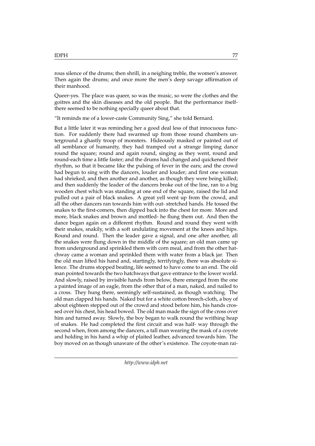rous silence of the drums; then shrill, in a neighing treble, the women's answer. Then again the drums; and once more the men's deep savage affirmation of their manhood.

Queer-yes. The place was queer, so was the music, so were the clothes and the goitres and the skin diseases and the old people. But the performance itselfthere seemed to be nothing specially queer about that.

"It reminds me of a lower-caste Community Sing," she told Bernard.

But a little later it was reminding her a good deal less of that innocuous function. For suddenly there had swarmed up from those round chambers unterground a ghastly troop of monsters. Hideously masked or painted out of all semblance of humanity, they had tramped out a strange limping dance round the square; round and again round, singing as they went, round and round-each time a little faster; and the drums had changed and quickened their rhythm, so that it became like the pulsing of fever in the ears; and the crowd had begun to sing with the dancers, louder and louder; and first one woman had shrieked, and then another and another, as though they were being killed; and then suddenly the leader of the dancers broke out of the line, ran to a big wooden chest which was standing at one end of the square, raised the lid and pulled out a pair of black snakes. A great yell went up from the crowd, and all the other dancers ran towards him with out- stretched hands. He tossed the snakes to the first-comers, then dipped back into the chest for more. More and more, black snakes and brown and mottled- he flung them out. And then the dance began again on a different rhythm. Round and round they went with their snakes, snakily, with a soft undulating movement at the knees and hips. Round and round. Then the leader gave a signal, and one after another, all the snakes were flung down in the middle of the square; an old man came up from underground and sprinkled them with corn meal, and from the other hatchway came a woman and sprinkled them with water from a black jar. Then the old man lifted his hand and, startingly, terrifyingly, there was absolute silence. The drums stopped beating, life seemed to have come to an end. The old man pointed towards the two hatchways that gave entrance to the lower world. And slowly, raised by invisible hands from below, there emerged from the one a painted image of an eagle, from the other that of a man, naked, and nailed to a cross. They hung there, seemingly self-sustained, as though watching. The old man clapped his hands. Naked but for a white cotton breech-cloth, a boy of about eighteen stepped out of the crowd and stood before him, his hands crossed over his chest, his head bowed. The old man made the sign of the cross over him and turned away. Slowly, the boy began to walk round the writhing heap of snakes. He had completed the first circuit and was half- way through the second when, from among the dancers, a tall man wearing the mask of a coyote and holding in his hand a whip of plaited leather, advanced towards him. The boy moved on as though unaware of the other's existence. The coyote-man rai-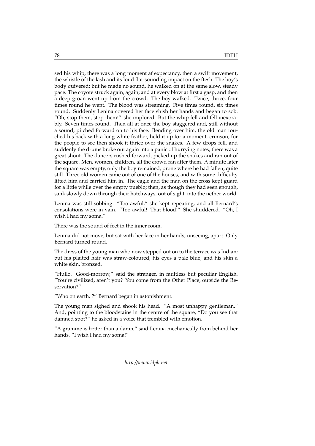sed his whip, there was a long moment af expectancy, then a swift movement, the whistle of the lash and its loud flat-sounding impact on the ftesh. The boy's body quivered; but he made no sound, he walked on at the same slow, steady pace. The coyote struck again, again; and at every blow at first a gasp, and then a deep groan went up from the crowd. The boy walked. Twice, thrice, four times round he went. The blood was streaming. Five times round, six times round. Suddenly Lenina covered her face shish her hands and began to sob. "Oh, stop them, stop them!" she implored. But the whip fell and fell inexorably. Seven times round. Then all at once the boy staggered and, still without a sound, pitched forward on to his face. Bending over him, the old man touched his back with a long white feather, held it up for a moment, crimson, for the people to see then shook it thrice over the snakes. A few drops fell, and suddenly the drums broke out again into a panic of hurrying notes; there was a great shout. The dancers rushed forward, picked up the snakes and ran out of the square. Men, women, children, all the crowd ran after them. A minute later the square was empty, only the boy remained, prone where he had fallen, quite still. Three old women came out of one of the houses, and with some difficulty lifted him and carried him in. The eagle and the man on the cross kept guard for a little while over the empty pueblo; then, as though they had seen enough, sank slowly down through their hatchways, out of sight, into the nether world.

Lenina was still sobbing. "Too awful," she kept repeating, and all Bernard's consolations were in vain. "Too awful! That blood!" She shuddered. "Oh, I wish I had my soma."

There was the sound of feet in the inner room.

Lenina did not move, but sat with her face in her hands, unseeing, apart. Only Bernard turned round.

The dress of the young man who now stepped out on to the terrace was Indian; but his plaited hair was straw-coloured, his eyes a pale blue, and his skin a white skin, bronzed.

"Hullo. Good-morrow," said the stranger, in faultless but peculiar English. "You're civilized, aren't you? You come from the Other Place, outside the Reservation?"

"Who on earth. ?" Bernard began in astonishment.

The young man sighed and shook his head. "A most unhappy gentleman." And, pointing to the bloodstains in the centre of the square, "Do you see that damned spot?" he asked in a voice that trembled with emotion.

"A gramme is better than a damn," said Lenina mechanically from behind her hands. "I wish I had my soma!"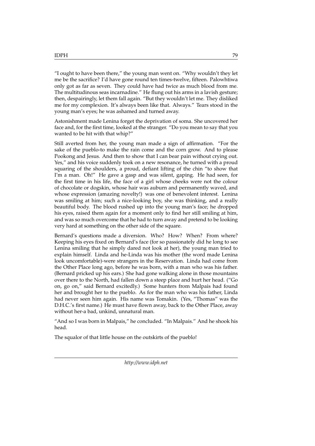"I ought to have been there," the young man went on. "Why wouldn't they let me be the sacrifice? I'd have gone round ten times-twelve, fifteen. Palowhtiwa only got as far as seven. They could have had twice as much blood from me. The multitudinous seas incarnadine." He flung out his arms in a lavish gesture; then, despairingly, let them fall again. "But they wouldn't let me. They disliked me for my complexion. It's always been like that. Always." Tears stood in the young man's eyes; he was ashamed and turned away.

Astonishment made Lenina forget the deprivation of soma. She uncovered her face and, for the first time, looked at the stranger. "Do you mean to say that you wanted to be hit with that whip?"

Still averted from her, the young man made a sign of affirmation. "For the sake of the pueblo-to make the rain come and the corn grow. And to please Pookong and Jesus. And then to show that I can bear pain without crying out. Yes," and his voice suddenly took on a new resonance, he turned with a proud squaring of the shoulders, a proud, defiant lifting of the chin "to show that I'm a man. Oh!" He gave a gasp and was silent, gaping. He had seen, for the first time in his life, the face of a girl whose cheeks were not the colour of chocolate or dogskin, whose hair was auburn and permanently waved, and whose expression (amazing novelty!) was one of benevolent interest. Lenina was smiling at him; such a nice-looking boy, she was thinking, and a really beautiful body. The blood rushed up into the young man's face; he dropped his eyes, raised them again for a moment only to find her still smiling at him, and was so much overcome that he had to turn away and pretend to be looking very hard at something on the other side of the square.

Bernard's questions made a diversion. Who? How? When? From where? Keeping his eyes fixed on Bernard's face (for so passionately did he long to see Lenina smiling that he simply dared not look at her), the young man tried to explain himself. Linda and he-Linda was his mother (the word made Lenina look uncomfortable)-were strangers in the Reservation. Linda had come from the Other Place long ago, before he was born, with a man who was his father. (Bernard pricked up his ears.) She had gone walking alone in those mountains over there to the North, had fallen down a steep place and hurt her head. ("Go on, go on," said Bernard excitedly.) Some hunters from Malpais had found her and brought her to the pueblo. As for the man who was his father, Linda had never seen him again. His name was Tomakin. (Yes, "Thomas" was the D.H.C.'s first name.) He must have flown away, back to the Other Place, away without her-a bad, unkind, unnatural man.

"And so I was born in Malpais," he concluded. "In Malpais." And he shook his head.

The squalor of that little house on the outskirts of the pueblo!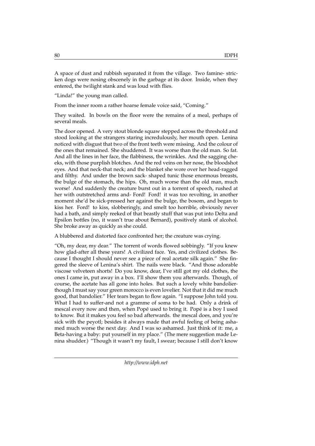A space of dust and rubbish separated it from the village. Two famine- stricken dogs were nosing obscenely in the garbage at its door. Inside, when they entered, the twilight stank and was loud with flies.

"Linda!" the young man called.

From the inner room a rather hoarse female voice said, "Coming."

They waited. In bowls on the floor were the remains of a meal, perhaps of several meals.

The door opened. A very stout blonde squaw stepped across the threshold and stood looking at the strangers staring incredulously, her mouth open. Lenina noticed with disgust that two of the front teeth were missing. And the colour of the ones that remained. She shuddered. It was worse than the old man. So fat. And all the lines in her face, the flabbiness, the wrinkles. And the sagging cheeks, with those purplish blotches. And the red veins on her nose, the bloodshot eyes. And that neck-that neck; and the blanket she wore over her head-ragged and filthy. And under the brown sack- shaped tunic those enormous breasts, the bulge of the stomach, the hips. Oh, much worse than the old man, much worse! And suddenly the creature burst out in a torrent of speech, rushed at her with outstretched arms and- Ford! Ford! it was too revolting, in another moment she'd be sick-pressed her against the bulge, the bosom, and began to kiss her. Ford! to kiss, slobberingly, and smelt too horrible, obviously never had a bath, and simply reeked of that beastly stuff that was put into Delta and Epsilon bottles (no, it wasn't true about Bernard), positively stank of alcohol. She broke away as quickly as she could.

A blubbered and distorted face confronted her; the creature was crying.

"Oh, my dear, my dear." The torrent of words flowed sobbingly. "If you knew how glad-after all these years! A civilized face. Yes, and civilized clothes. Because I thought I should never see a piece of real acetate silk again." She fingered the sleeve of Lenina's shirt. The nails were black. "And those adorable viscose velveteen shorts! Do you know, dear, I've still got my old clothes, the ones I came in, put away in a box. I'll show them you afterwards. Though, of course, the acetate has all gone into holes. But such a lovely white bandolierthough I must say your green morocco is even lovelier. Not that it did me much good, that bandolier." Her tears began to flow again. "I suppose John told you. What I had to suffer-and not a gramme of soma to be had. Only a drink of mescal every now and then, when Popé used to bring it. Popé is a boy I used to know. But it makes you feel so bad afterwards. the mescal does, and you're sick with the peyotl; besides it always made that awful feeling of being ashamed much worse the next day. And I was so ashamed. Just think of it: me, a Beta-having a baby: put yourself in my place." (The mere suggestion made Lenina shudder.) "Though it wasn't my fault, I swear; because I still don't know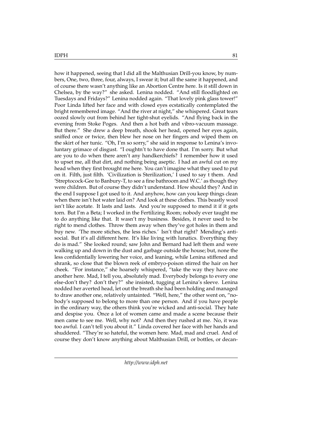how it happened, seeing that I did all the Malthusian Drill-you know, by numbers, One, two, three, four, always, I swear it; but all the same it happened, and of course there wasn't anything like an Abortion Centre here. Is it still down in Chelsea, by the way?" she asked. Lenina nodded. "And still floodlighted on Tuesdays and Fridays?" Lenina nodded again. "That lovely pink glass tower!" Poor Linda lifted her face and with closed eyes ecstatically contemplated the bright remembered image. "And the river at night," she whispered. Great tears oozed slowly out from behind her tight-shut eyelids. "And flying back in the evening from Stoke Poges. And then a hot bath and vibro-vacuum massage. But there." She drew a deep breath, shook her head, opened her eyes again, sniffed once or twice, then blew her nose on her fingers and wiped them on the skirt of her tunic. "Oh, I'm so sorry," she said in response to Lenina's involuntary grimace of disgust. "I oughtn't to have done that. I'm sorry. But what are you to do when there aren't any handkerchiefs? I remember how it used to upset me, all that dirt, and nothing being aseptic. I had an awful cut on my head when they first brought me here. You can't imagine what they used to put on it. Filth, just filth. 'Civilization is Sterilization,' I used to say t them. And 'Streptocock-Gee to Banbury-T, to see a fine bathroom and W.C.' as though they were children. But of course they didn't understand. How should they? And in the end I suppose I got used to it. And anyhow, how can you keep things clean when there isn't hot water laid on? And look at these clothes. This beastly wool isn't like acetate. It lasts and lasts. And you're supposed to mend it if it gets torn. But I'm a Beta; I worked in the Fertilizing Room; nobody ever taught me to do anything like that. It wasn't my business. Besides, it never used to be right to mend clothes. Throw them away when they've got holes in them and buy new. 'The more stiches, the less riches.' Isn't that right? Mending's antisocial. But it's all different here. It's like living with lunatics. Everything they do is mad." She looked round; saw John and Bernard had left them and were walking up and down in the dust and garbage outside the house; but, none the less confidentially lowering her voice, and leaning, while Lenina stiffened and shrank, so close that the blown reek of embryo-poison stirred the hair on her cheek. "For instance," she hoarsely whispered, "take the way they have one another here. Mad, I tell you, absolutely mad. Everybody belongs to every one else-don't they? don't they?" she insisted, tugging at Lenina's sleeve. Lenina nodded her averted head, let out the breath she had been holding and managed to draw another one, relatively untainted. "Well, here," the other went on, "nobody's supposed to belong to more than one person. And if you have people in the ordinary way, the others think you're wicked and anti-social. They hate and despise you. Once a lot of women came and made a scene because their men came to see me. Well, why not? And then they rushed at me. No, it was too awful. I can't tell you about it." Linda covered her face with her hands and shuddered. "They're so hateful, the women here. Mad, mad and cruel. And of course they don't know anything about Malthusian Drill, or bottles, or decan-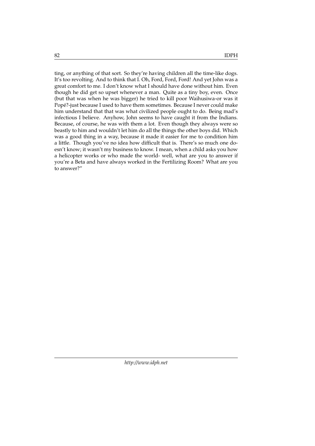ting, or anything of that sort. So they're having children all the time-like dogs. It's too revolting. And to think that I. Oh, Ford, Ford, Ford! And yet John was a great comfort to me. I don't know what I should have done without him. Even though he did get so upset whenever a man. Quite as a tiny boy, even. Once (but that was when he was bigger) he tried to kill poor Waihusiwa-or was it Popé?-just because I used to have them sometimes. Because I never could make him understand that that was what civilized people ought to do. Being mad's infectious I believe. Anyhow, John seems to have caught it from the Indians. Because, of course, he was with them a lot. Even though they always were so beastly to him and wouldn't let him do all the things the other boys did. Which was a good thing in a way, because it made it easier for me to condition him a little. Though you've no idea how difficult that is. There's so much one doesn't know; it wasn't my business to know. I mean, when a child asks you how a helicopter works or who made the world- well, what are you to answer if you're a Beta and have always worked in the Fertilizing Room? What are you to answer?"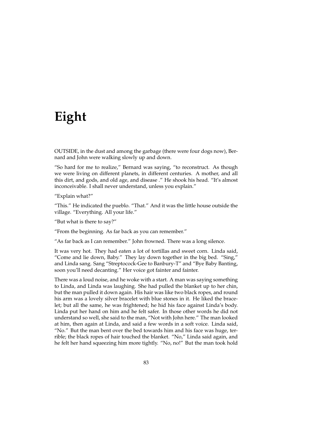# **Eight**

OUTSIDE, in the dust and among the garbage (there were four dogs now), Bernard and John were walking slowly up and down.

"So hard for me to realize," Bernard was saying, "to reconstruct. As though we were living on different planets, in different centuries. A mother, and all this dirt, and gods, and old age, and disease ." He shook his head. "It's almost inconceivable. I shall never understand, unless you explain."

"Explain what?"

"This." He indicated the pueblo. "That." And it was the little house outside the village. "Everything. All your life."

"But what is there to say?"

"From the beginning. As far back as you can remember."

"As far back as I can remember." John frowned. There was a long silence.

It was very hot. They had eaten a lot of tortillas and sweet corn. Linda said, "Come and lie down, Baby." They lay down together in the big bed. "Sing," and Linda sang. Sang "Streptocock-Gee to Banbury-T" and "Bye Baby Banting, soon you'll need decanting." Her voice got fainter and fainter.

There was a loud noise, and he woke with a start. A man was saying something to Linda, and Linda was laughing. She had pulled the blanket up to her chin, but the man pulled it down again. His hair was like two black ropes, and round his arm was a lovely silver bracelet with blue stones in it. He liked the bracelet; but all the same, he was frightened; he hid his face against Linda's body. Linda put her hand on him and he felt safer. In those other words he did not understand so well, she said to the man, "Not with John here." The man looked at him, then again at Linda, and said a few words in a soft voice. Linda said, "No." But the man bent over the bed towards him and his face was huge, terrible; the black ropes of hair touched the blanket. "No," Linda said again, and he felt her hand squeezing him more tightly. "No, no!" But the man took hold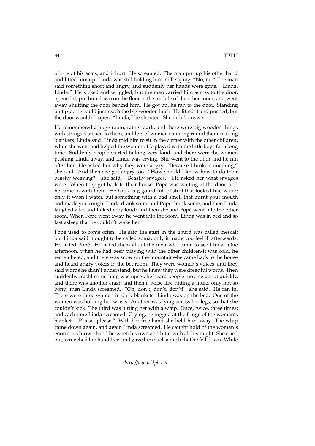of one of his arms, and it hurt. He screamed. The man put up his other hand and lifted him up. Linda was still holding him, still saying, "No, no." The man said something short and angry, and suddenly her hands were gone. "Linda, Linda." He kicked and wriggled; but the man carried him across to the door, opened it, put him down on the floor in the middle of the other room, and went away, shutting the door behind hirn. He got up, he ran to the door. Standing on tiptoe he could just reach the big wooden latch. He lifted it and pushed; but the door wouldn't open. "Linda," he shouted. She didn't answer.

He remembered a huge room, rather dark; and there were big wooden things with strings fastened to them, and lots of women standing round them-making blankets, Linda said. Linda told him to sit in the corner with the other children, while she went and helped the women. He played with the little boys for a long time. Suddenly people started talking very loud, and there were the women pushing Linda away, and Linda was crying. She went to the door and he ran after her. He asked her why they were angry. "Because I broke something," she said. And then she got angry too. "How should I know how to do their beastly weaving?" she said. "Beastly savages." He asked her what savages were. When they got back to their house, Popé was waiting at the door, and he came in with them. He had a big gourd full of stuff that looked like water; only it wasn't water, but something with a bad smell that burnt your mouth and made you cough. Linda drank some and Popé drank some, and then Linda laughed a lot and talked very loud; and then she and Popé went into the other room. When Popé went away, he went into the room. Linda was in bed and so fast asleep that he couldn't wake her.

Popé used to come often. He said the stuff in the gourd was called mescal; but Linda said it ought to be called soma; only it made you feel ill afterwards. He hated Popé. He hated them all-all the men who came to see Linda. One afternoon, when he had been playing with the other children-it was cold, he remembered, and there was snow on the mountains-he came back to the house and heard angry voices in the bedroom. They were women's voices, and they said words he didn't understand, but he knew they were dreadful words. Then suddenly, crash! something was upset; he heard people moving about quickly, and there was another crash and then a noise like hitting a mule, only not so bony; then Linda screamed. "Oh, don't, don't, don't!" she said. He ran in. There were three women in dark blankets. Linda was on the bed. One of the women was holding her wrists. Another was lying across her legs, so that she couldn't kick. The third was hitting her with a whip. Once, twice, three times; and each time Linda screamed. Crying, he tugged at the fringe of the woman's blanket. "Please, please." With her free hand she held him away. The whip came down again, and again Linda screamed. He caught hold of the woman's enormous brown hand between his own and bit it with all his might. She cried out, wrenched her hand free, and gave him such a push that he fell down. While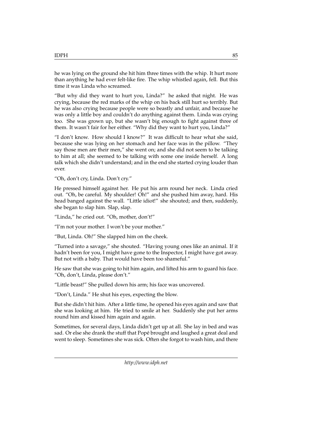he was lying on the ground she hit him three times with the whip. It hurt more than anything he had ever felt-like fire. The whip whistled again, fell. But this time it was Linda who screamed.

"But why did they want to hurt you, Linda?" he asked that night. He was crying, because the red marks of the whip on his back still hurt so terribly. But he was also crying because people were so beastly and unfair, and because he was only a little boy and couldn't do anything against them. Linda was crying too. She was grown up, but she wasn't big enough to fight against three of them. It wasn't fair for her either. "Why did they want to hurt you, Linda?"

"I don't know. How should I know?" It was difficult to hear what she said, because she was lying on her stomach and her face was in the pillow. "They say those men are their men," she went on; and she did not seem to be talking to him at all; she seemed to be talking with some one inside herself. A long talk which she didn't understand; and in the end she started crying louder than ever.

"Oh, don't cry, Linda. Don't cry."

He pressed himself against her. He put his arm round her neck. Linda cried out. "Oh, be careful. My shoulder! Oh!" and she pushed him away, hard. His head banged against the wall. "Little idiot!" she shouted; and then, suddenly, she began to slap him. Slap, slap.

"Linda," he cried out. "Oh, mother, don't!"

"I'm not your mother. I won't be your mother."

"But, Linda. Oh!" She slapped him on the cheek.

"Turned into a savage," she shouted. "Having young ones like an animal. If it hadn't been for you, I might have gone to the Inspector, I might have got away. But not with a baby. That would have been too shameful."

He saw that she was going to hit him again, and lifted his arm to guard his face. "Oh, don't, Linda, please don't."

"Little beast!" She pulled down his arm; his face was uncovered.

"Don't, Linda." He shut his eyes, expecting the blow.

But she didn't hit him. After a little time, he opened his eyes again and saw that she was looking at him. He tried to smile at her. Suddenly she put her arms round him and kissed him again and again.

Sometimes, for several days, Linda didn't get up at all. She lay in bed and was sad. Or else she drank the stuff that Popé brought and laughed a great deal and went to sleep. Sometimes she was sick. Often she forgot to wash him, and there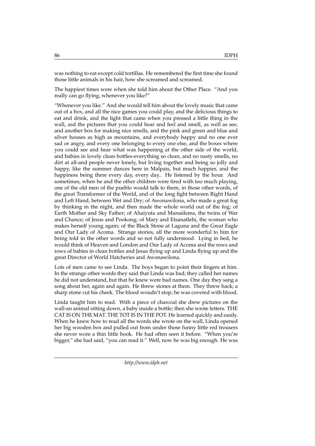was nothing to eat except cold tortillas. He remembered the first time she found those little animals in his hair, how she screamed and screamed.

The happiest times were when she told him ahout the Other Place. "And you really can go flying, whenever you like?"

"Whenever you like." And she would tell him about the lovely music that came out of a box, and all the nice games you could play, and the delicious things to eat and drink, and the light that came when you pressed a little thing in the wall, asd the pictures that you could hear and feel and smell, as well as see, and another box for making nice smells, and the pink and green and blue and silver houses as high as mountains, and everybody happy and no one ever sad or angry, and every one belonging to every one else, and the boxes where you could see and hear what was happening at the other side of the world, and babies in lovely clean bottles-everything so clean, and no nasty smells, no dirt at all-and people never lonely, but living together and being so jolly and happy, like the summer dances here in Malpais, but much happier, and the happiness being there every day, every day.. He listened by the hour. And sometimes, when he and the other children were tired with too much playing, one of the old men of the pueblo would talk to them, in those other words, of the great Transformer of the World, and of the long fight between Right Hand and Left Hand, between Wet and Dry; of Awonawilona, who made a great fog by thinking in the night, and then made the whole world out of the fog; of Earth Mother and Sky Father; of Ahaiyuta and Marsailema, the twins of War and Chance; of Jesus and Pookong; of Mary and Etsanatlehi, the woman who makes herself young again; of the Black Stone at Laguna and the Great Eagle and Our Lady of Acoma. Strange stories, all the more wonderful to him for being told in the other words and so not fully understood. Lying in bed, he would think of Heaven and London and Our Lady of Acoma and the rows and rows of babies in clean bottles and Jesus flying up and Linda flying up and the great Director of World Hatcheries and Awonawilona.

Lots of men came to see Linda. The boys began to point their fingers at him. In the strange other words they said that Linda was bad; they called her names he did not understand, but that he knew were bad names. One day they sang a song about her, again and again. He threw stones at them. They threw back; a sharp stone cut his cheek. The blood woudn't stop; he was covered with blood.

Linda taught him to read. With a piece of charcoal she drew pictures on the wall-an animal sitting down, a baby inside a bottle; then she wrote letters. THE CAT IS ON THE MAT. THE TOT IS IN THE POT. He learned quickly and easily. When he knew how to read all the words she wrote on the wall, Linda opened her big wooden box and pulled out from under those funny little red trousers she never wore a thin little book. He had often seen it before. "When you're bigger," she had said, "you can read it." Well, now he was big enough. He was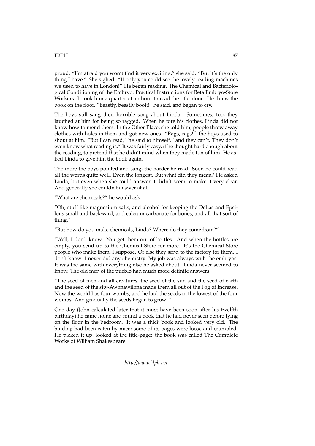#### $I$ DPH 87

proud. "I'm afraid you won't find it very exciting," she said. "But it's the only thing I have." She sighed. "If only you could see the lovely reading machines we used to have in London!" He began reading. The Chemical and Bacteriological Conditioning of the Embryo. Practical Instructions for Beta Embryo-Store Workers. It took him a quarter of an hour to read the title alone. He threw the book on the floor. "Beastly, beastly book!" he said, and began to cry.

The boys still sang their horrible song about Linda. Sometimes, too, they laughed at him for being so ragged. When he tore his clothes, Linda did not know how to mend them. In the Other Place, she told him, people threw away clothes with holes in them and got new ones. "Rags, rags!" the boys used to shout at him. "But I can read," he said to himself, "and they can't. They don't even know what reading is." It was fairly easy, if he thought hard enough about the reading, to pretend that he didn't mind when they made fun of him. He asked Linda to give him the book again.

The more the boys pointed and sang, the harder he read. Soon he could read all the words quite well. Even the longest. But what did they mean? He asked Linda; but even when she could answer it didn't seem to make it very clear, And generally she couldn't answer at all.

"What are chemicals?" he would ask.

"Oh, stuff like magnesium salts, and alcohol for keeping the Deltas and Epsilons small and backward, and calcium carbonate for bones, and all that sort of thing."

"But how do you make chemicals, Linda? Where do they come from?"

"Well, I don't know. You get them out of bottles. And when the bottles are empty, you send up to the Chemical Store for more. It's the Chemical Store people who make them, I suppose. Or else they send to the factory for them. I don't know. I never did any chemistry. My job was always with the embryos. It was the same with everything else he asked about. Linda never seemed to know. The old men of the pueblo had much more definite answers.

"The seed of men and all creatures, the seed of the sun and the seed of earth and the seed of the sky-Awonawilona made them all out of the Fog of Increase. Now the world has four wombs; and he laid the seeds in the lowest of the four wombs. And gradually the seeds began to grow ."

One day (John calculated later that it must have been soon after his twelfth birthday) he came home and found a book that he had never seen before Iying on the floor in the bedroom. It was a thick book and looked very old. The binding had been eaten by mice; some of its pages were loose and crumpled. He picked it up, looked at the title-page: the book was called The Complete Works of William Shakespeare.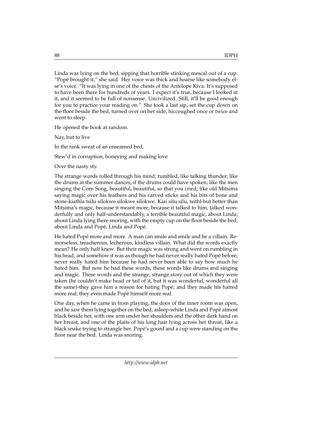Linda was lying on the bed, sipping that horrible stinking mescal out of a cup. "Popé brought it," she said. Her voice was thick and hoarse like somebody else's voice. "It was lying in one of the chests of the Antelope Kiva. It's supposed to have been there for hundreds of years. I expect it's true, because I looked at it, and it seemed to be full of nonsense. Uncivilized. Still, it'll be good enough for you to practice your reading on." She took a last sip, set the cup down on the floor beside the bed, turned over on her side, hiccoughed once or twice and went to sleep.

He opened the book at random.

Nay, but to live

In the rank sweat of an enseamed bed,

Stew'd in corruption, honeying and making love

Over the nasty sty.

The strange words rolled through his mind; rumbled, like talking thunder; like the drums at the summer dances, if the drums could have spoken; like the men singing the Corn Song, beautiful, beautiful, so that you cried; like old Mitsima saying magic over his feathers and his carved sticks and his bits of bone and stone-kiathla tsilu silokwe silokwe silokwe. Kiai silu silu, tsithl-but better than Mitsima's magic, because it meant more, because it talked to him, talked wonderfully and only half-understandably, a terrible beautiful magic, about Linda; about Linda lying there snoring, with the empty cup on the floor beside the bed; about Linda and Popé, Linda and Popé.

He hated Popé more and more. A man can smile and smile and be a villain. Remorseless, treacherous, lecherous, kindless villain. What did the words exactly mean? He only half knew. But their magic was strong and went on rumbling in his head, and somehow it was as though he had never really hated Popé before; never really hated him because he had never been able to say how much he hated him. But now he had these words, these words like drums and singing and magic. These words and the strange, strange story out of which they were taken (he couldn't make head or tail of it, but it was wonderful, wonderful all the same)-they gave him a reason for hating Popé; and they made his hatred more real; they even made Popé himself more real.

One day, when he came in from playing, the door of the inner room was open, and he saw them lying together on the bed, asleep-white Linda and Popé almost black beside her, with one arm under her shoulders and the other dark hand on her breast, and one of the plaits of his long hair lying across her throat, like a black snake trying to strangle her. Popé's gourd and a cup were standing on the floor near the bed. Linda was snoring.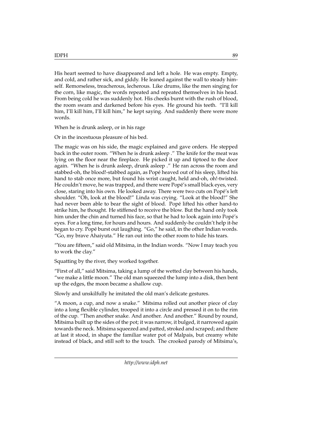His heart seemed to have disappeared and left a hole. He was empty. Empty, and cold, and rather sick, and giddy. He leaned against the wall to steady himself. Remorseless, treacherous, lecherous. Like drums, like the men singing for the corn, like magic, the words repeated and repeated themselves in his head. From being cold he was suddenly hot. His cheeks burnt with the rush of blood, the room swam and darkened before his eyes. He ground his teeth. "I'll kill him, I'll kill him, I'll kill him," he kept saying. And suddenly there were more words.

When he is drunk asleep, or in his rage

Or in the incestuous pleasure of his bed.

The magic was on his side, the magic explained and gave orders. He stepped back in the outer room. "When he is drunk asleep ." The knife for the meat was lying on the floor near the fireplace. He picked it up and tiptoed to the door again. "When he is drunk asleep, drunk asleep ." He ran across the room and stabbed-oh, the blood!-stabbed again, as Popé heaved out of his sleep, lifted his hand to stab once more, but found his wrist caught, held and-oh, oh!-twisted. He couldn't move, he was trapped, and there were Popé's small black eyes, very close, staring into his own. He looked away. There were two cuts on Popé's left shoulder. "Oh, look at the blood!" Linda was crying. "Look at the blood!" She had never been able to bear the sight of blood. Popé lifted his other hand-to strike him, he thought. He stiffened to receive the blow. But the hand only took him under the chin and turned his face, so that he had to look again into Popé's eyes. For a long time, for hours and hours. And suddenly-he couldn't help it-he began to cry. Popé burst out laughing. "Go," he said, in the other Indian words. "Go, my brave Ahaiyuta." He ran out into the other room to hide his tears.

"You are fifteen," said old Mitsima, in the Indian words. "Now I may teach you to work the clay."

Squatting by the river, they worked together.

"First of all," said Mitsima, taking a lump of the wetted clay between his hands, "we make a little moon." The old man squeezed the lump into a disk, then bent up the edges, the moon became a shallow cup.

Slowly and unskilfully he imitated the old man's delicate gestures.

"A moon, a cup, and now a snake." Mitsima rolled out another piece of clay into a long flexible cylinder, trooped it into a circle and pressed it on to the rim of the cup. "Then another snake. And another. And another." Round by round, Mitsima built up the sides of the pot; it was narrow, it bulged, it narrowed again towards the neck. Mitsima squeezed and patted, stroked and scraped; and there at last it stood, in shape the familiar water pot of Malpais, but creamy white instead of black, and still soft to the touch. The crooked parody of Mitsima's,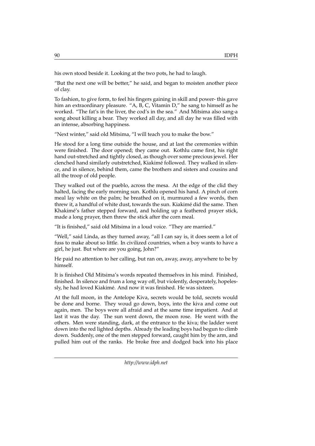his own stood beside it. Looking at the two pots, he had to laugh.

"But the next one will be better," he said, and began to moisten another piece of clay.

To fashion, to give form, to feel his fingers gaining in skill and power- this gave him an extraordinary pleasure. "A, B, C, Vitamin D," he sang to himself as he worked. "The fat's in the liver, the cod's in the sea." And Mitsima also sang-a song about killing a bear. They worked all day, and all day he was filled with an intense, absorbing happiness.

"Next winter," said old Mitsima, "I will teach you to make the bow."

He stood for a long time outside the house, and at last the ceremonies within were finished. The door opened; they came out. Kothlu came first, his right hand out-stretched and tightly closed, as though over some precious jewel. Her clenched hand similarly outstretched, Kiakimé followed. They walked in silence, and in silence, behind them, came the brothers and sisters and cousins and all the troop of old people.

They walked out of the pueblo, across the mesa. At the edge of the clid they halted, facing the early morning sun. Kothlu opened his hand. A pinch of corn meal lay white on the palm; he breathed on it, murmured a few words, then threw it, a handful of white dust, towards the sun. Kiakimé did the same. Then Khakimé's father stepped forward, and holding up a feathered prayer stick, made a long prayer, then threw the stick after the corn meal.

"It is finished," said old Mitsima in a loud voice. "They are married."

"Well," said Linda, as they turned away, "all I can say is, it does seem a lot of fuss to make about so little. In civilized countries, when a boy wants to have a girl, he just. But where are you going, John?"

He paid no attention to her calling, but ran on, away, away, anywhere to be by himself.

It is finished Old Mitsima's words repeated themselves in his mind. Finished, finished. In silence and frum a long way off, but violently, desperately, hopelessly, he had loved Kiakimé. And now it was finished. He was sixteen.

At the full moon, in the Antelope Kiva, secrets would be told, secrets would be done and borne. They woud go down, boys, into the kiva and come out again, men. The boys were all afraid and at the same time impatient. And at last it was the day. The sun went down, the moon rose. He went with the others. Men were standing, dark, at the entrance to the kiva; the ladder went down into the red lighted depths. Already the leading boys had begun to climb down. Suddenly, one of the men stepped forward, caught him by the arm, and pulled him out of the ranks. He broke free and dodged back into his place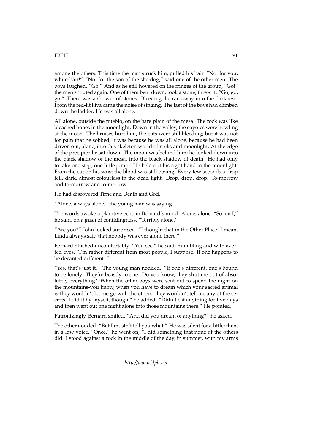among the others. This time the man struck him, pulled his hair. "Not for you, white-hair!" "Not for the son of the she-dog," said one of the other men. The boys laughed. "Go!" And as he still hovered on the fringes of the group, "Go!" the men shouted again. One of them bent down, took a stone, threw it. "Go, go, go!" There was a shower of stones. Bleeding, he ran away into the darkness. From the red-lit kiva came the noise of singing. The last of the boys had climbed down the ladder. He was all alone.

All alone, outside the pueblo, on the bare plain of the mesa. The rock was like bleached bones in the moonlight. Down in the valley, the coyotes were howling at the moon. The bruises hurt him, the cuts were still bleeding; but it was not for pain that he sobbed; it was because he was all alone, because he had been driven out, alone, into this skeleton world of rocks and moonlight. At the edge of the precipice he sat down. The moon was behind him; he looked down into the black shadow of the mesa, into the black shadow of death. He had only to take one step, one little jump.. He held out his right hand in the moonlight. From the cut on his wrist the blood was still oozing. Every few seconds a drop fell, dark, almost colourless in the dead light. Drop, drop, drop. To-morrow and to-morrow and to-morrow.

He had discovered Tirne and Death and God.

"Alone, always alone," the young man was saying.

The words awoke a plaintive echo in Bernard's mind. Alone, alone. "So am I," he said, on a gush of confidingness. "Terribly alone."

"Are you?" John looked surprised. "I thought that in the Other Place. I mean, Linda always said that nobody was ever alone there."

Bernard blushed uncomfortably. "You see," he said, mumbling and with averted eyes, "I'm rather different from most people, I suppose. If one happens to be decanted different ."

"Yes, that's just it." The young man nodded. "If one's different, one's bound to be lonely. They're beastly to one. Do you know, they shut me out of absolutely everything? When the other boys were sent out to spend the night on the mountains-you know, when you have to dream which your sacred animal is-they wouldn't let me go with the others; they wouldn't tell me any of the secrets. I did it by myself, though," he added. "Didn't eat anything for five days and then went out one night alone into those mountains there." He pointed.

Patronizingly, Bernard smiled. "And did you dream of anything?" he asked.

The other nodded. "But I mustn't tell you what." He was silent for a little; then, in a low voice, "Once," he went on, "I did something that none of the others did: I stood against a rock in the middle of the day, in summer, with my arms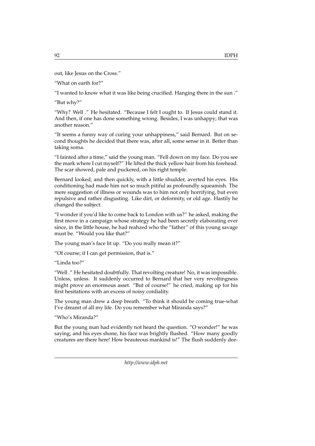out, like Jesus on the Cross."

"What on earth for?"

"I wanted to know what it was like being crucified. Hanging there in the sun ."

"But why?"

"Why? Well ." He hesitated. "Because I felt I ought to. If Jesus could stand it. And then, if one has done something wrong. Besides, I was unhappy; that was another reason."

"It seems a funny way of curing your unhappiness," said Bernard. But on second thoughts he decided that there was, after all, some sense in it. Better than taking soma.

"I fainted after a time," said the young man. "Fell down on my face. Do you see the mark where I cut myself?" He lifted the thick yellow hair from his forehead. The scar showed, pale and puckered, on his right temple.

Bernard looked, and then quickly, with a little shudder, averted his eyes. His conditioning had made him not so much pitiful as profoundly squeamish. The mere suggestion of illness or wounds was to him not only horrifying, but even repulsive and rather disgusting. Like dirt, or deformity, or old age. Hastily he changed the subject.

"I wonder if you'd like to come back to London with us?" he asked, making the first move in a campaign whose strategy he had been secretly elaborating ever since, in the little house, he had reahzed who the "father" of this young savage must be. "Would you like that?"

The young man's face lit up. "Do you really mean it?"

"Of course; if I can get permission, that is."

"Linda too?"

"Well ." He hesitated doubtfully. That revolting creature! No, it was impossible. Unless, unless. It suddenly occurred to Bernard that her very revoltingness might prove an enormous asset. "But of course!" he cried, making up for his first hesitations with an excess of noisy cordiality.

The young man drew a deep breath. "To think it should be coming true-what I've dreamt of all my life. Do you remember what Miranda says?"

"Who's Miranda?"

But the young man had evidently not heard the question. "O wonder!" he was saying; and his eyes shone, his face was brightly flushed. "How many goodly creatures are there here! How beauteous mankind is!" The flush suddenly dee-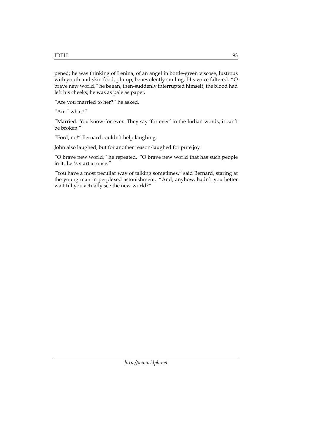pened; he was thinking of Lenina, of an angel in bottle-green viscose, lustrous with youth and skin food, plump, benevolently smiling. His voice faltered. "O brave new world," he began, then-suddenly interrupted himself; the blood had left his cheeks; he was as pale as paper.

"Are you married to her?" he asked.

"Am I what?"

"Married. You know-for ever. They say 'for ever' in the Indian words; it can't be broken."

"Ford, no!" Bernard couldn't help laughing.

John also laughed, but for another reason-laughed for pure joy.

"O brave new world," he repeated. "O brave new world that has such people in it. Let's start at once."

"You have a most peculiar way of talking sometimes," said Bernard, staring at the young man in perplexed astonishment. "And, anyhow, hadn't you better wait till you actually see the new world?"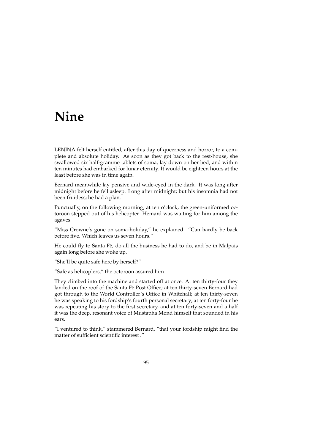## **Nine**

LENINA felt herself entitled, after this day of queerness and horror, to a complete and absolute holiday. As soon as they got back to the rest-house, she swallowed six half-gramme tablets of soma, lay down on her bed, and within ten minutes had embarked for lunar eternity. It would be eighteen hours at the least before she was in time again.

Bernard meanwhile lay pensive and wide-eyed in the dark. It was long after midnight before he fell asleep. Long after midnight; but his insomnia had not been fruitless; he had a plan.

Punctually, on the following morning, at ten o'clock, the green-uniformed octoroon stepped out of his helicopter. Hemard was waiting for him among the agaves.

"Miss Crowne's gone on soma-holiday," he explained. "Can hardly be back before five. Which leaves us seven hours."

He could fly to Santa Fé, do all the business he had to do, and be in Malpais again long before she woke up.

"She'll be quite safe here by herself?"

"Safe as helicoplers," the octoroon assured him.

They climbed into the machine and started off at once. At ten thirty-four they landed on the roof of the Santa Fé Post Offiee; at ten thirty-seven Bernard had got through to the World Controller's Office in Whitehall; at ten thirty-seven he was speaking to his fordship's fourth personal secretary; at ten forty-four he was repeating his story to the first secretary, and at ten forty-seven and a half it was the deep, resonant voice of Mustapha Mond himself that sounded in his ears.

"I ventured to think," stammered Bernard, "that your fordship might find the matter of sufficient scientific interest ."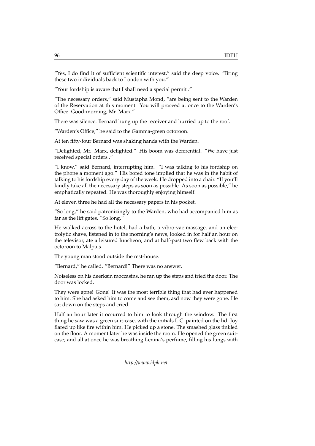"Yes, I do find it of sufficient scientific interest," said the deep voice. "Bring these two individuals back to London with you."

"Your fordship is aware that I shall need a special permit ."

"The necessary orders," said Mustapha Mond, "are being sent to the Warden of the Reservation at this moment. You will proceed at once to the Warden's Office. Good-morning, Mr. Marx."

There was silence. Bernard hung up the receiver and hurried up to the roof.

"Warden's Office," he said to the Gamma-green octoroon.

At ten fifty-four Bernard was shaking hands with the Warden.

"Delighted, Mr. Marx, delighted." His boom was deferential. "We have just received special orders ."

"I know," said Bernard, interrupting him. "I was talking to his fordship on the phone a moment ago." His bored tone implied that he was in the habit of talking to his fordship every day of the week. He dropped into a chair. "If you'll kindly take all the necessary steps as soon as possible. As soon as possible," he emphatically repeated. He was thoroughly enjoying himself.

At eleven three he had all the necessary papers in his pocket.

"So long," he said patronizingly to the Warden, who had accompanied him as far as the lift gates. "So long."

He walked across to the hotel, had a bath, a vibro-vac massage, and an electrolytic shave, listened in to the morning's news, looked in for half an hour on the televisor, ate a leisured luncheon, and at half-past two flew back with the octoroon to Malpais.

The young man stood outside the rest-house.

"Bernard," he called. "Bernard!" There was no answer.

Noiseless on his deerksin moccasins, he ran up the steps and tried the door. The door was locked.

They were gone! Gone! It was the most terrible thing that had ever happened to him. She had asked him to come and see them, asd now they were gone. He sat down on the steps and cried.

Half an hour later it occurred to him to look through the window. The first thing he saw was a green suit-case, with the initials L.C. painted on the lid. Joy flared up like fire within him. He picked up a stone. The smashed glass tinkled on the floor. A moment later he was inside the room. He opened the green suitcase; and all at once he was breathing Lenina's perfume, filling his lungs with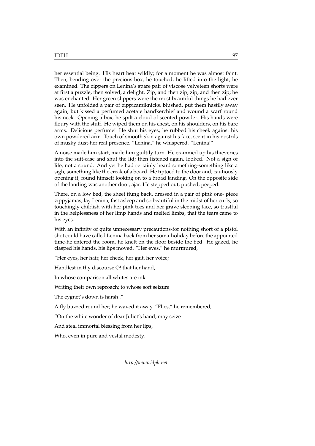her essential being. His heart beat wildly; for a moment he was almost faint. Then, bending over the precious box, he touched, he lifted into the light, he examined. The zippers on Lenina's spare pair of viscose velveteen shorts were at first a puzzle, then solved, a delight. Zip, and then zip; zip, and then zip; he was enchanted. Her green slippers were the most beautiful things he had ever seen. He unfolded a pair of zippicamiknicks, blushed, put them hastily away again; but kissed a perfumed acetate handkerchief and wound a scarf round his neck. Opening a box, he spilt a cloud of scented powder. His hands were floury with the stuff. He wiped them on his chest, on his shoulders, on his bare arms. Delicious perfume! He shut his eyes; he rubbed his cheek against his own powdered arm. Touch of smooth skin against his face, scent in his nostrils of musky dust-her real presence. "Lenina," he whispered. "Lenina!"

A noise made him start, made him guiltily turn. He crammed up his thieveries into the suit-case and shut the lid; then listened again, looked. Not a sign of life, not a sound. And yet he had certainly heard something-something like a sigh, something like the creak of a board. He tiptoed to the door and, cautiously opening it, found himself looking on to a broad landing. On the opposite side of the landing was another door, ajar. He stepped out, pushed, peeped.

There, on a low bed, the sheet flung back, dressed in a pair of pink one- piece zippyjamas, lay Lenina, fast asleep and so beautiful in the midst of her curls, so touchingly childish with her pink toes and her grave sleeping face, so trustful in the helplessness of her limp hands and melted limbs, that the tears came to his eyes.

With an infinity of quite unnecessary precautions-for nothing short of a pistol shot could have called Lenina back from her soma-holiday before the appointed time-he entered the room, he knelt on the floor beside the bed. He gazed, he clasped his hands, his lips moved. "Her eyes," he murmured,

"Her eyes, her hair, her cheek, her gait, her voice;

Handlest in thy discourse O! that her hand,

In whose comparison all whites are ink

Writing their own reproach; to whose soft seizure

The cygnet's down is harsh ."

A fly buzzed round her; he waved it away. "Flies," he remembered,

"On the white wonder of dear Juliet's hand, may seize

And steal immortal blessing from her lips,

Who, even in pure and vestal modesty,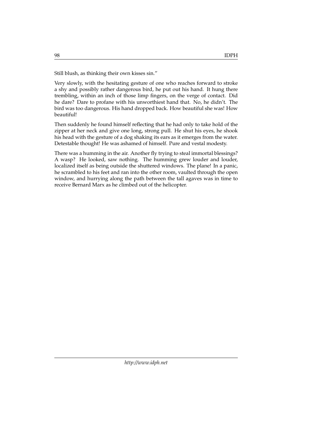Still blush, as thinking their own kisses sin."

Very slowly, with the hesitating gesture of one who reaches forward to stroke a shy and possibly rather dangerous bird, he put out his hand. It hung there trembling, within an inch of those limp fingers, on the verge of contact. Did he dare? Dare to profane with his unworthiest hand that. No, he didn't. The bird was too dangerous. His hand dropped back. How beautiful she was! How beautiful!

Then suddenly he found himself reflecting that he had only to take hold of the zipper at her neck and give one long, strong pull. He shut his eyes, he shook his head with the gesture of a dog shaking its ears as it emerges from the water. Detestable thought! He was ashamed of himself. Pure and vestal modesty.

There was a humming in the air. Another fly trying to steal immortal blessings? A wasp? He looked, saw nothing. The humming grew louder and louder, localized itself as being outside the shuttered windows. The plane! In a panic, he scrambled to his feet and ran into the other room, vaulted through the open window, and hurrying along the path between the tall agaves was in time to receive Bernard Marx as he climbed out of the helicopter.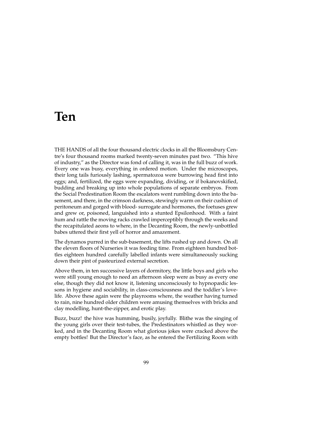#### **Ten**

THE HANDS of all the four thousand electric clocks in all the Bloomsbury Centre's four thousand rooms marked twenty-seven minutes past two. "This hive of industry," as the Director was fond of calling it, was in the full buzz of work. Every one was busy, everything in ordered motion. Under the microscopes, their long tails furiously lashing, spermatozoa were burrowing head first into eggs; and, fertilized, the eggs were expanding, dividing, or if bokanovskified, budding and breaking up into whole populations of separate embryos. From the Social Predestination Room the escalators went rumbling down into the basement, and there, in the crimson darkness, stewingly warm on their cushion of peritoneum and gorged with blood- surrogate and hormones, the foetuses grew and grew or, poisoned, languished into a stunted Epsilonhood. With a faint hum and rattle the moving racks crawled imperceptibly through the weeks and the recapitulated aeons to where, in the Decanting Room, the newly-unbottled babes uttered their first yell of horror and amazement.

The dynamos purred in the sub-basement, the lifts rushed up and down. On all the eleven floors of Nurseries it was feeding time. From eighteen hundred bottles eighteen hundred carefully labelled infants were simultaneously sucking down their pint of pasteurized external secretion.

Above them, in ten successive layers of dormitory, the little boys and girls who were still young enough to need an afternoon sleep were as busy as every one else, though they did not know it, listening unconsciously to hypnopædic lessons in hygiene and sociability, in class-consciousness and the toddler's lovelife. Above these again were the playrooms where, the weather having turned to rain, nine hundred older children were amusing themselves with bricks and clay modelling, hunt-the-zipper, and erotic play.

Buzz, buzz! the hive was humming, busily, joyfully. Blithe was the singing of the young girls over their test-tubes, the Predestinators whistled as they worked, and in the Decanting Room what glorious jokes were cracked above the empty bottles! But the Director's face, as he entered the Fertilizing Room with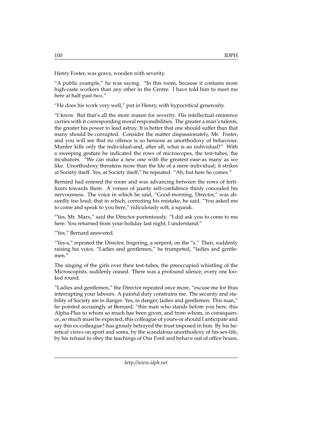Henry Foster, was grave, wooden with severity.

"A public example," he was saying. "In this room, because it contains more high-caste workers than any other in the Centre. I have told him to meet me here at half-past two."

"He does his work very well," put in Henry, with hypocritical generosity.

"I know. But that's all the more reason for severity. His intellectual eminence carries with it corresponding moral responsibilities. The greater a man's talents, the greater his power to lead astray. It is better that one should suffer than that many should be corrupted. Consider the matter dispassionately, Mr. Foster, and you will see that no offence is so henious as unorthodoxy of behaviour. Murder kills only the individual-and, after all, what is an individual?" With a sweeping gesture he indicated the rows of microscopes, the test-tubes, the incubators. "We can make a new one with the greatest ease-as many as we like. Unorthodoxy threatens more than the life of a mere individual; it strikes at Society itseff. Yes, at Society itself," he repeated. "Ah, but here he comes."

Bernard had entered the room and was advancing between the rows of fertilizers towards them. A veneer of jaunty self-confidence thinly concealed his nervousness. The voice in which he said, "Good-morning, Director," was absurdly too loud; that in which, correcting his rnistake, he said, "You asked me to come and speak to you here," ridiculously soft, a squeak.

"Yes, Mr. Marx," said the Director portentously. "I did ask you to come to me here. You returned from your holiday last night, I understand."

"Yes," Bernard answered.

"Yes-s," repeated the Director, lingering, a serpent, on the "s." Then, suddenly raising his voice, "Ladies and gentlemen," he trumpeted, "ladies and gentlemen.'

The singing of the girls over their test-tubes, the preoccupied whistling of the Microscopists, suddenly ceased. There was a profound silence; every one looked round.

"Ladies and gentlemen," the Director repeated once more, "excuse me for thus interrupting your labours. A painful duty constrains me. The security and stability of Society are in danger. Yes, in danger, ladies and gentlemen. This man," he pointed accusingly at Bernard, "this man who stands before you here, this Alpha-Plus to whom so much has been given, and from whom, in consequence, so much must be expected, this colleague of yours-or should I anticipate and say this ex-colleague?-has grossly betrayed the trust imposed in him. By his heretical views on sport and soma, by the scandalous unorthodoxy of his sex-life, by his refusal to obey the teachings of Our Ford and behave out of office hours,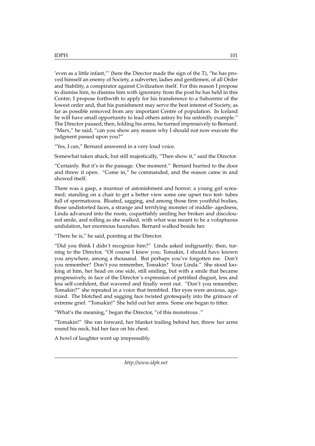'even as a little infant,"' (here the Director made the sign of the T), "he has proved himself an enemy of Society, a subverter, ladies and gentlemen, of all Order and Stability, a conspirator against Civilization itself. For this reason I propose to dismiss him, to dismiss him with ignominy from the post he has held in this Centre; I propose forthwith to apply for his transference to a Subcentre of the lowest order and, that his punishment may serve the best interest of Society, as far as possible removed from any important Centre of population. In Iceland he will have small opportunity to lead others astray by his unfordly example." The Director paused; then, folding his arms, he turned impressively to Bernard. "Marx," he said, "can you show any reason why I should not now execute the judgment passed upon you?"

"Yes, I can," Bernard answered in a very loud voice.

Somewhat taken aback, but still majestically, "Then show it," said the Director.

"Certainly. But it's in the passage. One moment." Bernard hurried to the door and threw it open. "Come in," he commanded, and the reason came in and showed itself.

There was a gasp, a murmur of astonishment and horror; a young girl screamed; standing on a chair to get a better view some one upset two test- tubes full of spermatozoa. Bloated, sagging, and among those firm youthful bodies, those undistorted faces, a strange and terrifying monster of middle- agedness, Linda advanced into the room, coquettishly smiling her broken and discoloured smile, and rolling as she walked, with what was meant to be a voluptuous undulation, her enormous haunches. Bernard walked beside her.

"There he is," he said, pointing at the Director.

"Did you think I didn't recognize him?" Linda asked indignantly; then, turning to the Director, "Of course I knew you; Tomakin, I should have known you anywhere, among a thousand. But perhaps you've forgotten me. Don't you remember? Don't you remember, Tomakin? Your Linda." She stood looking at him, her head on one side, still smiling, but with a smile that became progressively, in face of the Director's expression of petrified disgust, less and less self-confident, that wavered and finally went out. "Don't you remember, Tomakin?" she repeated in a voice that trembled. Her eyes were anxious, agonized. The blotched and sagging face twisted grotesquely into the grimace of extreme grief. "Tomakin!" She held out her arms. Some one began to titter.

"What's the meaning," began the Director, "of this monstrous ."

"Tomakin!" She ran forward, her blanket trailing behind her, threw her arms round his neck, hid her face on his chest.

A howl of laughter went up irrepressibly.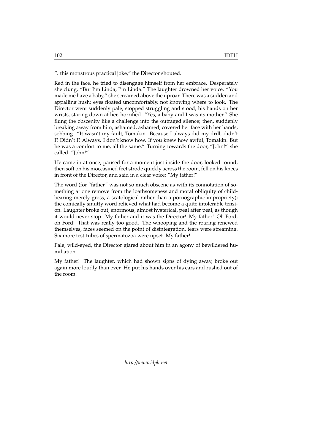". this monstrous practical joke," the Director shouted.

Red in the face, he tried to disengage himself from her embrace. Desperately she clung. "But I'm Linda, I'm Linda." The laughter drowned her voice. "You made me have a baby," she screamed above the uproar. There was a sudden and appalling hush; eyes floated uncomfortably, not knowing where to look. The Director went suddenly pale, stopped struggling and stood, his hands on her wrists, staring down at her, horrified. "Yes, a baby-and I was its mother." She flung the obscenity like a challenge into the outraged silence; then, suddenly breaking away from him, ashamed, ashamed, covered her face with her hands, sobbing. "It wasn't my fault, Tomakin. Because I always did my drill, didn't I? Didn't I? Always. I don't know how. If you knew how awful, Tomakin. But he was a comfort to me, all the same." Turning towards the door, "John!" she called. "John!"

He came in at once, paused for a moment just inside the door, looked round, then soft on his moccasined feet strode quickly across the room, fell on his knees in front of the Director, and said in a clear voice: "My father!"

The word (for "father" was not so much obscene as-with its connotation of something at one remove from the loathsomeness and moral obliquity of childbearing-merely gross, a scatological rather than a pornographic impropriety); the comically smutty word relieved what had become a quite intolerable tension. Laughter broke out, enormous, almost hysterical, peal after peal, as though it would never stop. My father-and it was the Director! My father! Oh Ford, oh Ford! That was really too good. The whooping and the roaring renewed themselves, faces seemed on the point of disintegration, tears were streaming. Six more test-tubes of spermatozoa were upset. My father!

Pale, wild-eyed, the Director glared about him in an agony of bewildered humiliation.

My father! The laughter, which had shown signs of dying away, broke out again more loudly than ever. He put his hands over his ears and rushed out of the room.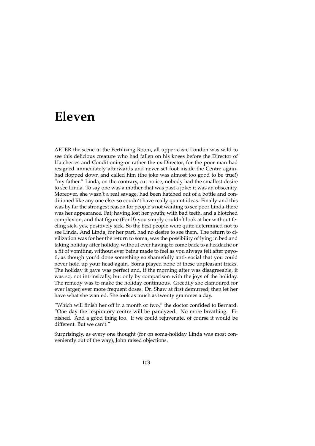## **Eleven**

AFTER the scene in the Fertilizing Room, all upper-caste London was wild to see this delicious creature who had fallen on his knees before the Director of Hatcheries and Conditioning-or rather the ex-Director, for the poor man had resigned immediately afterwards and never set foot inside the Centre againhad flopped down and called him (the joke was almost too good to be true!) "my father." Linda, on the contrary, cut no ice; nobody had the smallest desire to see Linda. To say one was a mother-that was past a joke: it was an obscenity. Moreover, she wasn't a real savage, had been hatched out of a bottle and conditioned like any one else: so coudn't have really quaint ideas. Finally-and this was by far the strongest reason for people's not wanting to see poor Linda-there was her appearance. Fat; having lost her youth; with bad teeth, and a blotched complexion, and that figure (Ford!)-you simply couldn't look at her without feeling sick, yes, positively sick. So the best people were quite determined not to see Linda. And Linda, for her part, had no desire to see them. The return to civilization was for her the return to soma, was the possibility of lying in bed and taking holiday after holiday, without ever having to come back to a headache or a fit of vomiting, without ever being made to feel as you always felt after peyotl, as though you'd done something so shamefully anti- social that you could never hold up your head again. Soma played none of these unpleasant tricks. The holiday it gave was perfect and, if the morning after was disagreeable, it was so, not intrinsically, but only by comparison with the joys of the holiday. The remedy was to make the holiday continuous. Greedily she clamoured for ever larger, ever more frequent doses. Dr. Shaw at first demurred; then let her have what she wanted. She took as much as twenty grammes a day.

"Which will finish her off in a month or two," the doctor confided to Bernard. "One day the respiratory centre will be paralyzed. No more breathing. Finished. And a good thing too. If we could rejuvenate, of course it would be different. But we can't."

Surprisingly, as every one thought (for on soma-holiday Linda was most conveniently out of the way), John raised objections.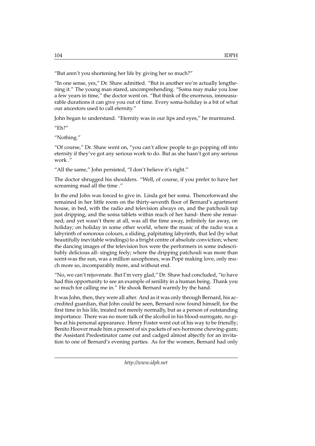"But aren't you shortening her life by giving her so much?"

"In one sense, yes," Dr. Shaw admitted. "But in another we're actually lengthening it." The young man stared, uncomprehending. "Soma may make you lose a few years in time," the doctor went on. "But think of the enornous, immeasurable durations it can give you out of time. Every soma-holiday is a bit of what our ancestors used to call eternity."

John began to understand. "Eternity was in our lips and eyes," he murmured.

 $^{\prime\prime}$ Eh?"

"Nothing."

"Of course," Dr. Shaw went on, "you can't allow people to go popping off into eternity if they've got any serious work to do. But as she hasn't got any serious work ."

"All the same," John persisted, "I don't believe it's right."

The doctor shrugged his shoulders. "Well, of course, if you prefer to have her screaming mad all the time ."

In the end John was forced to give in. Linda got her soma. Thenceforward she remained in her little room on the thirty-seventh floor of Bernard's apartment house, in bed, with the radio and television always on, and the patchouli tap just dripping, and the soma tablets within reach of her hand- there she remained; and yet wasn't there at all, was all the time away, infinitely far away, on holiday; on holiday in some other world, where the music of the radio was a labyrinth of sonorous colours, a sliding, palpitating labyrinth, that led (by what beautifully inevitable windings) to a bright centre of absolute conviction; where the dancing images of the television box were the performers in some indescribably delicious all- singing feely; where the dripping patchouli was more than scent-was the sun, was a million saxophones, was Popé making love, only much more so, incomparably more, and without end.

"No, we can't rejuvenate. But I'm very glad," Dr. Shaw had concluded, "to have had this opportunity to see an example of senility in a human being. Thank you so much for calling me in." He shook Bernard warmly by the hand.

It was John, then, they were all after. And as it was only through Bernard, his accredited guardian, that John could be seen, Bernard now found himself, for the first time in his life, treated not merely normally, but as a person of outstanding importance. There was no more talk of the alcohol in his blood-surrogate, no gibes at his personal appearance. Henry Foster went out of his way to be friendly; Benito Hoover made him a present of six packets of sex-hormone chewing-gum; the Assistant Predestinator came out and cadged almost abjectly for an invitation to one of Bernard's evening parties. As for the women, Bernard had only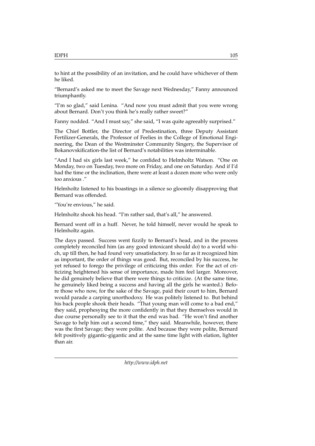to hint at the possibility of an invitation, and he could have whichever of them he liked.

"Bernard's asked me to meet the Savage next Wednesday," Fanny announced triumphantly.

"I'm so glad," said Lenina. "And now you must admit that you were wrong about Bernard. Don't you think he's really rather sweet?"

Fanny nodded. "And I must say," she said, "I was quite agreeably surprised."

The Chief Bottler, the Director of Predestination, three Deputy Assistant Fertilizer-Generals, the Professor of Feelies in the College of Emotional Engineering, the Dean of the Westminster Community Singery, the Supervisor of Bokanovskification-the list of Bernard's notabilities was interminable.

"And I had six girls last week," he confided to Helmholtz Watson. "One on Monday, two on Tuesday, two more on Friday, and one on Saturday. And if I'd had the time or the inclination, there were at least a dozen more who were only too anxious ."

Helmholtz listened to his boastings in a silence so gloomily disapproving that Bernard was offended.

"You're envious," he said.

Helmholtz shook his head. "I'm rather sad, that's all," he answered.

Bernard went off in a huff. Never, he told himself, never would he speak to Helmholtz again.

The days passed. Success went fizzily to Bernard's head, and in the process completely reconciled him (as any good intoxicant should do) to a world which, up till then, he had found very unsatisfactory. In so far as it recognized him as important, the order of things was good. But, reconciled by his success, he yet refused to forego the privilege of criticizing this order. For the act of criticizing heightened his sense of importance, made him feel larger. Moreover, he did genuinely believe that there were things to criticize. (At the same time, he genuinely liked being a success and having all the girls he wanted.) Before those who now, for the sake of the Savage, paid their court to him, Bernard would parade a carping unorthodoxy. He was politely listened to. But behind his back people shook their heads. "That young man will come to a bad end," they said, prophesying the more confidently in that they themselves would in due course personally see to it that the end was bad. "He won't find another Savage to help him out a second time," they said. Meanwhile, however, there was the first Savage; they were polite. And because they were polite, Bernard felt positively gigantic-gigantic and at the same time light with elation, lighter than air.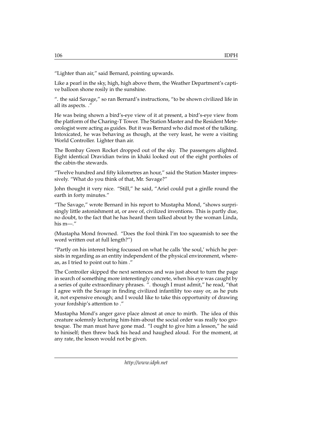"Lighter than air," said Bernard, pointing upwards.

Like a pearl in the sky, high, high above them, the Weather Department's captive balloon shone rosily in the sunshine.

". the said Savage," so ran Bernard's instructions, "to be shown civilized life in all its aspects. ."

He was being shown a bird's-eye view of it at present, a bird's-eye view from the platform of the Charing-T Tower. The Station Master and the Resident Meteorologist were acting as guides. But it was Bernard who did most of the talking. Intoxicated, he was behaving as though, at the very least, he were a visiting World Controller. Lighter than air.

The Bombay Green Rocket dropped out of the sky. The passengers alighted. Eight identical Dravidian twins in khaki looked out of the eight portholes of the cabin-the stewards.

"Twelve hundred and fifty kilometres an hour," said the Station Master impressively. "What do you think of that, Mr. Savage?"

John thought it very nice. "Still," he said, "Ariel could put a girdle round the earth in forty minutes."

"The Savage," wrote Bernard in his report to Mustapha Mond, "shows surprisingly little astonishment at, or awe of, civilized inventions. This is partly due, no doubt, to the fact that he has heard them talked about by the woman Linda, his m—."

(Mustapha Mond frowned. "Does the fool think I'm too squeamish to see the word written out at full length?")

"Partly on his interest being focussed on what he calls 'the soul,' which he persists in regarding as an entity independent of the physical environment, whereas, as I tried to point out to him ."

The Controiler skipped the next sentences and was just about to turn the page in search of something more interestingly concrete, when his eye was caught by a series of quite extraordinary phrases. ". though I must admit," he read, "that I agree with the Savage in finding civilized infantility too easy or, as he puts it, not expensive enough; and I would like to take this opportunity of drawing your fordship's attention to ."

Mustapha Mond's anger gave place almost at once to mirth. The idea of this creature solemnly lecturing him-him-about the social order was really too grotesque. The man must have gone mad. "I ought to give him a lesson," he said to hiniself; then threw back his head and haughed aloud. For the moment, at any rate, the lesson would not be given.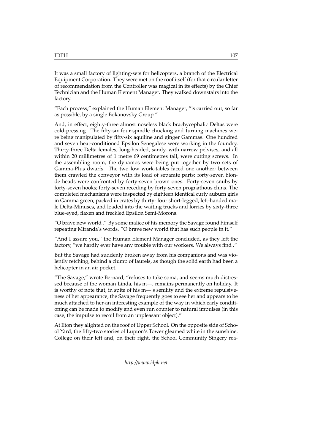It was a small factory of lighting-sets for helicopters, a branch of the Electrical Equipment Corporation. They were met on the roof itself (for that circular letter of recommendation from the Controller was magical in its effects) by the Chief Technician and the Human Element Manager. They walked downstairs into the factory.

"Each process," explained the Human Element Manager, "is carried out, so far as possible, by a single Bokanovsky Group."

And, in effect, eighty-three almost noseless black brachycephalic Deltas were cold-pressing. The fifty-six four-spindle chucking and turning machines were being manipulated by fifty-six aquiline and ginger Gammas. One hundred and seven heat-conditioned Epsilon Senegalese were working in the foundry. Thirty-three Delta females, long-headed, sandy, with narrow pelvises, and all within 20 millimetres of 1 metre 69 centimetres tall, were cutting screws. In the assembling room, the dynamos were being put together by two sets of Gamma-Plus dwarfs. The two low work-tables faced one another; between them crawled the conveyor with its load of separate parts; forty-seven blonde heads were confronted by forty-seven brown ones. Forty-seven snubs by forty-seven hooks; forty-seven receding by forty-seven prognathous chins. The completed mechanisms were inspected by eighteen identical curly auburn girls in Gamma green, packed in crates by thirty- four short-legged, left-handed male Delta-Minuses, and loaded into the waiting trucks and lorries by sixty-three blue-eyed, flaxen and freckled Epsilon Semi-Morons.

"O brave new world ." By some malice of his memory the Savage found himself repeating Miranda's words. "O brave new world that has such people in it."

"And I assure you," the Human Element Manager concluded, as they left the factory, "we hardly ever have any trouble with our workers. We always find ."

But the Savage had suddenly broken away from his companions and was violently retching, behind a clump of laurels, as though the solid earth had been a helicopter in an air pocket.

"The Savage," wrote Bernard, "refuses to take soma, and seems much distressed because of the woman Linda, his m—, remains permanently on holiday. It is worthy of note that, in spite of his m—'s senility and the extreme repulsiveness of her appearance, the Savage frequently goes to see her and appears to be much attached to her-an interesting example of the way in which early conditioning can be made to modify and even run counter to natural impulses (in this case, the impulse to recoil from an unpleasant object)."

At Eton they alighted on the roof of Upper School. On the opposite side of School Yard, the fifty-two stories of Lupton's Tower gleamed white in the sunshine. College on their left and, on their right, the School Community Singery rea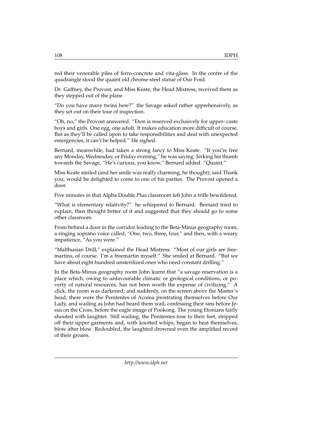red their venerable piles of ferro-concrete and vita-glass. In the centre of the quadrangle stood the quaint old chrome-steel statue of Our Ford.

Dr. Gaffney, the Provost, and Miss Keate, the Head Mistress, received them as they stepped out of the plane.

"Do you have many twins here?" the Savage asked rather apprehensively, as they set out on their tour of inspection.

"Oh, no," the Provost answered. "Eton is reserved exclusively for upper- caste boys and girls. One egg, one adult. It makes education more difficult of course. But as they'll be called upon to take responsibilities and deal with unexpected emergencies, it can't be helped." He sighed.

Bernard, meanwhile, had taken a strong fancy to Miss Keate. "If you're free any Monday, Wednesday, or Friday evening," he was saying. Jerking his thumb towards the Savage, "He's curious, you know," Bernard added. "Quaint."

Miss Keate smiled (and her smile was really charming, he thought); said Thank you; would be delighted to come to one of his parties. The Provost opened a door.

Five minutes in that Alpha Double Plus classroom left John a trifle bewildered.

"What is elementary relativity?" he whispered to Bernard. Bernard tried to explain, then thought better of it and suggested that they should go to some other classroom.

From behind a door in the corridor leading to the Beta-Minus geography room, a ringing soprano voice called, "One, two, three, four," and then, with a weary impatience, "As you were."

"Malthusian Drill," explained the Head Mistress. "Most of our girls are freemartins, of course. I'm a freemartin myself." She smiled at Bernard. "But we have about eight hundred unsterilized ones who need constant drilling."

In the Beta-Minus geography room John learnt that "a savage reservation is a place which, owing to unfavourable climatic or geological conditions, or poverty of natural resources, has not been worth the expense of civilizing." A click; the room was darkened; and suddenly, on the screen above the Master's head, there were the Penitentes of Acoma prostrating themselves before Our Lady, and wailing as John had heard them wail, confessing their sins before Jesus on the Cross, before the eagle image of Pookong. The young Etonians fairly shouted with laughter. Still wailing, the Penitentes rose to their feet, stripped off their upper garments and, with knotted whips, began to beat themselves, blow after blow. Redoubled, the laughted drowned even the amplified record of their groans.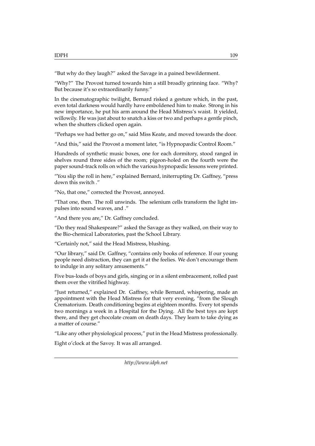"But why do they laugh?" asked the Savage in a pained bewilderment.

"Why?" The Provost turned towards him a still broadly grinning face. "Why? But because it's so extraordinarily funny."

In the cinematographic twilight, Bernard risked a gesture which, in the past, even total darkness would hardly have emboldened him to make. Strong in his new importance, he put his arm around the Head Mistress's waist. It yielded, willowily. He was just about to snatch a kiss or two and perhaps a gentle pinch, when the shutters clicked open again.

"Perhaps we had better go on," said Miss Keate, and moved towards the door.

"And this," said the Provost a moment later, "is Hypnopædic Control Room."

Hundreds of synthetic music boxes, one for each dormitory, stood ranged in shelves round three sides of the room; pigeon-holed on the fourth were the paper sound-track rolls on which the various hypnopædic lessons were printed.

"You slip the roll in here," explained Bernard, initerrupting Dr. Gaffney, "press down this switch ."

"No, that one," corrected the Provost, annoyed.

"That one, then. The roll unwinds. The selenium cells transform the light impulses into sound waves, and ."

"And there you are," Dr. Gaffney concluded.

"Do they read Shakespeare?" asked the Savage as they walked, on their way to the Bio-chemical Laboratories, past the School Library.

"Certainly not," said the Head Mistress, blushing.

"Our library," said Dr. Gaffney, "contains only books of reference. If our young people need distraction, they can get it at the feelies. We don't encourage them to indulge in any solitary amusements."

Five bus-loads of boys and girls, singing or in a silent embracement, rolled past them over the vitrified highway.

"Just returned," explained Dr. Gaffney, while Bernard, whispering, made an appointment with the Head Mistress for that very evening, "from the Slough Crematorium. Death conditioning begins at eighteen months. Every tot spends two mornings a week in a Hospital for the Dying. All the best toys are kept there, and they get chocolate cream on death days. They learn to take dying as a matter of course."

"Like any other physiological process," put in the Head Mistress professionally.

Eight o'clock at the Savoy. It was all arranged.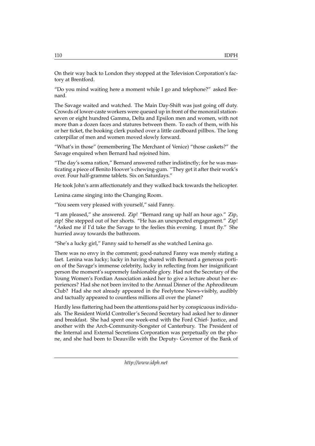On their way back to London they stopped at the Television Corporation's factory at Brentford.

"Do you mind waiting here a moment while I go and telephone?" asked Bernard.

The Savage waited and watched. The Main Day-Shift was just going off duty. Crowds of lower-caste workers were queued up in front of the monorail stationseven or eight hundred Gamma, Delta and Epsilon men and women, with not more than a dozen faces and statures between them. To each of them, with his or her ticket, the booking clerk pushed over a little cardboard pillbox. The long caterpillar of men and women moved slowly forward.

"What's in those" (remembering The Merchant of Venice) "those caskets?" the Savage enquired when Bernard had rejoined him.

"The day's soma ration," Bernard answered rather indistinctly; for he was masticating a piece of Benito Hoover's chewing-gum. "They get it after their work's over. Four half-gramme tablets. Six on Saturdays."

He took John's arm affectionately and they walked back towards the helicopter.

Lenina came singing into the Changing Room.

"You seem very pleased with yourself," said Fanny.

"I am pleased," she answered. Zip! "Bernard rang up half an hour ago." Zip, zip! She stepped out of her shorts. "He has an unexpected engagement." Zip! "Asked me if I'd take the Savage to the feelies this evening. I must fly." She hurried away towards the bathroom.

"She's a lucky girl," Fanny said to herself as she watched Lenina go.

There was no envy in the comment; good-natured Fanny was merely stating a faet. Lenina was lucky; lucky in having shared with Bernard a generous portion of the Savage's immense celebrity, lucky in reflecting from her insignificant person the moment's supremely fashionable glory. Had not the Secretary of the Young Women's Fordian Association asked her to give a lecture about her experiences? Had she not been invited to the Annual Dinner of the Aphroditeum Club? Had she not already appeared in the Feelytone News-visibly, audibly and tactually appeared to countless millions all over the planet?

Hardly less flattering had been the attentions paid her by conspicuous individuals. The Resident World Controller's Second Secretary had asked her to dinner and breakfast. She had spent one week-end with the Ford Chief- Justice, and another with the Arch-Community-Songster of Canterbury. The President of the Internal and External Secretions Corporation was perpetually on the phone, and she had been to Deauville with the Deputy- Governor of the Bank of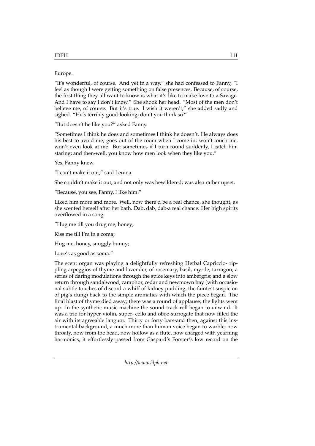#### Europe.

"It's wonderful, of course. And yet in a way," she had confessed to Fanny, "I feel as though I were getting something on false presences. Because, of course, the first thing they all want to know is what it's like to make love to a Savage. And I have to say I don't know." She shook her head. "Most of the men don't believe me, of course. But it's true. I wish it weren't," she added sadly and sighed. "He's terribly good-looking; don't you think so?"

"But doesn't he like you?" asked Fanny.

"Sometimes I think he does and sometimes I think he doesn't. He always does his best to avoid me; goes out of the room when I come in; won't touch me; won't even look at me. But sometimes if I turn round suddenly, I catch him staring; and then-well, you know how men look when they like you."

Yes, Fanny knew.

"I can't make it out," said Lenina.

She couldn't make it out; and not only was bewildered; was also rather upset.

"Because, you see, Fanny, I like him."

Liked him more and more. Well, now there'd be a real chance, she thought, as she scented herself after her bath. Dab, dab, dab-a real chance. Her high spirits overflowed in a song.

"Hug me till you drug me, honey;

Kiss me till I'm in a coma;

Hug me, honey, snuggly bunny;

Love's as good as soma."

The scent organ was playing a delightfully refreshing Herbal Capriccio- rippling arpeggios of thyme and lavender, of rosemary, basil, myrtle, tarragon; a series of daring modulations through the spice keys into ambergris; and a slow return through sandalwood, camphor, cedar and newmown hay (with occasional subtle touches of discord-a whiff of kidney pudding, the faintest suspicion of pig's dung) back to the simple aromatics with which the piece began. The final blast of thyme died away; there was a round of applause; the lights went up. In the synthetic music machine the sound-track roll began to unwind. It was a trio for hyper-violin, super- cello and oboe-surrogate that now filled the air with its agreeable languor. Thirty or forty bars-and then, against this instrumental background, a much more than human voice began to warble; now throaty, now from the head, now hollow as a flute, now charged with yearning harmonics, it effortlessly passed from Gaspard's Forster's low record on the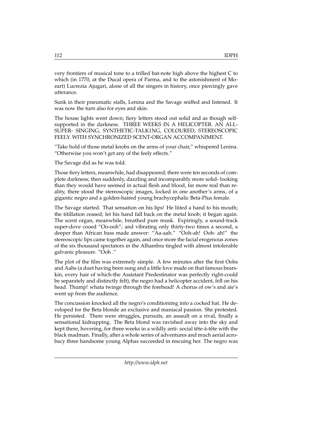very frontiers of musical tone to a trilled bat-note high above the highest C to which (in 1770, at the Ducal opera of Parma, and to the astonishment of Mozart) Lucrezia Ajugari, alone of all the singers in history, once piercingly gave utterance.

Sunk in their pneumatic stalls, Lenina and the Savage sniffed and listened. It was now the turn also for eyes and skin.

The house lights went down; fiery letters stood out solid and as though selfsupported in the darkness. THREE WEEKS IN A HELICOPTER. AN ALL-SUPER- SINGING, SYNTHETIC-TALK1NG, COLOURED, STEREOSCOPIC FEELY. WITH SYNCHRONIZED SCENT-ORGAN ACCOMPANIMENT.

"Take hold of those metal knobs on the arms of your chair," whispered Lenina. "Otherwise you won't get any of the feely effects."

The Savage did as he was told.

Those fiery letters, meanwhile, had disappeared; there were ten seconds of complete darkness; then suddenly, dazzling and incomparably more solid- looking than they would have seemed in actual flesh and blood, far more real than reality, there stood the stereoscopic images, locked in one another's arms, of a gigantic negro and a golden-haired young brachycephalic Beta-Plus female.

The Savage started. That sensation on his lips! He liited a hand to his mouth; the titillation ceased; let his hand fall back on the metal knob; it began again. The scent organ, meanwhile, breathed pure musk. Expiringly, a sound-track super-dove cooed "Oo-ooh"; and vibrating only thirty-two times a second, a deeper than African bass made answer: "Aa-aah." "Ooh-ah! Ooh- ah!" the stereoscopic lips came together again, and once more the facial erogenous zones of the six thousand spectators in the Alhambra tingled with almost intolerable galvanic pleasure. "Ooh ."

The plot of the film was extremely simple. A few minutes after the first Oohs and Aahs (a duet having been sung and a little love made on that famous bearskin, every hair of which-the Assistant Predestinator was perfectly right-could be separately and distinctly felt), the negro had a helicopter accident, fell on his head. Thump! whata twinge through the forehead! A chorus of ow's and aie's went up from the audience.

The concussion knocked all the negro's conditionimg into a cocked hat. He developed for the Beta blonde an exclusive and maniacal passion. She protested. He persisted. There were struggles, pursuits, an assault on a rival, finally a sensational kidnapping. The Beta blond was ravished away into the sky and kept there, hovering, for three weeks in a wildly anti- social tête-à-tête with the black madman. Finally, after a whole series of adventures and much aerial acrobacy three handsome young Alphas succeeded in rescuing her. The negro was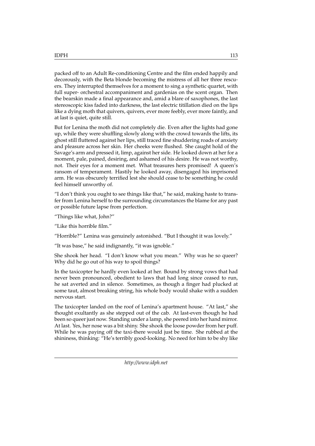packed off to an Adult Re-conditioning Centre and the film ended happily and decorously, with the Beta blonde becoming the mistress of all her three rescuers. They interrupted themselves for a moment to sing a synthetic quartet, with full super- orchestral accompaniment and gardenias on the scent organ. Then the bearskin made a final appearance and, amid a blare of saxophones, the last stereoscopic kiss faded into darkness, the last electric titillation died on the lips like a dying moth that quivers, quivers, ever more feebly, ever more faintly, and at last is quiet, quite still.

But for Lenina the moth did not completely die. Even after the lights had gone up, while they were shuffling slowly along with the crowd towards the lifts, its ghost still fluttered against her lips, still traced fine shuddering roads of anxiety and pleasure across her skin. Her cheeks were flushed. She caught hold of the Savage's arm and pressed it, limp, against her side. He looked down at her for a moment, pale, pained, desiring, and ashamed of his desire. He was not worthy, not. Their eyes for a moment met. What treasures hers promised! A queen's ransom of temperament. Hastily he looked away, disengaged his imprisoned arm. He was obscurely terrified lest she should cease to be something he could feel himself unworthy of.

"I don't think you ought to see things like that," he said, making haste to transfer from Lenina herself to the surrounding circumstances the blame for any past or possible future lapse from perfection.

"Things like what, John?"

"Like this horrible film."

"Horrible?" Lenina was genuinely astonished. "But I thought it was lovely."

"It was base," he said indignantly, "it was ignoble."

She shook her head. "I don't know what you mean." Why was he so queer? Why did he go out of his way to spoil things?

In the taxicopter he hardly even looked at her. Bound by strong vows that had never been pronounced, obedient to laws that had long since ceased to run, he sat averted and in silence. Sometimes, as though a finger had plucked at some taut, almost breaking string, his whole body would shake with a sudden nervous start.

The taxicopter landed on the roof of Lenina's apartment house. "At last," she thought exultantly as she stepped out of the cab. At last-even though he had been so queer just now. Standing under a lamp, she peered into her hand mirror. At last. Yes, her nose was a bit shiny. She shook the loose powder from her puff. While he was paying off the taxi-there would just be time. She rubbed at the shininess, thinking: "He's terribly good-looking. No need for him to be shy like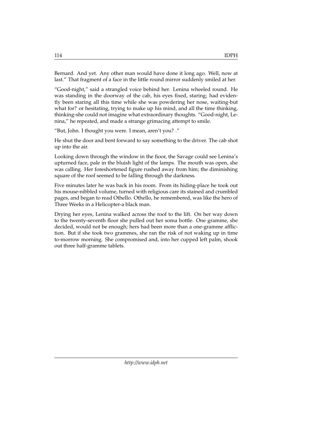Bernard. And yet. Any other man would have done it long ago. Well, now at last." That fragment of a face in the little round mirror suddenly smiled at her.

"Good-night," said a strangled voice behind her. Lenina wheeled round. He was standing in the doorway of the cab, his eyes fixed, staring; had evidently been staring all this time while she was powdering her nose, waiting-but what for? or hesitating, trying to make up his mind, and all the time thinking, thinking-she could not imagine what extraordinary thoughts. "Good-night, Lenina," he repeated, and made a strange grimacing attempt to smile.

"But, John. I thought you were. I mean, aren't you? ."

He shut the door and bent forward to say something to the driver. The cab shot up into the air.

Looking down through the window in the fioor, the Savage could see Lenina's upturned face, pale in the bluish light of the lamps. The mouth was open, she was calling. Her foreshortened figure rushed away from him; the diminishing square of the roof seemed to be falling through the darkness.

Five minutes later he was back in his room. From its hiding-place he took out his mouse-nibbled volume, turned with religious care its stained and crumbled pages, and began to read Othello. Othello, he remembered, was like the hero of Three Weeks in a Helicopter-a black man.

Drying her eyes, Lenina walked across the roof to the lift. On her way down to the twenty-seventh floor she pulled out her soma bottle. One gramme, she decided, would not be enough; hers had been more than a one-gramme affliction. But if she took two grammes, she ran the risk of not waking up in time to-morrow morning. She compromised and, into her cupped left palm, shook out three half-gramme tablets.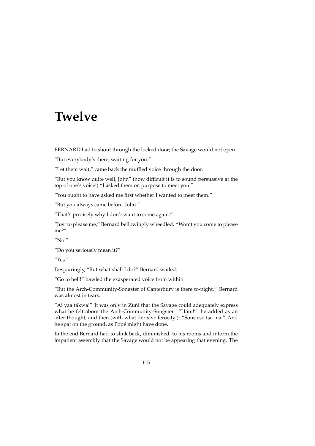### **Twelve**

BERNARD had to shout through the locked door; the Savage would not open.

"But everybody's there, waiting for you."

"Let them wait," came back the muffled voice through the door.

"But you know quite well, John" (how difficult it is to sound persuasive at the top of one's voice!) "I asked them on purpose to meet you."

"You ought to have asked me first whether I wanted to meet them."

"But you always came before, John."

"That's precisely why I don't want to come again."

"Just to please me," Bernard bellowingly wheedled. "Won't you come to please me?"

" $No."$ 

"Do you seriously mean it?"

"Yes."

Despairingly, "But what shall I do?" Bernard wailed.

"Go to hell!" bawled the exasperated voice from within.

"But the Arch-Community-Songster of Canterbury is there to-night." Bernard was almost in tears.

"Ai yaa tákwa!" It was only in Zuñi that the Savage could adequately express what he felt about the Arch-Community-Songster. "Háni!" he added as an after-thought; and then (with what derisive ferocity!): "Sons éso tse- ná." And he spat on the ground, as Popé might have done.

In the end Bernard had to slink back, diminished, to his rooms and inform the impatient assembly that the Savage would not be appearing that evening. The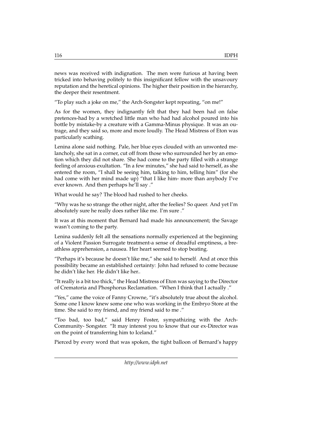news was received with indignation. The men were furious at having been tricked into behaving politely to this insignificant fellow with the unsavoury reputation and the heretical opinions. The higher their position in the hierarchy, the deeper their resentment.

"To play such a joke on me," the Arch-Songster kept repeating, "on me!"

As for the women, they indignantly felt that they had been had on false pretences-had by a wretched little man who had had alcohol poured into his bottle by mistake-by a creature with a Gamma-Minus physique. It was an outrage, and they said so, more and more loudly. The Head Mistress of Eton was particularly scathing.

Lenina alone said nothing. Pale, her blue eyes clouded with an unwonted melancholy, she sat in a corner, cut off from those who surrounded her by an emotion which they did not share. She had come to the party filled with a strange feeling of anxious exultation. "In a few minutes," she had said to herself, as she entered the room, "I shall be seeing him, talking to him, telling him" (for she had come with her mind made up) "that I like him- more than anybody I've ever known. And then perhaps he'll say ."

What would he say? The blood had rushed to her cheeks.

"Why was he so strange the other night, after the feelies? So queer. And yet I'm absolutely sure he really does rather like me. I'm sure ."

It was at this moment that Bernard had made his announcement; the Savage wasn't coming to the party.

Lenina suddenly felt all the sensations normally experienced at the beginning of a Violent Passion Surrogate treatment-a sense of dreadful emptiness, a breathless apprehension, a nausea. Her heart seemed to stop beating.

"Perhaps it's because he doesn't like me," she said to herself. And at once this possibility became an established certainty: John had refused to come because he didn't like her. He didn't like her..

"It really is a bit too thick," the Head Mistress of Eton was saying to the Director of Crematoria and Phosphorus Reclamation. "When I think that I actually ."

"Yes," came the voice of Fanny Crowne, "it's absolutely true about the alcohol. Some one I know knew some one who was working in the Embryo Store at the time. She said to my friend, and my friend said to me ."

"Too bad, too bad," said Henry Foster, sympathizing with the Arch-Community- Songster. "It may interest you to know that our ex-Director was on the point of transferring him to Iceland."

Pierced by every word that was spoken, the tight balloon of Bernard's happy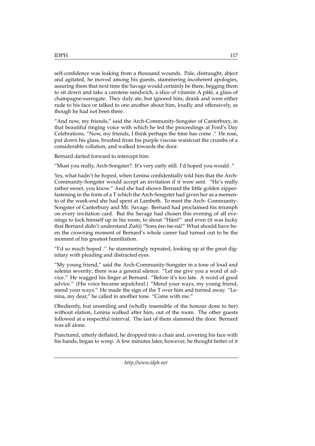self-confidence was leaking from a thousand wounds. Pale, distraught, abject and agitated, he moved among his guests, stammering incoherent apologies, assuring them that next time the Savage would certainly be there, begging them to sit down and take a carotene sandwich, a slice of vitamin A pâté, a glass of champagne-surrogate. They duly ate, but ignored him; drank and were either rude to his face or talked to one another about him, loudly and offensively, as though he had not been there.

"And now, my friends," said the Arch-Community-Songster of Canterbury, in that beautiful ringing voice with which he led the proceedings at Ford's Day Celebrations, "Now, my friends, I think perhaps the time has come ." He rose, put down his glass, brushed from his purple viscose waistcoat the crumbs of a considerable collation, and walked towards the door.

Bernard darted forward to intercept him.

"Must you really, Arch-Songster?. It's very early still. I'd hoped you would ."

Yes, what hadn't he hoped, when Lenina confidentially told him that the Arch-Community-Songster would accept an invitation if it were sent. "He's really rather sweet, you know." And she had shown Bernard the little golden zipperfastening in the form of a T which the Arch-Songster had given her as a memento of the week-end she had spent at Lambeth. To meet the Arch- Community-Songster of Canterbury and Mr. Savage. Bernard had proclaimed his triumph on every invitation card. But the Savage had chosen this evening of all evenings to lock himself up in his room, to shout "Háni!" and even (it was lucky that Bernard didn't understand Zuñi) "Sons éso tse-ná!" What should have been the crowning moment of Bernard's whole career had turned out to be the moment of his greatest humiliation.

"I'd so much hoped ." he stammeringly repeated, looking up at the great dignitary with pleading and distracted eyes.

"My young friend," said the Arch-Community-Songster in a tone of loud and solemn severity; there was a general silence. "Let me give you a word of advice." He wagged his finger at Bernard. "Before it's too late. A word of good advice." (His voice became sepulchral.) "Mend your ways, my young friend, mend your ways." He made the sign of the T over him and turned away. "Lenina, my dear," he called in another tone. "Come with me."

Obediently, but unsmiling and (wholly insensible of the honour done to her) without elation, Lenina walked after him, out of the room. The other guests followed at a respectful interval. The last of them slammed the door. Bernard was all alone.

Punctured, utterly deflated, he dropped into a chair and, covering his face with his hands, began to weep. A few minutes later, however, he thought better of it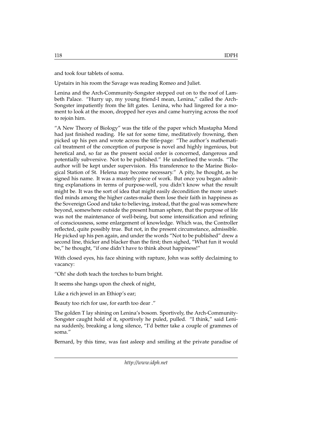and took four tablets of soma.

Upstairs in his room the Savage was reading Romeo and Juliet.

Lenina and the Arch-Community-Songster stepped out on to the roof of Lambeth Palace. "Hurry up, my young friend-I mean, Lenina," called the Arch-Songster impatiently from the lift gates. Lenina, who had lingered for a moment to look at the moon, dropped her eyes and came hurrying across the roof to rejoin hirn.

"A New Theory of Biology" was the title of the paper which Mustapha Mond had just finished reading. He sat for some time, meditatively frowning, then picked up his pen and wrote across the title-page: "The author's mathematical treatment of the conception of purpose is novel and highly ingenious, but heretical and, so far as the present social order is concerned, dangerous and potentially subversive. Not to be published." He underlined the words. "The author will be kept under supervision. His transference to the Marine Biological Station of St. Helena may become necessary." A pity, he thought, as he signed his name. It was a masterly piece of work. But once you began admitting explanations in terms of purpose-well, you didn't know what the result might be. It was the sort of idea that might easily decondition the more unsettled minds among the higher castes-make them lose their faith in happiness as the Sovereign Good and take to believing, instead, that the goal was somewhere beyond, somewhere outside the present human sphere, that the purpose of life was not the maintenance of well-being, but some intensification and refining of consciousness, some enlargement of knowledge. Which was, the Controller reflected, quite possibly true. But not, in the present circumstance, admissible. He picked up his pen again, and under the words "Not to be published" drew a second line, thicker and blacker than the first; then sighed, "What fun it would be," he thought, "if one didn't have to think about happiness!"

With closed eyes, his face shining with rapture, John was softly declaiming to vacancy:

"Oh! she doth teach the torches to burn bright.

It seems she hangs upon the cheek of night,

Like a rich jewel in an Ethiop's ear;

Beauty too rich for use, for earth too dear ."

The golden T lay shining on Lenina's bosom. Sportively, the Arch-Community-Songster caught hold of it, sportively he puled, pulled. "I think," said Lenina suddenly, breaking a long silence, "I'd better take a couple of grammes of soma."

Bernard, by this time, was fast asleep and smiling at the private paradise of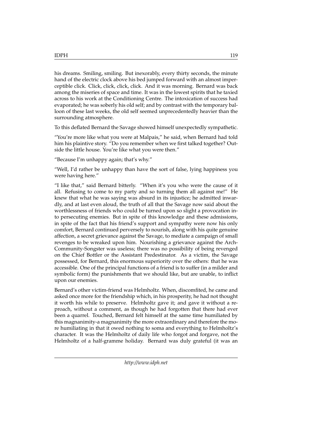his dreams. Smiling, smiling. But inexorably, every thirty seconds, the minute hand of the electric clock above his bed jumped forward with an almost imperceptible click. Click, click, click, click. And it was morning. Bernard was back among the miseries of space and time. It was in the lowest spirits that he taxied across to his work at the Conditioning Centre. The intoxication of success had evaporated; he was soberly his old self; and by contrast with the temporary balloon of these last weeks, the old self seemed unprecedentedly heavier than the surrounding atmosphere.

To this deflated Bernard the Savage showed himself unexpectedly sympathetic.

"You're more like what you were at Malpais," he said, when Bernard had told him his plaintive story. "Do you remember when we first talked together? Outside the little house. You're like what you were then."

"Because I'm unhappy again; that's why."

"Well, I'd rather be unhappy than have the sort of false, lying happiness you were having here."

"I like that," said Bernard bitterly. "When it's you who were the cause of it all. Refusing to come to my party and so turning them all against me!" He knew that what he was saying was absurd in its injustice; he admitted inwardly, and at last even aloud, the truth of all that the Savage now said about the worthlessness of friends who could be turned upon so slight a provocation into persecuting enemies. But in spite of this knowledge and these admissions, in spite of the fact that his friend's support and sympathy were now his only comfort, Bernard continued perversely to nourish, along with his quite genuine affection, a secret grievance against the Savage, to mediate a campaign of small revenges to be wreaked upon him. Nourishing a grievance against the Arch-Community-Songster was useless; there was no possibility of being revenged on the Chief Bottler or the Assistant Predestinator. As a victim, the Savage possessed, for Bernard, this enormous superiority over the others: that he was accessible. One of the principal functions of a friend is to suffer (in a milder and symbolic form) the punishments that we should like, but are unable, to inflict upon our enemies.

Bernard's other victim-friend was Helmholtz. When, discomfited, he came and asked once more for the friendship which, in his prosperity, he had not thought it worth his while to preserve. Helmholtz gave it; and gave it without a reproach, without a comment, as though he had forgotten that there had ever been a quarrel. Touched, Bernard felt himself at the same time humiliated by this magnanimity-a magnanimity the more extraordinary and therefore the more humiliating in that it owed nothing to soma and everything to Helmholtz's character. It was the Helmholtz of daily life who forgot and forgave, not the Helmholtz of a half-gramme holiday. Bernard was duly grateful (it was an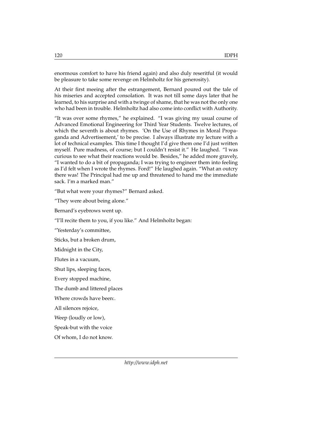enormous comfort to have his friend again) and also duly reseritful (it would be pleasure to take some revenge on Helmholtz for his generosity).

At their first meeing after the estrangement, Bernard poured out the tale of his miseries and accepted consolation. It was not till some days later that he learned, to his surprise and with a twinge of shame, that he was not the only one who had been in trouble. Helmholtz had also come into conflict with Authority.

"It was over some rhymes," he explained. "I was giving my usual course of Advanced Emotional Engineering for Third Year Students. Twelve lectures, of which the seventh is about rhymes. 'On the Use of Rhymes in Moral Propaganda and Advertisement,' to be precise. I always illustrate my lecture with a lot of technical examples. This time I thought I'd give them one I'd just written myself. Pure madness, of course; but I couldn't resist it." He laughed. "I was curious to see what their reactions would be. Besides," he added more gravely, "I wanted to do a bit of propaganda; I was trying to engineer them into feeling as I'd felt when I wrote the rhymes. Ford!" He laughed again. "What an outcry there was! The Principal had me up and threatened to hand me the immediate sack. l'm a marked man."

"But what were your rhymes?" Bernard asked.

"They were about being alone."

Bernard's eyebrows went up.

"I'll recite them to you, if you like." And Helmholtz began:

"Yesterday's committee,

Sticks, but a broken drum,

Midnight in the City,

Flutes in a vacuum,

Shut lips, sleeping faces,

Every stopped machine,

The dumb and littered places

Where crowds have been:.

All silences rejoice,

Weep (loudly or low),

Speak-but with the voice

Of whom, I do not know.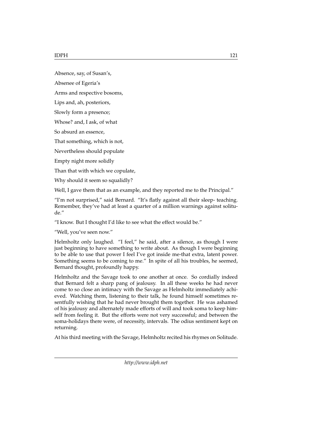Absence, say, of Susan's,

Absenee of Egeria's

Arms and respective bosoms,

Lips and, ah, posteriors,

Slowly form a presence;

Whose? and, I ask, of what

So absurd an essence,

That something, which is not,

Nevertheless should populate

Empty night more solidly

Than that with which we copulate,

Why should it seem so squalidly?

Well, I gave them that as an example, and they reported me to the Principal."

"I'm not surprised," said Bernard. "It's flatly against all their sleep- teaching. Remember, they've had at least a quarter of a million warnings against solitude."

"I know. But I thought I'd like to see what the effect would be."

"Well, you've seen now."

Helmholtz only laughed. "I feel," he said, after a silence, as though I were just beginning to have something to write about. As though I were beginning to be able to use that power I feel I've got inside me-that extra, latent power. Something seems to be coming to me." In spite of all his troubles, he seemed, Bernard thought, profoundly happy.

Helmholtz and the Savage took to one another at once. So cordially indeed that Bernard felt a sharp pang of jealousy. In all these weeks he had never come to so close an intimacy with the Savage as Helmholtz immediately achieved. Watching them, listening to their talk, he found himself sometimes resentfully wishing that he had never brought them together. He was ashamed of his jealousy and alternately made efforts of will and took soma to keep himself from feeling it. But the efforts were not very successful; and between the soma-holidays there were, of necessity, intervals. The odius sentiment kept on returning.

At his third meeting with the Savage, Helmholtz recited his rhymes on Solitude.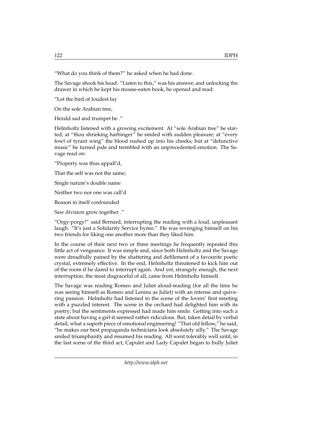"What do you think of them?" he asked when he had done.

The Savage shook his head. "Listen to this," was his answer; and unlocking the drawer in which he kept his mouse-eaten book, he opened and read:

"Let the bird of loudest lay

On the sole Arabian tree,

Herald sad and trumpet be ."

Helmholtz listened with a growing excitement. At "sole Arabian tree" he started; at "thou shrieking harbinger" he smiled with sudden pleasure; at "every fowl of tyrant wing" the blood rushed up into his cheeks; but at "defunctive music" he turned pale and trembled with an unprecedented emotion. The Savage read on:

"Property was thus appall'd,

That the self was not the same;

Single nature's double name

Neither two nor one was call'd

Reason in itself confounded

Saw division grow together ."

"Orgy-porgy!" said Bernard, interrupting the reading with a loud, unpleasant laugh. "It's just a Solidarity Service hymn." He was revenging himself on his two friends for liking one another more than they liked him.

In the course of their next two or three meetings he frequently repeated this little act of vengeance. It was simple and, since both Helmholtz and the Savage were dreadfully pained by the shattering and defilement of a favourite poetic crystal, extremely effective. In the end, Helmholtz threatened to kick him out of the room if he dared to interrupt again. And yet, strangely enough, the next interruption, the most disgraceful of all, came from Helmholtz himself.

The Savage was reading Romeo and Juliet aloud-reading (for all the time he was seeing himself as Romeo and Lenina as Juliet) with an intense and quivering passion. Helmholtz had listened to the scene of the lovers' first meeting with a puzzled interest. The scene in the orchard had delighted him with its poetry; but the sentiments expressed had made him smile. Getting into such a state about having a girl-it seemed rather ridiculous. But, taken detail by verbal detail, what a superb piece of emotional engineering! "That old fellow," he said, "he makes our best propaganda technicians look absolutely silly." The Savage smiled triumphantly and resumed his reading. All went tolerably well until, in the last scene of the third act, Capulet and Lady Capulet began to bully Juliet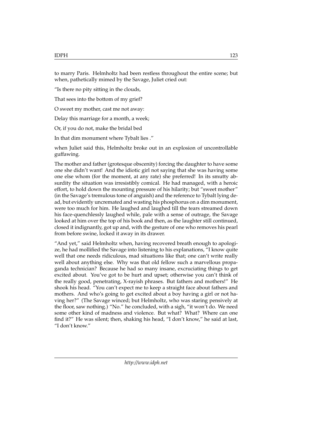to marry Paris. Helmholtz had been restless throughout the entire scene; but when, pathetically mimed by the Savage, Juliet cried out:

"Is there no pity sitting in the clouds,

That sees into the bottom of my grief?

O sweet my mother, cast me not away:

Delay this marriage for a month, a week;

Or, if you do not, make the bridal bed

In that dim monument where Tybalt lies ."

when Juliet said this, Helmholtz broke out in an explosion of uncontrollable guffawing.

The mother and father (grotesque obscenity) forcing the daughter to have some one she didn't want! And the idiotic girl not saying that she was having some one else whom (for the moment, at any rate) she preferred! In its smutty absurdity the situation was irresistibly comical. He had managed, with a heroic effort, to hold down the mounting pressure of his hilarity; but "sweet mother" (in the Savage's tremulous tone of anguish) and the reference to Tybalt lying dead, but evidently uncremated and wasting his phosphorus on a dim monument, were too much for him. He laughed and laughed till the tears streamed down his face-quenchlessly laughed while, pale with a sense of outrage, the Savage looked at him over the top of his book and then, as the laughter still continued, closed it indignantly, got up and, with the gesture of one who removes his pearl from before swine, locked it away in its drawer.

"And yet," said Helmholtz when, having recovered breath enough to apologize, he had mollified the Savage into listening to his explanations, "I know quite well that one needs ridiculous, mad situations like that; one can't write really well about anything else. Why was that old fellow such a marvellous propaganda technician? Because he had so many insane, excruciating things to get excited about. You've got to be hurt and upset; otherwise you can't think of the really good, penetrating, X-rayish phrases. But fathers and mothers!" He shook his head. "You can't expect me to keep a straight face about fathers and mothers. And who's going to get excited about a boy having a girl or not having her?" (The Savage winced; but Helmholtz, who was staring pensively at the floor, saw nothing.) "No." he concluded, with a sigh, "it won't do. We need some other kind of madness and violence. But what? What? Where can one find it?" He was silent; then, shaking his head, "I don't know," he said at last, "I don't know."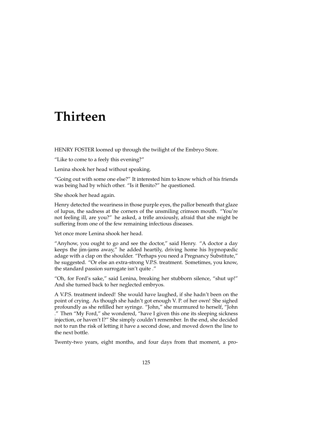## **Thirteen**

HENRY FOSTER loomed up through the twilight of the Embryo Store.

"Like to come to a feely this evening?"

Lenina shook her head without speaking.

"Going out with some one else?" It interested him to know which of his friends was being had by which other. "Is it Benito?" he questioned.

She shook her head again.

Henry detected the weariness in those purple eyes, the pallor beneath that glaze of lupus, the sadness at the corners of the unsmiling crimson mouth. "You're not feeling ill, are you?" he asked, a trifle anxiously, afraid that she might be suffering from one of the few remaining infectious diseases.

Yet once more Lenina shook her head.

"Anyhow, you ought to go and see the doctor," said Henry. "A doctor a day keeps the jim-jams away," he added heartily, driving home his hypnopædic adage with a clap on the shoulder. "Perhaps you need a Pregnancy Substitute," he suggested. "Or else an extra-strong V.P.S. treatment. Sometimes, you know, the standard passion surrogate isn't quite ."

"Oh, for Ford's sake," said Lenina, breaking her stubborn silence, "shut up!" And she turned back to her neglected embryos.

A V.P.S. treatment indeed! She would have laughed, if she hadn't been on the point of crying. As though she hadn't got enough V. P. of her own! She sighed profoundly as she refilled her syringe. "John," she murmured to herself, "John ." Then "My Ford," she wondered, "have I given this one its sleeping sickness injection, or haven't I?" She simply couldn't remember. In the end, she decided not to run the risk of letting it have a second dose, and moved down the line to the next bottle.

Twenty-two years, eight months, and four days from that moment, a pro-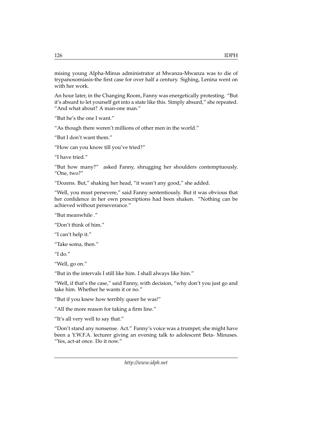mising young Alpha-Minus administrator at Mwanza-Mwanza was to die of trypanosomiasis-the first case for over half a century. Sighing, Lenina went on with her work.

An hour later, in the Changing Room, Fanny was energetically protesting. "But it's absurd to let yourself get into a state like this. Simply absurd," she repeated. "And what about? A man-one man."

"But he's the one I want."

"As though there weren't millions of other men in the world."

"But I don't want them."

"How can you know till you've tried?"

"I have tried."

"But how many?" asked Fanny, shrugging her shoulders contemptuously. "One, two?"

"Dozens. But," shaking her head, "it wasn't any good," she added.

"Well, you must persevere," said Fanny sententiously. But it was obvious that her confidence in her own prescriptions had been shaken. "Nothing can be achieved without perseverance."

"But meanwhile ."

"Don't think of him."

"I can't help it."

"Take soma, then."

"I do."

"Well, go on."

"But in the intervals I still like him. I shall always like him."

"Well, if that's the case," said Fanny, with decision, "why don't you just go and take him. Whether he wants it or no."

"But if you knew how terribly queer he was!"

"All the more reason for taking a firm line."

"It's all very well to say that."

"Don't stand any nonsense. Act." Fanny's voice was a trumpet; she might have been a Y.W.F.A. lecturer giving an evening talk to adolescent Beta- Minuses. "Yes, act-at once. Do it now."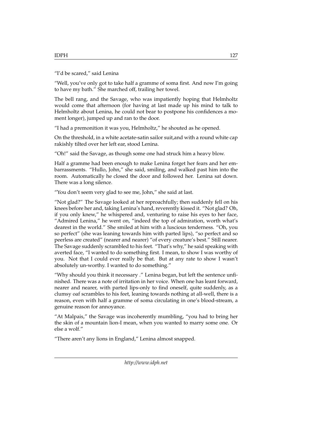#### "I'd be scared," said Lenina

"Well, you've only got to take half a gramme of soma first. And now I'm going to have my bath." She marched off, trailing her towel.

The bell rang, and the Savage, who was impatiently hoping that Helmholtz would come that afternoon (for having at last made up his mind to talk to Helmholtz about Lenina, he could not bear to postpone his confidences a moment longer), jumped up and ran to the door.

"I had a premonition it was you, Helmholtz," he shouted as he opened.

On the threshold, in a white acetate-satin sailor suit,and with a round white cap rakishly tilted over her left ear, stood Lenina.

"Oh!" said the Savage, as though some one had struck him a heavy blow.

Half a gramme had been enough to make Lenina forget her fears and her embarrassments. "Hullo, John," she said, smiling, and walked past him into the room. Automatically he closed the door and followed her. Lenina sat down. There was a long silence.

"You don't seem very glad to see me, John," she said at last.

"Not glad?" The Savage looked at her reproachfully; then suddenly fell on his knees before her and, taking Lenina's hand, reverently kissed it. "Not glad? Oh, if you only knew," he whispered and, venturing to raise his eyes to her face, "Admired Lenina," he went on, "indeed the top of admiration, worth what's dearest in the world." She smiled at him with a luscious tenderness. "Oh, you so perfect" (she was leaning towards him with parted lips), "so perfect and so peerless are created" (nearer and nearer) "of every creature's best." Still nearer. The Savage suddenly scrambled to his feet. "That's why," he said speaking with averted face, "I wanted to do something first. I mean, to show I was worthy of you. Not that I could ever really be that. But at any rate to show I wasn't absolutely un-worthy. I wanted to do something."

"Why should you think it necessary ." Lenina began, but left the sentence unfinished. There was a note of irritation in her voice. When one has leant forward, nearer and nearer, with parted lips-only to find oneself, quite suddenly, as a clumsy oaf scrambles to his feet, leaning towards nothing at all-well, there is a reason, even with half a gramme of soma circulating in one's blood-stream, a genuine reason for annoyance.

"At Malpais," the Savage was incoherently mumbling, "you had to bring her the skin of a mountain lion-I mean, when you wanted to marry some one. Or else a wolf."

"There aren't any lions in England," Lenina almost snapped.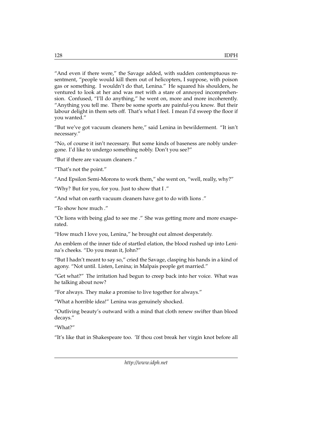"And even if there were," the Savage added, with sudden contemptuous resentment, "people would kill them out of helicopters, I suppose, with poison gas or something. I wouldn't do that, Lenina." He squared his shoulders, he ventured to look at her and was met with a stare of annoyed incomprehension. Confused, "I'll do anything," he went on, more and more incoherently. "Anything you tell me. There be some sports are painful-you know. But their labour delight in them sets off. That's what I feel. I mean I'd sweep the floor if you wanted."

"But we've got vacuum cleaners here," said Lenina in bewilderment. "It isn't necessary."

"No, of course it isn't necessary. But some kinds of baseness are nobly undergone. I'd like to undergo something nobly. Don't you see?"

"But if there are vacuum cleaners ."

"That's not the point."

"And Epsilon Semi-Morons to work them," she went on, "well, really, why?"

"Why? But for you, for you. Just to show that I ."

"And what on earth vacuum cleaners have got to do with lions ."

"To show how much ."

"Or lions with being glad to see me ." She was getting more and more exasperated.

"How much I love you, Lenina," he brought out almost desperately.

An emblem of the inner tide of startled elation, the blood rushed up into Lenina's cheeks. "Do you mean it, John?"

"But I hadn't meant to say so," cried the Savage, clasping his hands in a kind of agony. "Not until. Listen, Lenina; in Malpais people get married."

"Get what?" The irritation had begun to creep back into her voice. What was he talking about now?

"For always. They make a promise to live together for always."

"What a horrible idea!" Lenina was genuinely shocked.

"Outliving beauty's outward with a mind that cloth renew swifter than blood decays."

"What?"

"It's like that in Shakespeare too. 'If thou cost break her virgin knot before all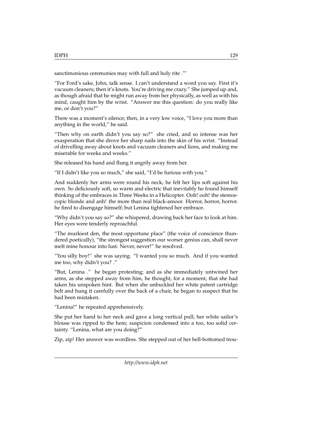sanctimonious ceremonies may with full and holy rite ."'

"For Ford's sake, John, talk sense. I can't understand a word you say. First it's vacuum cleaners; then it's knots. You're driving me crazy." She jumped up and, as though afraid that he might run away from her physically, as well as with his mind, caught him by the wrist. "Answer me this question: do you really like me, or don't you?"

There was a moment's silence; then, in a very low voice, "I love you more than anything in the world," he said.

"Then why on earth didn't you say so?" she cried, and so intense was her exasperation that she drove her sharp nails into the skin of his wrist. "Instead of drivelling away about knots and vacuum cleaners and lions, and making me miserable for weeks and weeks."

She released his hand and flung it angrily away from her.

"If I didn't like you so much," she said, "I'd be furious with you."

And suddenly her arms were round his neck; he felt her lips soft against his own. So deliciously soft, so warm and electric that inevitably he found himself thinking of the embraces in Three Weeks in a Helicopter. Ooh! ooh! the stereoscopic blonde and anh! the more than real black-amoor. Horror, horror, horror. he fired to disengage himself; but Lenina tightened her embrace.

"Why didn't you say so?" she whispered, drawing back her face to look at him. Her eyes were tenderly reproachful.

"The murkiest den, the most opportune place" (the voice of conscience thundered poetically), "the strongest suggestion our worser genius can, shall never melt mine honour into lust. Never, never!" he resolved.

"You silly boy!" she was saying. "I wanted you so much. And if you wanted me too, why didn't you? ."

"But, Lenina ." he began protesting; and as she immediately untwined her arms, as she stepped away from him, he thought, for a moment, that she had taken his unspoken hint. But when she unbuckled her white patent cartridge belt and hung it carefully over the back of a chair, he began to suspect that he had been mistaken.

"Lenina!" he repeated apprehensively.

She put her hand to her neck and gave a long vertical pull; her white sailor's blouse was ripped to the hem; suspicion condensed into a too, too solid certainty. "Lenina, what are you doing?"

Zip, zip! Her answer was wordless. She stepped out of her bell-bottomed trou-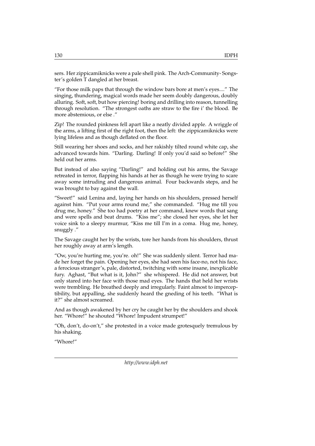sers. Her zippicamiknicks were a pale shell pink. The Arch-Community- Songster's golden T dangled at her breast.

"For those milk paps that through the window bars bore at men's eyes...." The singing, thundering, magical words made her seem doubly dangerous, doubly alluring. Soft, soft, but how piercing! boring and drilling into reason, tunnelling through resolution. "The strongest oaths are straw to the fire i' the blood. Be more abstemious, or else ."

Zip! The rounded pinkness fell apart like a neatly divided apple. A wriggle of the arms, a lifting first of the right foot, then the left: the zippicamiknicks were lying lifeless and as though deflated on the floor.

Still wearing her shoes and socks, and her rakishly tilted round white cap, she advanced towards him. "Darling. Darling! If only you'd said so before!" She held out her arms.

But instead of also saying "Darling!" and holding out his arms, the Savage retreated in terror, flapping his hands at her as though he were trying to scare away some intruding and dangerous animal. Four backwards steps, and he was brought to bay against the wall.

"Sweet!" said Lenina and, laying her hands on his shoulders, pressed herself against him. "Put your arms round me," she commanded. "Hug me till you drug me, honey." She too had poetry at her command, knew words that sang and were spells and beat drums. "Kiss me"; she closed her eyes, she let her voice sink to a sleepy murmur, "Kiss me till I'm in a coma. Hug me, honey, snuggly ."

The Savage caught her by the wrists, tore her hands from his shoulders, thrust her roughly away at arm's length.

"Ow, you're hurting me, you're. oh!" She was suddenly silent. Terror had made her forget the pain. Opening her eyes, she had seen his face-no, not his face, a ferocious stranger's, pale, distorted, twitching with some insane, inexplicable fury. Aghast, "But what is it, John?" she whispered. He did not answer, but only stared into her face with those mad eyes. The hands that held her wrists were trembling. He breathed deeply and irregularly. Faint almost to imperceptibility, but appalling, she suddenly heard the gneding of his teeth. "What is it?" she almost screamed.

And as though awakened by her cry he caught her by the shoulders and shook her. "Whore!" he shouted "Whore! Impudent strumpet!"

"Oh, don't, do-on't," she protested in a voice made grotesquely tremulous by his shaking.

"Whore!"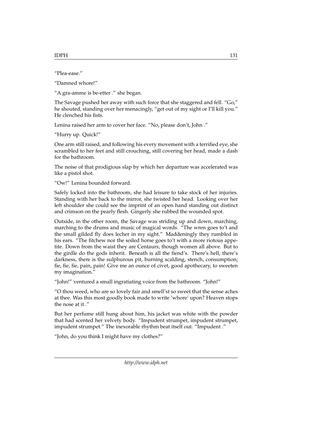"Plea-ease."

"Damned whore!"

"A gra-amme is be-etter ." she began.

The Savage pushed her away with such force that she staggered and fell. "Go," he shouted, standing over her menacingly, "get out of my sight or I'll kill you." He clenched his fists.

Lenina raised her arm to cover her face. "No, please don't, John ."

"Hurry up. Quick!"

One arm still raised, and following his every movement with a terrified eye, she scrambled to her feet and still crouching, still covering her head, made a dash for the bathroom.

The noise of that prodigious slap by which her departure was accelerated was like a pistol shot.

"Ow!" Lenina bounded forward.

Safely locked into the bathroom, she had leisure to take stock of her injuries. Standing with her back to the mirror, she twisted her head. Looking over her left shoulder she could see the imprint of an open hand standing out distinct and crimson on the pearly flesh. Gingerly she rubbed the wounded spot.

Outside, in the other room, the Savage was striding up and down, marching, marching to the drums and music of magical words. "The wren goes to't and the small gilded fly does lecher in my sight." Maddeningly they rumbled in his ears. "The fitchew nor the soiled horse goes to't with a more riotous appetite. Down from the waist they are Centaurs, though women all above. But to the girdle do the gods inherit. Beneath is all the fiend's. There's hell, there's darkness, there is the sulphurous pit, burning scalding, stench, consumption; fie, fie, fie, pain, pain! Give me an ounce of civet, good apothecary, to sweeten my imagination."

"John!" ventured a small ingratiating voice from the bathroom. "John!"

"O thou weed, who are so lovely fair and smell'st so sweet that the sense aches at thee. Was this most goodly book made to write 'whore' upon? Heaven stops the nose at it ."

But her perfume still hung about him, his jacket was white with the powder that had scented her velvety body. "Impudent strumpet, impudent strumpet, impudent strumpet." The inexorable rhythm beat itself out. "Impudent ."

"John, do you think I might have my clothes?"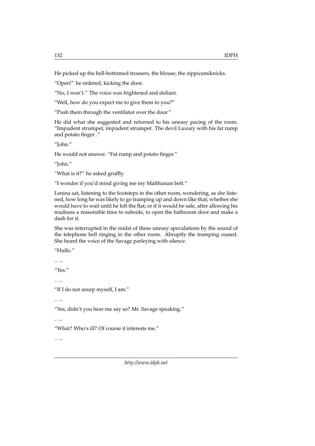He picked up the bell-bottomed trousers, the blouse, the zippicamiknicks.

"Open!" he ordered, kicking the door.

"No, I won't." The voice was frightened and defiant.

"Well, how do you expect me to give them to you?"

"Push them through the ventilator over the door."

He did what she suggested and returned to his uneasy pacing of the room. "Impudent strumpet, impudent strumpet. The devil Luxury with his fat rump and potato finger ."

"John."

He would not answer. "Fat rump and potato finger."

"John."

"What is it?" he asked gruffly.

"I wonder if you'd mind giving me my Malthusian belt."

Lenina sat, listening to the footsteps in the other room, wondering, as she listened, how long he was likely to go tramping up and down like that; whether she would have to wait until he left the flat; or if it would be safe, after allowing his madness a reasonable time to subside, to open the bathroom door and make a dash for it.

She was interrupted in the midst of these uneasy speculations by the sound of the telephone bell ringing in the other room. Abruptly the tramping ceased. She heard the voice of the Savage parleying with silence.

"Hullo."

```
.. ...
```
"Yes."

.. ...

"If I do not usurp myself, I am."

.. ...

"Yes, didn't you hear me say so? Mr. Savage speaking."

.. ...

"What? Who's ill? Of course it interests me."

.. ...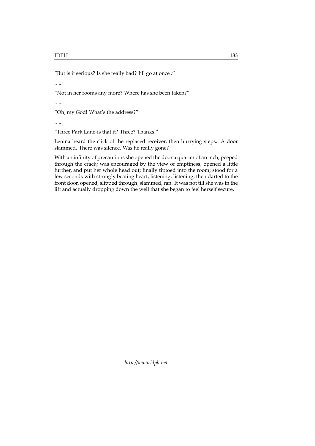"But is it serious? Is she really bad? I'll go at once ."

.. ...

"Not in her rooms any more? Where has she been taken?"

.. ...

"Oh, my God! What's the address?"

.. ...

"Three Park Lane-is that it? Three? Thanks."

Lenina heard the click of the replaced receiver, then hurrying steps. A door slammed. There was silence. Was he really gone?

With an infinity of precautions she opened the door a quarter of an inch; peeped through the crack; was encouraged by the view of emptiness; opened a little further, and put her whole head out; finally tiptoed into the room; stood for a few seconds with strongly beating heart, listening, listening; then darted to the front door, opened, slipped through, slammed, ran. It was not till she was in the lift and actually dropping down the well that she began to feel herself secure.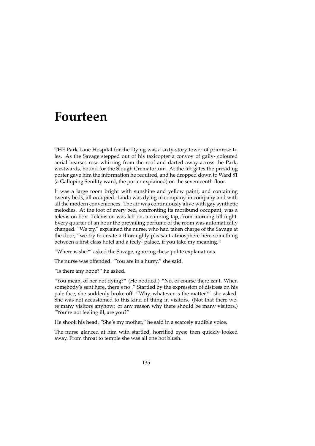### **Fourteen**

THE Park Lane Hospital for the Dying was a sixty-story tower of primrose tiles. As the Savage stepped out of his taxicopter a convoy of gaily- coloured aerial hearses rose whirring from the roof and darted away across the Park, westwards, bound for the Slough Crematorium. At the lift gates the presiding porter gave him the information he required, and he dropped down to Ward 81 (a Galloping Senility ward, the porter explained) on the seventeenth floor.

It was a large room bright with sunshine and yellow paint, and containing twenty beds, all occupied. Linda was dying in company-in company and with all the modern conveniences. The air was continuously alive with gay synthetic melodies. At the foot of every bed, confronting its moribund occupant, was a television box. Television was left on, a running tap, from morning till night. Every quarter of an hour the prevailing perfume of the room was automatically changed. "We try," explained the nurse, who had taken charge of the Savage at the door, "we try to create a thoroughly pleasant atmosphere here-something between a first-class hotel and a feely- palace, if you take my meaning."

"Where is she?" asked the Savage, ignoring these polite explanations.

The nurse was offended. "You are in a hurry," she said.

"Is there any hope?" he asked.

"You mean, of her not dying?" (He nodded.) "No, of course there isn't. When somebody's sent here, there's no ." Startled by the expression of distress on his pale face, she suddenly broke off. "Why, whatever is the matter?" she asked. She was not accustomed to this kind of thing in visitors. (Not that there were many visitors anyhow: or any reason why there should be many visitors.) "You're not feeling ill, are you?"

He shook his head. "She's my mother," he said in a scarcely audible voice.

The nurse glanced at him with startled, horrified eyes; then quickly looked away. From throat to temple she was all one hot blush.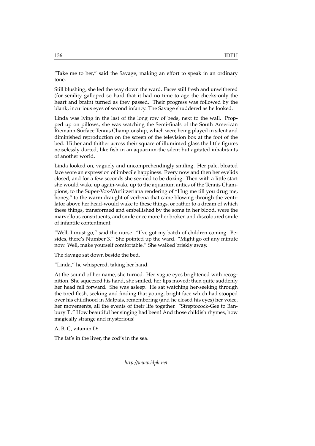"Take me to her," said the Savage, making an effort to speak in an ordinary tone.

Still blushing, she led the way down the ward. Faces still fresh and unwithered (for senility galloped so hard that it had no time to age the cheeks-only the heart and brain) turned as they passed. Their progress was followed by the blank, incurious eyes of second infancy. The Savage shuddered as he looked.

Linda was lying in the last of the long row of beds, next to the wall. Propped up on pillows, she was watching the Semi-finals of the South American Riemann-Surface Tennis Championship, which were being played in silent and diminished reproduction on the screen of the television box at the foot of the bed. Hither and thither across their square of illuminted glass the little figures noiselessly darted, like fish in an aquarium-the silent but agitated inhabitants of another world.

Linda looked on, vaguely and uncomprehendingly smiling. Her pale, bloated face wore an expression of imbecile happiness. Every now and then her eyelids closed, and for a few seconds she seemed to be dozing. Then with a little start she would wake up again-wake up to the aquarium antics of the Tennis Champions, to the Super-Vox-Wurlitzeriana rendering of "Hug me till you drug me, honey," to the warm draught of verbena that came blowing through the ventilator above her head-would wake to these things, or rather to a dream of which these things, transformed and embellished by the soma in her blood, were the marvellous constituents, and smile once more her broken and discoloured smile of infantile contentment.

"Well, I must go," said the nurse. "I've got my batch of children coming. Besides, there's Number 3." She pointed up the ward. "Might go off any minute now. Well, make yourself comfortable." She walked briskly away.

The Savage sat down beside the bed.

"Linda," he whispered, taking her hand.

At the sound of her name, she turned. Her vague eyes brightened with recognition. She squeezed his hand, she smiled, her lips moved; then quite suddenly her head fell forward. She was asleep. He sat watching her-seeking through the tired flesh, seeking and finding that young, bright face which had stooped over his childhood in Malpais, remembering (and he closed his eyes) her voice, her movements, all the events of their life together. "Streptocock-Gee to Banbury T ." How beautiful her singing had been! And those childish rhymes, how magically strange and mysterious!

A, B, C, vitamin D:

The fat's in the liver, the cod's in the sea.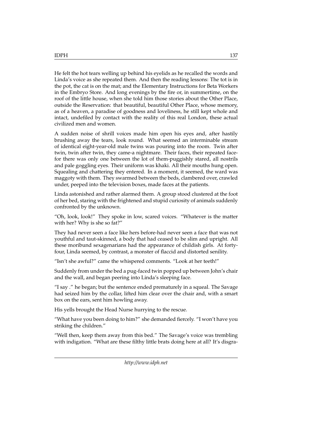He felt the hot tears welling up behind his eyelids as he recalled the words and Linda's voice as she repeated them. And then the reading lessons: The tot is in the pot, the cat is on the mat; and the Elementary Instructions for Beta Workers in the Embryo Store. And long evenings by the fire or, in summertime, on the roof of the little house, when she told him those stories about the Other Place, outside the Reservation: that beautiful, beautiful Other Place, whose memory, as of a heaven, a paradise of goodness and loveliness, he still kept whole and intact, undefiled by contact with the reality of this real London, these actual civilized men and women.

A sudden noise of shrill voices made him open his eyes and, after hastily brushing away the tears, look round. What seemed an interminable stream of identical eight-year-old male twins was pouring into the room. Twin after twin, twin after twin, they came-a nightmare. Their faces, their repeated facefor there was only one between the lot of them-puggishly stared, all nostrils and pale goggling eyes. Their uniform was khaki. All their mouths hung open. Squealing and chattering they entered. In a moment, it seemed, the ward was maggoty with them. They swarmed between the beds, clambered over, crawled under, peeped into the television boxes, made faces at the patients.

Linda astonished and rather alarmed them. A group stood clustered at the foot of her bed, staring with the frightened and stupid curiosity of animals suddenly confronted by the unknown.

"Oh, look, look!" They spoke in low, scared voices. "Whatever is the matter with her? Why is she so fat?"

They had never seen a face like hers before-had never seen a face that was not youthful and taut-skinned, a body that had ceased to be slim and upright. All these moribund sexagenarians had the appearance of childish girls. At fortyfour, Linda seemed, by contrast, a monster of flaccid and distorted senility.

"Isn't she awful?" came the whispered comments. "Look at her teeth!"

Suddenly from under the bed a pug-faced twin popped up between John's chair and the wall, and began peering into Linda's sleeping face.

"I say ." he began; but the sentence ended prematurely in a squeal. The Savage had seized him by the collar, lifted him clear over the chair and, with a smart box on the ears, sent him howling away.

His yells brought the Head Nurse hurrying to the rescue.

"What have you been doing to him?" she demanded fiercely. "I won't have you striking the children."

"Well then, keep them away from this bed." The Savage's voice was trembling with indigation. "What are these filthy little brats doing here at all? It's disgra-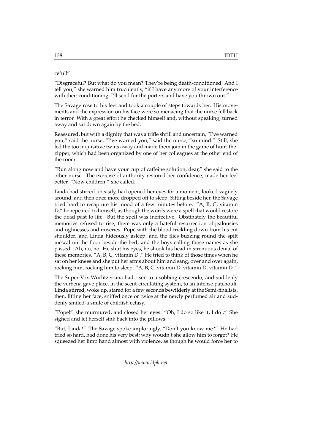#### ceful!"

"Disgraceful? But what do you mean? They're being death-conditioned. And I tell you," she warned him truculently, "if I have any more of your interference with their conditioning, I'll send for the porters and have you thrown out."

The Savage rose to his feet and took a couple of steps towards her. His movements and the expression on his face were so menacing that the nurse fell back in terror. With a great effort he checked himself and, without speaking, turned away and sat down again by the bed.

Reassured, but with a dignity that was a trifle shrill and uncertain, "I've warned you," said the nurse, "I've warned you," said the nurse, "so mind." Still, she led the too inquisitive twins away and made them join in the game of hunt-thezipper, which had been organized by one of her colleagues at the other end of the room.

"Run along now and have your cup of caffeine solution, dear," she said to the other nurse. The exercise of authority restored her confidence, made her feel better. "Now children!" she called.

Linda had stirred uneasily, had opened her eyes for a moment, looked vaguely around, and then once more dropped off to sleep. Sitting beside her, the Savage tried hard to recapture his mood of a few minutes before. "A, B, C, vitamin D," he repeated to himself, as though the words were a spell that would restore the dead past to life. But the spell was ineffective. Obstinately the beautiful memories refused to rise; there was only a hateful resurrection of jealousies and uglinesses and miseries. Popé with the blood trickling down from his cut shoulder; and Linda hideously asleep, and the flies buzzing round the spilt mescal on the floor beside the bed; and the boys calling those names as she passed.. Ah, no, no! He shut his eyes, he shook his head in strenuous denial of these memories. "A, B, C, vitamin D ." He tried to think of those times when he sat on her knees and she put her arms about him and sang, over and over again, rocking him, rocking him to sleep. "A, B, C, vitamin D, vitamin D, vitamin D ."

The Super-Vox-Wurlitzeriana had risen to a sobbing crescendo; and suddenly the verbena gave place, in the scent-circulating system, to an intense patchouli. Linda stirred, woke up, stared for a few seconds bewilderly at the Semi-finalists, then, lifting her face, sniffed once or twice at the newly perfumed air and suddenly smiled-a smile of childish ectasy.

"Popé!" she murmured, and closed her eyes. "Oh, I do so like it, I do ." She sighed and let herself sink back into the pillows.

"But, Linda!" The Savage spoke imploringly, "Don't you know me?" He had tried so hard, had done his very best; why woudn't she allow him to forget? He squeezed her limp hand almost with violence, as though he would force her to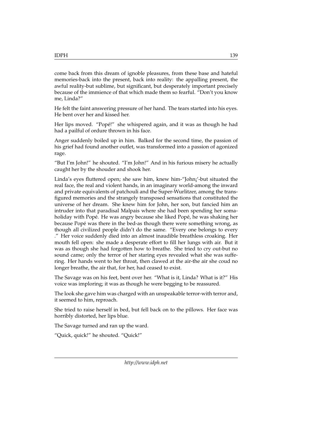come back from this dream of ignoble pleasures, from these base and hateful memories-back into the present, back into reality: the appalling present, the awful reality-but sublime, but significant, but desperately important precisely because of the immience of that which made them so fearful. "Don't you know me, Linda?"

He felt the faint answering pressure of her hand. The tears started into his eyes. He bent over her and kissed her.

Her lips moved. "Popé!" she whispered again, and it was as though he had had a pailful of ordure thrown in his face.

Anger suddenly boiled up in him. Balked for the second time, the passion of his grief had found another outlet, was transformed into a passion of agonized rage.

"But I'm John!" he shouted. "I'm John!" And in his furious misery he actually caught her by the shouder and shook her.

Linda's eyes fluttered open; she saw him, knew him-"John¡'-but situated the real face, the real and violent hands, in an imaginary world-among the inward and private equivalents of patchouli and the Super-Wurlitzer, among the transfigured memories and the strangely transposed sensations that constituted the universe of her dream. She knew him for John, her son, but fancied him an intruder into that paradisal Malpais where she had been spending her somaholiday with Popé. He was angry because she liked Popé, he was shaking her because Popé was there in the bed-as though there were something wrong, as though all civilized people didn't do the same. "Every one belongs to every ." Her voice suddenly died into an almost inaudible breathless croaking. Her mouth fell open: she made a desperate effort to fill her lungs with air. But it was as though she had forgotten how to breathe. She tried to cry out-but no sound came; only the terror of her staring eyes revealed what she was suffering. Her hands went to her throat, then clawed at the air-the air she coud no longer breathe, the air that, for her, had ceased to exist.

The Savage was on his feet, bent over her. "What is it, Linda? What is it?" His voice was imploring; it was as though he were begging to be reassured.

The look she gave him was charged with an unspeakable terror-with terror and, it seemed to him, reproach.

She tried to raise herself in bed, but fell back on to the pillows. Her face was horribly distorted, her lips blue.

The Savage turned and ran up the ward.

"Quick, quick!" he shouted. "Quick!"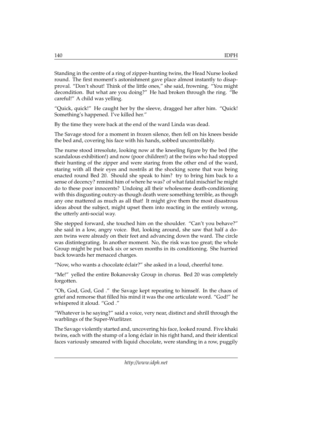Standing in the centre of a ring of zipper-hunting twins, the Head Nurse looked round. The first moment's astonishment gave place almost instantly to disapproval. "Don't shout! Think of the little ones," she said, frowning. "You might decondition. But what are you doing?" He had broken through the ring. "Be careful!" A child was yelling.

"Quick, quick!" He caught her by the sleeve, dragged her after him. "Quick! Something's happened. I've killed her."

By the time they were back at the end of the ward Linda was dead.

The Savage stood for a moment in frozen silence, then fell on his knees beside the bed and, covering his face with his hands, sobbed uncontrollably.

The nurse stood irresolute, looking now at the kneeling figure by the bed (the scandalous exhibition!) and now (poor children!) at the twins who had stopped their hunting of the zipper and were staring from the other end of the ward, staring with all their eyes and nostrils at the shocking scene that was being enacted round Bed 20. Should she speak to him? try to bring him back to a sense of decency? remind him of where he was? of what fatal mischief he might do to these poor innocents? Undoing all their wholesome death-conditioning with this disgusting outcry-as though death were something terrible, as though any one mattered as much as all that! It might give them the most disastrous ideas about the subject, might upset them into reacting in the entirely wrong, the utterly anti-social way.

She stepped forward, she touched him on the shoulder. "Can't you behave?" she said in a low, angry voice. But, looking around, she saw that half a dozen twins were already on their feet and advancing down the ward. The circle was distintegrating. In another moment. No, the risk was too great; the whole Group might be put back six or seven months in its conditioning. She hurried back towards her menaced charges.

"Now, who wants a chocolate éclair?" she asked in a loud, cheerful tone.

"Me!" yelled the entire Bokanovsky Group in chorus. Bed 20 was completely forgotten.

"Oh, God, God, God ." the Savage kept repeating to himself. In the chaos of grief and remorse that filled his mind it was the one articulate word. "God!" he whispered it aloud. "God ."

"Whatever is he saying?" said a voice, very near, distinct and shrill through the warblings of the Super-Wurlitzer.

The Savage violently started and, uncovering his face, looked round. Five khaki twins, each with the stump of a long éclair in his right hand, and their identical faces variously smeared with liquid chocolate, were standing in a row, puggily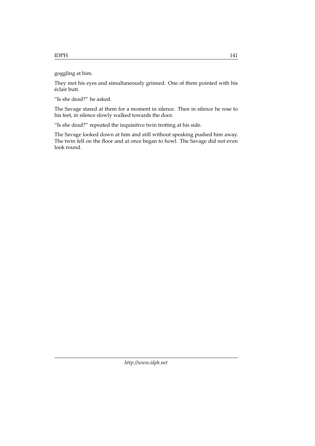goggling at him.

They met his eyes and simultaneously grinned. One of them pointed with his éclair butt.

"Is she dead?" he asked.

The Savage stared at them for a moment in silence. Then in silence he rose to his feet, in silence slowly walked towards the door.

"Is she dead?" repeated the inquisitive twin trotting at his side.

The Savage looked down at him and still without speaking pushed him away. The twin fell on the floor and at once began to howl. The Savage did not even look round.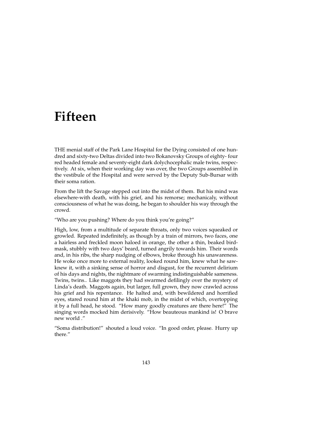# **Fifteen**

THE menial staff of the Park Lane Hospital for the Dying consisted of one hundred and sixty-two Deltas divided into two Bokanovsky Groups of eighty- four red headed female and seventy-eight dark dolychocephalic male twins, respectively. At six, when their working day was over, the two Groups assembled in the vestibule of the Hospital and were served by the Deputy Sub-Bursar with their soma ration.

From the lift the Savage stepped out into the midst of them. But his mind was elsewhere-with death, with his grief, and his remorse; mechanicaly, without consciousness of what he was doing, he began to shoulder his way through the crowd.

"Who are you pushing? Where do you think you're going?"

High, low, from a multitude of separate throats, only two voices squeaked or growled. Repeated indefinitely, as though by a train of mirrors, two faces, one a hairless and freckled moon haloed in orange, the other a thin, beaked birdmask, stubbly with two days' beard, turned angrily towards him. Their words and, in his ribs, the sharp nudging of elbows, broke through his unawareness. He woke once more to external reality, looked round him, knew what he sawknew it, with a sinking sense of horror and disgust, for the recurrent delirium of his days and nights, the nightmare of swarming indistinguishable sameness. Twins, twins.. Like maggots they had swarmed defilingly over the mystery of Linda's death. Maggots again, but larger, full grown, they now crawled across his grief and his repentance. He halted and, with bewildered and horrified eyes, stared round him at the khaki mob, in the midst of which, overtopping it by a full head, he stood. "How many goodly creatures are there here!" The singing words mocked him derisively. "How beauteous mankind is! O brave new world ."

"Soma distribution!" shouted a loud voice. "In good order, please. Hurry up there."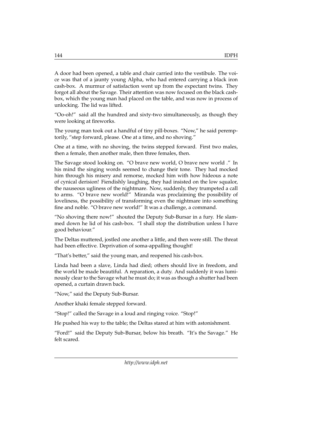A door had been opened, a table and chair carried into the vestibule. The voice was that of a jaunty young Alpha, who had entered carrying a black iron cash-box. A murmur of satisfaction went up from the expectant twins. They forgot all about the Savage. Their attention was now focused on the black cashbox, which the young man had placed on the table, and was now in process of unlocking. The lid was lifted.

"Oo-oh!" said all the hundred and sixty-two simultaneously, as though they were looking at fireworks.

The young man took out a handful of tiny pill-boxes. "Now," he said peremptorily, "step forward, please. One at a time, and no shoving."

One at a time, with no shoving, the twins stepped forward. First two males, then a female, then another male, then three females, then.

The Savage stood looking on. "O brave new world, O brave new world ." In his mind the singing words seemed to change their tone. They had mocked him through his misery and remorse, mocked him with how hideous a note of cynical derision! Fiendishly laughing, they had insisted on the low squalor, the nauseous ugliness of the nightmare. Now, suddenly, they trumpeted a call to arms. "O brave new world!" Miranda was proclaiming the possibility of loveliness, the possibility of transforming even the nightmare into something fine and noble. "O brave new world!" It was a challenge, a command.

"No shoving there now!" shouted the Deputy Sub-Bursar in a fury. He slammed down he lid of his cash-box. "I shall stop the distribution unless I have good behaviour."

The Deltas muttered, jostled one another a little, and then were still. The threat had been effective. Deprivation of soma-appalling thought!

"That's better," said the young man, and reopened his cash-box.

Linda had been a slave, Linda had died; others should live in freedom, and the world be made beautiful. A reparation, a duty. And suddenly it was luminously clear to the Savage what he must do; it was as though a shutter had been opened, a curtain drawn back.

"Now," said the Deputy Sub-Bursar.

Another khaki female stepped forward.

"Stop!" called the Savage in a loud and ringing voice. "Stop!"

He pushed his way to the table; the Deltas stared at him with astonishment.

"Ford!" said the Deputy Sub-Bursar, below his breath. "It's the Savage." He felt scared.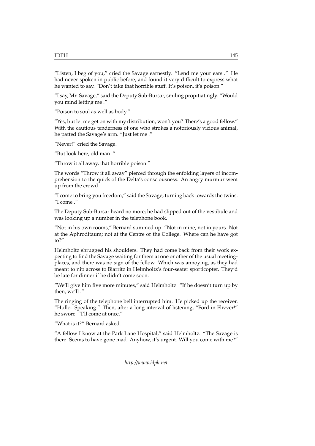"Listen, I beg of you," cried the Savage earnestly. "Lend me your ears ." He had never spoken in public before, and found it very difficult to express what he wanted to say. "Don't take that horrible stuff. It's poison, it's poison."

"I say, Mr. Savage," said the Deputy Sub-Bursar, smiling propitiatingly. "Would you mind letting me ."

"Poison to soul as well as body."

"Yes, but let me get on with my distribution, won't you? There's a good fellow." With the cautious tenderness of one who strokes a notoriously vicious animal, he patted the Savage's arm. "Just let me ."

"Never!" cried the Savage.

"But look here, old man ."

"Throw it all away, that horrible poison."

The words "Throw it all away" pierced through the enfolding layers of incomprehension to the quick of the Delta's consciousness. An angry murmur went up from the crowd.

"I come to bring you freedom," said the Savage, turning back towards the twins. "I come ."

The Deputy Sub-Bursar heard no more; he had slipped out of the vestibule and was looking up a number in the telephone book.

"Not in his own rooms," Bernard summed up. "Not in mine, not in yours. Not at the Aphroditaum; not at the Centre or the College. Where can he have got to?"

Helmholtz shrugged his shoulders. They had come back from their work expecting to find the Savage waiting for them at one or other of the usual meetingplaces, and there was no sign of the fellow. Which was annoying, as they had meant to nip across to Biarritz in Helmholtz's four-seater sporticopter. They'd be late for dinner if he didn't come soon.

"We'll give him five more minutes," said Helmholtz. "If he doesn't turn up by then, we'll ."

The ringing of the telephone bell interrupted him. He picked up the receiver. "Hullo. Speaking." Then, after a long interval of listening, "Ford in Flivver!" he swore. "I'll come at once."

"What is it?" Bernard asked.

"A fellow I know at the Park Lane Hospital," said Helmholtz. "The Savage is there. Seems to have gone mad. Anyhow, it's urgent. Will you come with me?"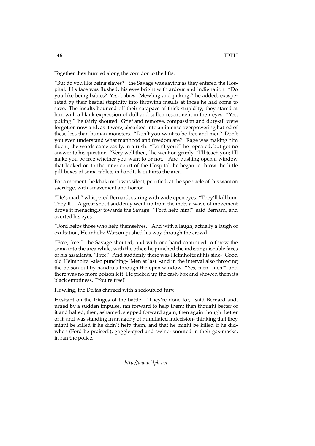Together they hurried along the corridor to the lifts.

"But do you like being slaves?" the Savage was saying as they entered the Hospital. His face was flushed, his eyes bright with ardour and indignation. "Do you like being babies? Yes, babies. Mewling and puking," he added, exasperated by their bestial stupidity into throwing insults at those he had come to save. The insults bounced off their carapace of thick stupidity; they stared at him with a blank expression of dull and sullen resentment in their eyes. "Yes, puking!" he fairly shouted. Grief and remorse, compassion and duty-all were forgotten now and, as it were, absorbed into an intense overpowering hatred of these less than human monsters. "Don't you want to be free and men? Don't you even understand what manhood and freedom are?" Rage was making him fluent; the words came easily, in a rush. "Don't you?" he repeated, but got no answer to his question. "Very well then," he went on grimly. "I'll teach you; I'll make you be free whether you want to or not." And pushing open a window that looked on to the inner court of the Hospital, he began to throw the little pill-boxes of soma tablets in handfuls out into the area.

For a moment the khaki mob was silent, petrified, at the spectacle of this wanton sacrilege, with amazement and horror.

"He's mad," whispered Bernard, staring with wide open eyes. "They'll kill him. They'll ." A great shout suddenly went up from the mob; a wave of movement drove it menacingly towards the Savage. "Ford help him!" said Bernard, and averted his eyes.

"Ford helps those who help themselves." And with a laugh, actually a laugh of exultation, Helmholtz Watson pushed his way through the crowd.

"Free, free!" the Savage shouted, and with one hand continued to throw the soma into the area while, with the other, he punched the indistinguishable faces of his assailants. "Free!" And suddenly there was Helmholtz at his side-"Good old Helmholtz¡'-also punching-"Men at last¡'-and in the interval also throwing the poison out by handfuls through the open window. "Yes, men! men!" and there was no more poison left. He picked up the cash-box and showed them its black emptiness. "You're free!"

Howling, the Deltas charged with a redoubled fury.

Hesitant on the fringes of the battle. "They're done for," said Bernard and, urged by a sudden impulse, ran forward to help them; then thought better of it and halted; then, ashamed, stepped forward again; then again thought better of it, and was standing in an agony of humiliated indecision- thinking that they might be killed if he didn't help them, and that he might be killed if he didwhen (Ford be praised!), goggle-eyed and swine- snouted in their gas-masks, in ran the police.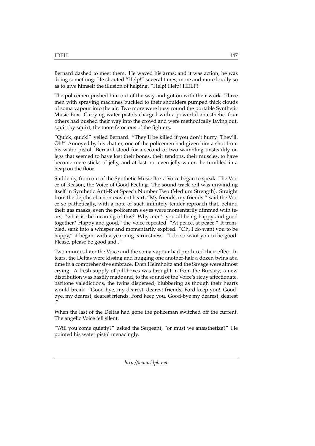Bernard dashed to meet them. He waved his arms; and it was action, he was doing something. He shouted "Help!" several times, more and more loudly so as to give himself the illusion of helping. "Help! Help! HELP!"

The policemen pushed him out of the way and got on with their work. Three men with spraying machines buckled to their shoulders pumped thick clouds of soma vapour into the air. Two more were busy round the portable Synthetic Music Box. Carrying water pistols charged with a powerful anæsthetic, four others had pushed their way into the crowd and were methodically laying out, squirt by squirt, the more ferocious of the fighters.

"Quick, quick!" yelled Bernard. "They'll be killed if you don't hurry. They'll. Oh!" Annoyed by his chatter, one of the policemen had given him a shot from his water pistol. Bernard stood for a second or two wambling unsteadily on legs that seemed to have lost their bones, their tendons, their muscles, to have become mere sticks of jelly, and at last not even jelly-water: he tumbled in a heap on the floor.

Suddenly, from out of the Synthetic Music Box a Voice began to speak. The Voice of Reason, the Voice of Good Feeling. The sound-track roll was unwinding itself in Synthetic Anti-Riot Speech Number Two (Medium Strength). Straight from the depths of a non-existent heart, "My friends, my friends!" said the Voice so pathetically, with a note of such infinitely tender reproach that, behind their gas masks, even the policemen's eyes were momentarily dimmed with tears, "what is the meaning of this? Why aren't you all being happy and good together? Happy and good," the Voice repeated. "At peace, at peace." It trembled, sank into a whisper and momentarily expired. "Oh, I do want you to be happy," it began, with a yearning earnestness. "I do so want you to be good! Please, please be good and ."

Two minutes later the Voice and the soma vapour had produced their effect. In tears, the Deltas were kissing and hugging one another-half a dozen twins at a time in a comprehensive embrace. Even Helmholtz and the Savage were almost crying. A fresh supply of pill-boxes was brought in from the Bursary; a new distribution was hastily made and, to the sound of the Voice's ricuy affectionate, baritone valedictions, the twins dispersed, blubbering as though their hearts would break. "Good-bye, my dearest, dearest friends, Ford keep you! Goodbye, my dearest, dearest friends, Ford keep you. Good-bye my dearest, dearest ."

When the last of the Deltas had gone the policeman switched off the current. The angelic Voice fell silent.

"Will you come quietly?" asked the Sergeant, "or must we anæsthetize?" He pointed his water pistol menacingly.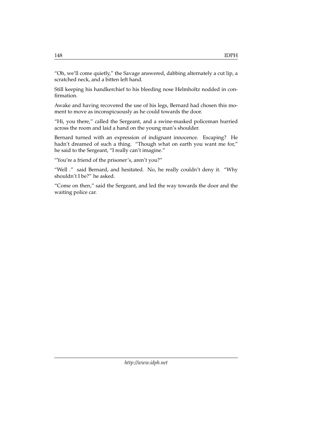"Oh, we'll come quietly," the Savage answered, dabbing alternately a cut lip, a scratched neck, and a bitten left hand.

Still keeping his handkerchief to his bleeding nose Helmholtz nodded in confirmation.

Awake and having recovered the use of his legs, Bernard had chosen this moment to move as inconspicuously as he could towards the door.

"Hi, you there," called the Sergeant, and a swine-masked policeman hurried across the room and laid a hand on the young man's shoulder.

Bernard turned with an expression of indignant innocence. Escaping? He hadn't dreamed of such a thing. "Though what on earth you want me for," he said to the Sergeant, "I really can't imagine."

"You're a friend of the prisoner's, aren't you?"

"Well ." said Bernard, and hesitated. No, he really couldn't deny it. "Why shouldn't I be?" he asked.

"Come on then," said the Sergeant, and led the way towards the door and the waiting police car.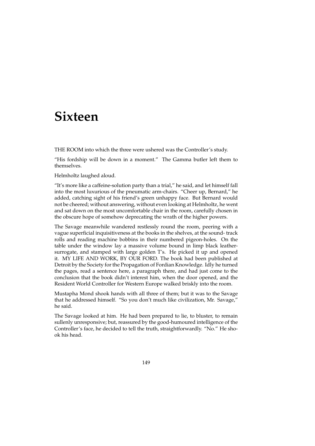## **Sixteen**

THE ROOM into which the three were ushered was the Controller's study.

"His fordship will be down in a moment." The Gamma butler left them to themselves.

Helmholtz laughed aloud.

"It's more like a caffeine-solution party than a trial," he said, and let himself fall into the most luxurious of the pneumatic arm-chairs. "Cheer up, Bernard," he added, catching sight of his friend's green unhappy face. But Bernard would not be cheered; without answering, without even looking at Helmholtz, he went and sat down on the most uncomfortable chair in the room, carefully chosen in the obscure hope of somehow deprecating the wrath of the higher powers.

The Savage meanwhile wandered restlessly round the room, peering with a vague superficial inquisitiveness at the books in the shelves, at the sound- track rolls and reading machine bobbins in their numbered pigeon-holes. On the table under the window lay a massive volume bound in limp black leathersurrogate, and stamped with large golden T's. He picked it up and opened it. MY LIFE AND WORK, BY OUR FORD. The book had been published at Detroit by the Society for the Propagation of Fordian Knowledge. Idly he turned the pages, read a sentence here, a paragraph there, and had just come to the conclusion that the book didn't interest him, when the door opened, and the Resident World Controller for Western Europe walked briskly into the room.

Mustapha Mond shook hands with all three of them; but it was to the Savage that he addressed himself. "So you don't much like civilization, Mr. Savage," he said.

The Savage looked at him. He had been prepared to lie, to bluster, to remain sullenly unresponsive; but, reassured by the good-humoured intelligence of the Controller's face, he decided to tell the truth, straightforwardly. "No." He shook his head.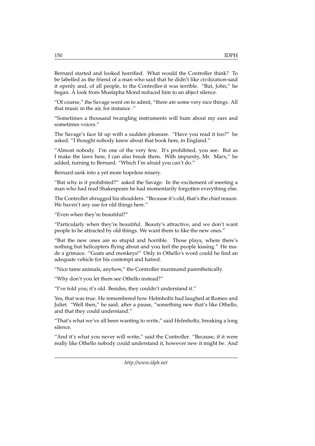Bernard started and looked horrified. What would the Controller think? To be labelled as the friend of a man who said that he didn't like civilization-said it openly and, of all people, to the Controller-it was terrible. "But, John," he began. A look from Mustapha Mond reduced him to an abject silence.

"Of course," the Savage went on to admit, "there are some very nice things. All that music in the air, for instance ."

"Sometimes a thousand twangling instruments will hum about my ears and sometimes voices."

The Savage's face lit up with a sudden pleasure. "Have you read it too?" he asked. "I thought nobody knew about that book here, in England."

"Almost nobody. I'm one of the very few. It's prohibited, you see. But as I make the laws here, I can also break them. With impunity, Mr. Marx," he added, turning to Bernard. "Which I'm afraid you can't do."

Bernard sank into a yet more hopeless misery.

"But why is it prohibited?" asked the Savage. In the excitement of meeting a man who had read Shakespeare he had momentarily forgotten everything else.

The Controller shrugged his shoulders. "Because it's old; that's the chief reason. We haven't any use for old things here."

"Even when they're beautiful?"

"Particularly when they're beautiful. Beauty's attractive, and we don't want people to be attracted by old things. We want them to like the new ones."

"But the new ones are so stupid and horrible. Those plays, where there's nothing but helicopters flying about and you feel the people kissing." He made a grimace. "Goats and monkeys!" Only in Othello's word could he find an adequate vehicle for his contempt and hatred.

"Nice tame animals, anyhow," the Controller murmured parenthetically.

"Why don't you let them see Othello instead?"

"I've told you; it's old. Besides, they couldn't understand it."

Yes, that was true. He remembered how Helmholtz had laughed at Romeo and Juliet. "Well then," he said, after a pause, "something new that's like Othello, and that they could understand."

"That's what we've all been wanting to write," said Helmholtz, breaking a long silence.

"And it's what you never will write," said the Controller. "Because, if it were really like Othello nobody could understand it, however new it might be. And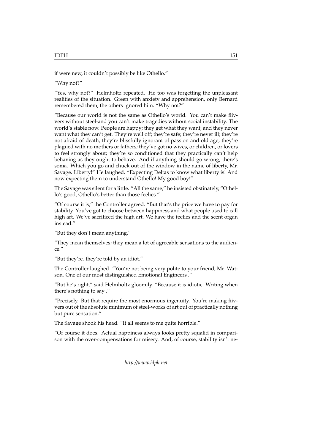if were new, it couldn't possibly be like Othello."

"Why not?"

"Yes, why not?" Helmholtz repeated. He too was forgetting the unpleasant realities of the situation. Green with anxiety and apprehension, only Bernard remembered them; the others ignored him. "Why not?"

"Because our world is not the same as Othello's world. You can't make flivvers without steel-and you can't make tragedies without social instability. The world's stable now. People are happy; they get what they want, and they never want what they can't get. They're well off; they're safe; they're never ill; they're not afraid of death; they're blissfully ignorant of passion and old age; they're plagued with no mothers or fathers; they've got no wives, or children, or lovers to feel strongly about; they're so conditioned that they practically can't help behaving as they ought to behave. And if anything should go wrong, there's soma. Which you go and chuck out of the window in the name of liberty, Mr. Savage. Liberty!" He laughed. "Expecting Deltas to know what liberty is! And now expecting them to understand Othello! My good boy!"

The Savage was silent for a little. "All the same," he insisted obstinately, "Othello's good, Othello's better than those feelies."

"Of course it is," the Controller agreed. "But that's the price we have to pay for stability. You've got to choose between happiness and what people used to call high art. We've sacrificed the high art. We have the feelies and the scent organ instead."

"But they don't mean anything."

"They mean themselves; they mean a lot of agreeable sensations to the audience."

"But they're. they're told by an idiot."

The Controller laughed. "You're not being very polite to your friend, Mr. Watson. One of our most distinguished Emotional Engineers ."

"But he's right," said Helmholtz gloomily. "Because it is idiotic. Writing when there's nothing to say ."

"Precisely. But that require the most enormous ingenuity. You're making fiivvers out of the absolute minimum of steel-works of art out of practically nothing but pure sensation."

The Savage shook his head. "It all seems to me quite horrible."

"Of course it does. Actual happiness always looks pretty squalid in comparison with the over-compensations for misery. And, of course, stability isn't ne-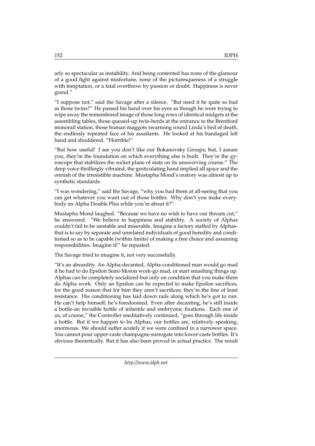arly so spectacular as instability. And being contented has none of the glamour of a good fight against misfortune, none of the picturesqueness of a struggle with temptation, or a fatal overthrow by passion or doubt. Happiness is never grand."

"I suppose not," said the Savage after a silence. "But need it be quite so bad as those twins?" He passed his hand over his eyes as though he were trying to wipe away the remembered image of those long rows of identical midgets at the assembling tables, those queued-up twin-herds at the entrance to the Brentford monorail station, those human maggots swarming round Linda's bed of death, the endlessly repeated face of his assailants. He looked at his bandaged left hand and shuddered. "Horrible!"

"But how useful! I see you don't like our Bokanovsky Groups; but, I assure you, they're the foundation on which everything else is built. They're the gyroscope that stabilizes the rocket plane of state on its unswerving course." The deep voice thrillingly vibrated; the gesticulating hand implied all space and the onrush of the irresistible machine. Mustapha Mond's oratory was almost up to synthetic standards.

"I was wondering," said the Savage, "why you had them at all-seeing that you can get whatever you want out of those bottles. Why don't you make everybody an Alpha Double Plus while you're about it?"

Mustapha Mond laughed. "Because we have no wish to have our throats cut," he answered. "We believe in happiness and stability. A society of Alphas couldn't fail to be unstable and miserable. Imagine a factory staffed by Alphasthat is to say by separate and unrelated individuals of good heredity and conditioned so as to be capable (within limits) of making a free choice and assuming responsibilities. Imagine it!" he repeated.

The Savage tried to imagine it, not very successfully.

"It's an absurdity. An Alpha-decanted, Alpha-conditioned man would go mad if he had to do Epsilon Semi-Moron work-go mad, or start smashing things up. Alphas can be completely socialized-but only on condition that you make them do Alpha work. Only an Epsilon can be expected to make Epsilon sacrifices, for the good reason that for him they aren't sacrifices; they're the line of least resistance. His conditioning has laid down rails along which he's got to run. He can't help himself; he's foredoomed. Even after decanting, he's still inside a bottle-an invisible bottle of infantile and embryonic fixations. Each one of us, of course," the Controller meditatively continued, "goes through life inside a bottle. But if we happen to be Alphas, our bottles are, relatively speaking, enormous. We should suffer acutely if we were confined in a narrower space. You cannot pour upper-caste champagne-surrogate into lower-caste bottles. It's obvious theoretically. But it has also been proved in actual practice. The result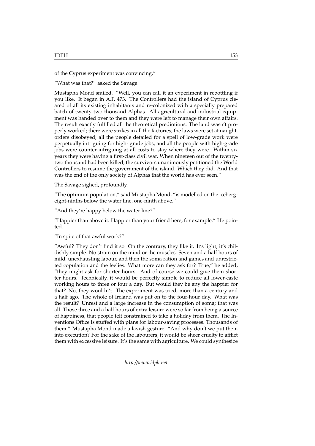of the Cyprus experiment was convincing."

"What was that?" asked the Savage.

Mustapha Mond smiled. "Well, you can call it an experiment in rebottling if you like. It began in A.F. 473. The Controllers had the island of Cyprus cleared of all its existing inhabitants and re-colonized with a specially prepared batch of twenty-two thousand Alphas. All agricultural and industrial equipment was handed over to them and they were left to manage their own affairs. The result exactly fulfilled all the theoretical prediotions. The land wasn't properly worked; there were strikes in all the factories; the laws were set at naught, orders disobeyed; all the people detailed for a spell of low-grade work were perpetually intriguing for high- grade jobs, and all the people with high-grade jobs were counter-intriguing at all costs to stay where they were. Within six years they were having a first-class civil war. When nineteen out of the twentytwo thousand had been killed, the survivors unanimously petitioned the World Controllers to resume the government of the island. Which they did. And that was the end of the only society of Alphas that the world has ever seen."

The Savage sighed, profoundly.

"The optimum population," said Mustapha Mond, "is modelled on the icebergeight-ninths below the water line, one-ninth above."

"And they're happy below the water line?"

"Happier than above it. Happier than your friend here, for example." He pointed.

"In spite of that awful work?"

"Awful? They don't find it so. On the contrary, they like it. It's light, it's childishly simple. No strain on the mind or the muscles. Seven and a half hours of mild, unexhausting labour, and then the soma ration and games and unrestricted copulation and the feelies. What more can they ask for? True," he added, "they might ask for shorter hours. And of course we could give them shorter hours. Technically, it would be perfectly simple to reduce all lower-caste working hours to three or four a day. But would they be any the happier for that? No, they wouldn't. The experiment was tried, more than a century and a half ago. The whole of Ireland was put on to the four-hour day. What was the result? Unrest and a large increase in the consumption of soma; that was all. Those three and a half hours of extra leisure were so far from being a source of happiness, that people felt constrained to take a holiday from them. The Inventions Office is stuffed with plans for labour-saving processes. Thousands of them." Mustapha Mond made a lavish gesture. "And why don't we put them into execution? For the sake of the labourers; it would be sheer cruelty to afflict them with excessive leisure. It's the same with agriculture. We could synthesize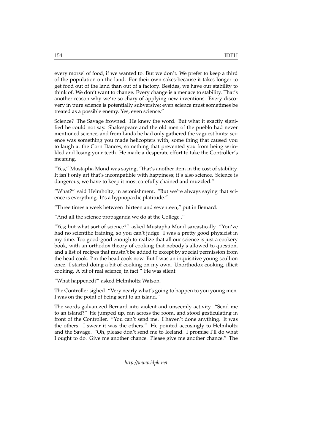every morsel of food, if we wanted to. But we don't. We prefer to keep a third of the population on the land. For their own sakes-because it takes longer to get food out of the land than out of a factory. Besides, we have our stability to think of. We don't want to change. Every change is a menace to stability. That's another reason why we're so chary of applying new inventions. Every discovery in pure science is potentially subversive; even science must sometimes be treated as a possible enemy. Yes, even science."

Science? The Savage frowned. He knew the word. But what it exactly signified he could not say. Shakespeare and the old men of the pueblo had never mentioned science, and from Linda he had only gathered the vaguest hints: science was something you made helicopters with, some thing that caused you to laugh at the Corn Dances, something that prevented you from being wrinkled and losing your teeth. He made a desperate effort to take the Controller's meaning.

"Yes," Mustapha Mond was saying, "that's another item in the cost of stability. It isn't only art that's incompatible with happiness; it's also science. Science is dangerous; we have to keep it most carefully chained and muzzled."

"What?" said Helmholtz, in astonishment. "But we're always saying that science is everything. It's a hypnopædic platitude."

"Three times a week between thirteen and seventeen," put in Bemard.

"And all the science propaganda we do at the College ."

"Yes; but what sort of science?" asked Mustapha Mond sarcastically. "You've had no scientific training, so you can't judge. I was a pretty good physicist in my time. Too good-good enough to realize that all our science is just a cookery book, with an orthodox theory of cooking that nobody's allowed to question, and a list of recipes that mustn't be added to except by special permission from the head cook. I'm the head cook now. But I was an inquisitive young scullion once. I started doing a bit of cooking on my own. Unorthodox cooking, illicit cooking. A bit of real science, in fact." He was silent.

"What happened?" asked Helmholtz Watson.

The Controller sighed. "Very nearly what's going to happen to you young men. I was on the point of being sent to an island."

The words galvanized Bernard into violent and unseemly activity. "Send me to an island?" He jumped up, ran across the room, and stood gesticulating in front of the Controller. "You can't send me. I haven't done anything. lt was the others. I swear it was the others." He pointed accusingly to Helmholtz and the Savage. "Oh, please don't send me to Iceland. I promise I'll do what I ought to do. Give me another chance. Please give me another chance." The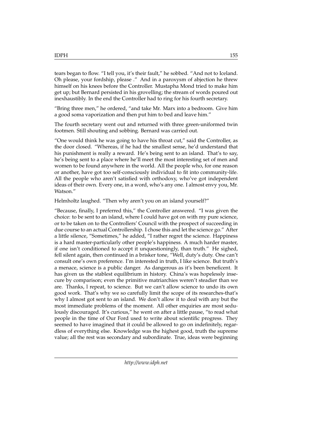tears began to flow. "I tell you, it's their fault," he sobbed. "And not to Iceland. Oh please, your fordship, please ." And in a paroxysm of abjection he threw himself on his knees before the Controller. Mustapha Mond tried to make him get up; but Bernard persisted in his grovelling; the stream of words poured out inexhaustibly. In the end the Controller had to ring for his fourth secretary.

"Bring three men," he ordered, "and take Mr. Marx into a bedroom. Give him a good soma vaporization and then put him to bed and leave him."

The fourth secretary went out and returned with three green-uniformed twin footmen. Still shouting and sobbing. Bernard was carried out.

"One would think he was going to have his throat cut," said the Controller, as the door closed. "Whereas, if he had the smallest sense, he'd understand that his punishment is really a reward. He's being sent to an island. That's to say, he's being sent to a place where he'll meet the most interesting set of men and women to be found anywhere in the world. All the people who, for one reason or another, have got too self-consciously individual to fit into community-life. All the people who aren't satisfied with orthodoxy, who've got independent ideas of their own. Every one, in a word, who's any one. I almost envy you, Mr. Watson."

Helmholtz laughed. "Then why aren't you on an island yourself?"

"Because, finally, I preferred this," the Controller answered. "I was given the choice: to be sent to an island, where I could have got on with my pure science, or to be taken on to the Controllers' Council with the prospect of succeeding in due course to an actual Controllership. I chose this and let the science go." After a little silence, "Sometimes," he added, "I rather regret the science. Happiness is a hard master-particularly other people's happiness. A much harder master, if one isn't conditioned to accept it unquestioningly, than truth." He sighed, fell silent again, then continued in a brisker tone, "Well, duty's duty. One can't consult one's own preference. I'm interested in truth, I like science. But truth's a menace, science is a public danger. As dangerous as it's been beneficent. It has given us the stablest equilibrium in history. China's was hopelessly insecure by comparison; even the primitive matriarchies weren't steadier than we are. Thanks, l repeat, to science. But we can't allow science to undo its own good work. That's why we so carefully limit the scope of its researches-that's why I almost got sent to an island. We don't allow it to deal with any but the most immediate problems of the moment. All other enquiries are most sedulously discouraged. It's curious," he went on after a little pause, "to read what people in the time of Our Ford used to write about scientific progress. They seemed to have imagined that it could be allowed to go on indefinitely, regardless of everything else. Knowledge was the highest good, truth the supreme value; all the rest was secondary and subordinate. True, ideas were beginning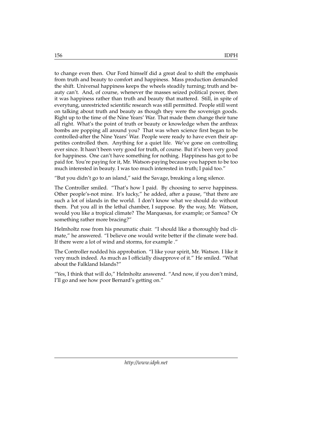to change even then. Our Ford himself did a great deal to shift the emphasis from truth and beauty to comfort and happiness. Mass production demanded the shift. Universal happiness keeps the wheels steadily turning; truth and beauty can't. And, of course, whenever the masses seized political power, then it was happiness rather than truth and beauty that mattered. Still, in spite of everytung, unrestricted scientific research was still permitted. People still went on talking about truth and beauty as though they were the sovereign goods. Right up to the time of the Nine Years' War. That made them change their tune all right. What's the point of truth or beauty or knowledge when the anthrax bombs are popping all around you? That was when science first began to be controlled-after the Nine Years' War. People were ready to have even their appetites controlled then. Anything for a quiet life. We've gone on controlling ever since. It hasn't been very good for truth, of course. But it's been very good for happiness. One can't have something for nothing. Happiness has got to be paid for. You're paying for it, Mr. Watson-paying because you happen to be too much interested in beauty. I was too much interested in truth; I paid too."

"But you didn't go to an island," said the Savage, breaking a long silence.

The Controller smiled. "That's how I paid. By choosing to serve happiness. Other people's-not mine. It's lucky," he added, after a pause, "that there are such a lot of islands in the world. I don't know what we should do without them. Put you all in the lethal chamber, I suppose. By the way, Mr. Watson, would you like a tropical climate? The Marquesas, for example; or Samoa? Or something rather more bracing?"

Helmholtz rose from his pneumatic chair. "I should like a thoroughly bad climate," he answered. "I believe one would write better if the climate were bad. If there were a lot of wind and storms, for example ."

The Controller nodded his approbation. "I like your spirit, Mr. Watson. I like it very much indeed. As much as I officially disapprove of it." He smiled. "What about the Falkland Islands?"

"Yes, I think that will do," Helmholtz answered. "And now, if you don't mind, I'll go and see how poor Bernard's getting on."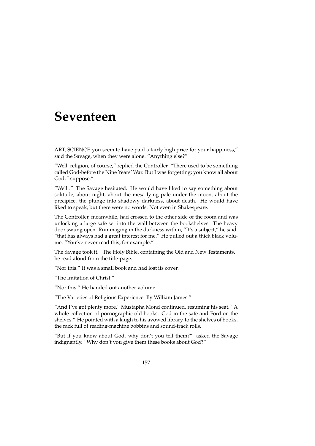### **Seventeen**

ART, SCIENCE-you seem to have paid a fairly high price for your happiness," said the Savage, when they were alone. "Anything else?"

"Well, religion, of course," replied the Controller. "There used to be something called God-before the Nine Years' War. But I was forgetting; you know all about God, I suppose."

"Well ." The Savage hesitated. He would have liked to say something about solitude, about night, about the mesa lying pale under the moon, about the precipice, the plunge into shadowy darkness, about death. He would have liked to speak; but there were no words. Not even in Shakespeare.

The Controller, meanwhile, had crossed to the other side of the room and was unlocking a large safe set into the wall between the bookshelves. The heavy door swung open. Rummaging in the darkness within, "It's a subject," he said, "that has always had a great interest for me." He pulled out a thick black volume. "You've never read this, for example."

The Savage took it. "The Holy Bible, containing the Old and New Testaments," he read aloud from the title-page.

"Nor this." It was a small book and had lost its cover.

"The Imitation of Christ."

"Nor this." He handed out another volume.

"The Varieties of Religious Experience. By William James."

"And I've got plenty more," Mustapha Mond continued, resuming his seat. "A whole collection of pornographic old books. God in the safe and Ford on the shelves." He pointed with a laugh to his avowed library-to the shelves of books, the rack full of reading-machine bobbins and sound-track rolls.

"But if you know about God, why don't you tell them?" asked the Savage indignantly. "Why don't you give them these books about God?"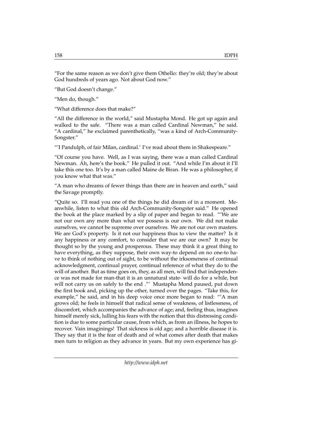"For the same reason as we don't give them Othello: they're old; they're about God hundreds of years ago. Not about God now."

"But God doesn't change."

"Men do, though."

"What difference does that make?"

"All the difference in the world," said Mustapha Mond. He got up again and walked to the safe. "There was a man called Cardinal Newman," he said. "A cardinal," he exclaimed parenthetically, "was a kind of Arch-Community-Songster."

"'I Pandulph, of fair Milan, cardinal.' I've read about them in Shakespeare."

"Of course you have. Well, as I was saying, there was a man called Cardinal Newman. Ah, here's the book." He pulled it out. "And while I'm about it I'll take this one too. It's by a man called Maine de Biran. He was a philosopher, if you know what that was."

"A man who dreams of fewer things than there are in heaven and earth," said the Savage promptly.

"Quite so. I'll read you one of the things he did dream of in a moment. Meanwhile, listen to what this old Arch-Community-Songster said." He opened the book at the place marked by a slip of paper and began to read. "'We are not our own any more than what we possess is our own. We did not make ourselves, we cannot be supreme over ourselves. We are not our own masters. We are God's property. Is it not our happiness thus to view the matter? Is it any happiness or any comfort, to consider that we are our own? It may be thought so by the young and prosperous. These may think it a great thing to have everything, as they suppose, their own way-to depend on no one-to have to think of nothing out of sight, to be without the irksomeness of continual acknowledgment, continual prayer, continual reference of what they do to the will of another. But as time goes on, they, as all men, will find that independence was not made for man-that it is an unnatural state- will do for a while, but will not carry us on safely to the end ."' Mustapha Mond paused, put down the first book and, picking up the other, turned over the pages. "Take this, for example," he said, and in his deep voice once more began to read: "'A man grows old; he feels in himself that radical sense of weakness, of listlessness, of discomfort, which accompanies the advance of age; and, feeling thus, imagines himself merely sick, lulling his fears with the notion that this distressing condition is due to some particular cause, from which, as from an illness, he hopes to recover. Vain imaginings! That sickness is old age; and a horrible disease it is. They say that it is the fear of death and of what comes after death that makes men turn to religion as they advance in years. But my own experience has gi-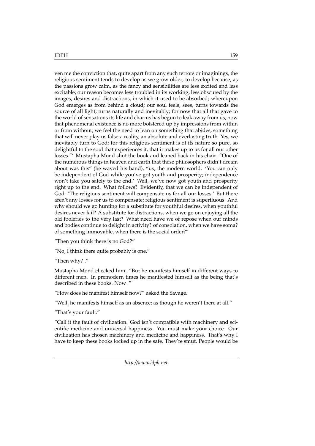ven me the conviction that, quite apart from any such terrors or imaginings, the religious sentiment tends to develop as we grow older; to develop because, as the passions grow calm, as the fancy and sensibilities are less excited and less excitable, our reason becomes less troubled in its working, less obscured by the images, desires and distractions, in which it used to be absorbed; whereupon God emerges as from behind a cloud; our soul feels, sees, turns towards the source of all light; turns naturally and inevitably; for now that all that gave to the world of sensations its life and charms has begun to leak away from us, now that phenomenal existence is no more bolstered up by impressions from within or from without, we feel the need to lean on something that abides, something that will never play us false-a reality, an absolute and everlasting truth. Yes, we inevitably turn to God; for this religious sentiment is of its nature so pure, so delightful to the soul that experiences it, that it makes up to us for all our other losses."' Mustapha Mond shut the book and leaned back in his chair. "One of the numerous things in heaven and earth that these philosophers didn't dream about was this" (he waved his hand), "us, the modern world. 'You can only be independent of God while you've got youth and prosperity; independence won't take you safely to the end.' Well, we've now got youth and prosperity right up to the end. What follows? Evidently, that we can be independent of God. 'The religious sentiment will compensate us for all our losses.' But there aren't any losses for us to compensate; religious sentiment is superfluous. And why should we go hunting for a substitute for youthful desires, when youthful desires never fail? A substitute for distractions, when we go on enjoying all the old fooleries to the very last? What need have we of repose when our minds and bodies continue to delight in activity? of consolation, when we have soma? of something immovable, when there is the social order?"

"Then you think there is no God?"

"No, I think there quite probably is one."

"Then why? ."

Mustapha Mond checked him. "But he manifests himself in different ways to different men. In premodern times he manifested himself as the being that's described in these books. Now ."

"How does he manifest himself now?" asked the Savage.

"Well, he manifests himself as an absence; as though he weren't there at all."

"That's your fault."

"Call it the fault of civilization. God isn't compatible with machinery and scientific medicine and universal happiness. You must make your choice. Our civilization has chosen machinery and medicine and happiness. That's why I have to keep these books locked up in the safe. They're smut. People would be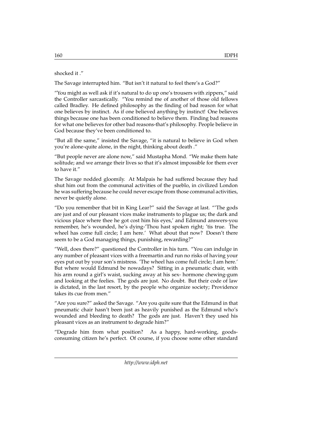#### shocked it ."

The Savage interrupted him. "But isn't it natural to feel there's a God?"

"You might as well ask if it's natural to do up one's trousers with zippers," said the Controller sarcastically. "You remind me of another of those old fellows called Bradley. He defined philosophy as the finding of bad reason for what one believes by instinct. As if one believed anything by instinct! One believes things because one has been conditioned to believe them. Finding bad reasons for what one believes for other bad reasons-that's philosophy. People believe in God because they've been conditioned to.

"But all the same," insisted the Savage, "it is natural to believe in God when you're alone-quite alone, in the night, thinking about death ."

"But people never are alone now," said Mustapha Mond. "We make them hate solitude; and we arrange their lives so that it's almost impossible for them ever to have it."

The Savage nodded gloomily. At Malpais he had suffered because they had shut him out from the communal activities of the pueblo, in civilized London he was suffering because he could never escape from those communal activities, never be quietly alone.

"Do you remember that bit in King Lear?" said the Savage at last. "'The gods are just and of our pleasant vices make instruments to plague us; the dark and vicious place where thee he got cost him his eyes,' and Edmund answers-you remember, he's wounded, he's dying-'Thou hast spoken right; 'tis true. The wheel has come full circle; I am here.' What about that now? Doesn't there seem to be a God managing things, punishing, rewarding?"

"Well, does there?" questioned the Controller in his turn. "You can indulge in any number of pleasant vices with a freemartin and run no risks of having your eyes put out by your son's mistress. 'The wheel has come full circle; I am here.' But where would Edmund be nowadays? Sitting in a pneumatic chair, with his arm round a girl's waist, sucking away at his sex- hormone chewing-gum and looking at the feelies. The gods are just. No doubt. But their code of law is dictated, in the last resort, by the people who organize society; Providence takes its cue from men."

"Are you sure?" asked the Savage. "Are you quite sure that the Edmund in that pneumatic chair hasn't been just as heavily punished as the Edmund who's wounded and bleeding to death? The gods are just. Haven't they used his pleasant vices as an instrument to degrade him?"

"Degrade him from what position? As a happy, hard-working, goodsconsuming citizen he's perfect. Of course, if you choose some other standard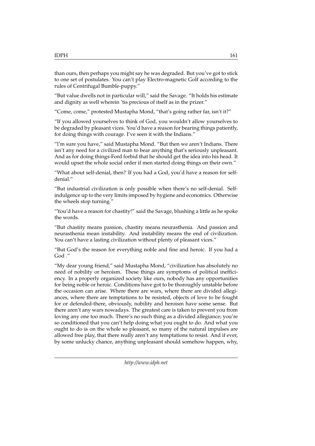than ours, then perhaps you might say he was degraded. But you've got to stick to one set of postulates. You can't play Electro-magnetic Golf according to the rules of Centrifugal Bumble-puppy."

"But value dwells not in particular will," said the Savage. "It holds his estimate and dignity as well wherein 'tis precious of itself as in the prizer."

"Come, come," protested Mustapha Mond, "that's going rather far, isn't it?"

"If you allowed yourselves to think of God, you wouldn't allow yourselves to be degraded by pleasant vices. You'd have a reason for bearing things patiently, for doing things with courage. I've seen it with the Indians."

"l'm sure you have," said Mustapha Mond. "But then we aren't Indians. There isn't any need for a civilized man to bear anything that's seriously unpleasant. And as for doing things-Ford forbid that he should get the idea into his head. It would upset the whole social order if men started doing things on their own."

"What about self-denial, then? If you had a God, you'd have a reason for selfdenial."

"But industrial civilization is only possible when there's no self-denial. Selfindulgence up to the very limits imposed by hygiene and economics. Otherwise the wheels stop turning."

"You'd have a reason for chastity!" said the Savage, blushing a little as he spoke the words.

"But chastity means passion, chastity means neurasthenia. And passion and neurasthenia mean instability. And instability means the end of civilization. You can't have a lasting civilization without plenty of pleasant vices."

"But God's the reason for everything noble and fine and heroic. If you had a God ."

"My dear young friend," said Mustapha Mond, "civilization has absolutely no need of nobility or heroism. These things are symptoms of political inefficiency. In a properly organized society like ours, nobody has any opportunities for being noble or heroic. Conditions have got to be thoroughly unstable before the occasion can arise. Where there are wars, where there are divided allegiances, where there are temptations to be resisted, objects of love to be fought for or defended-there, obviously, nobility and heroism have some sense. But there aren't any wars nowadays. The greatest care is taken to prevent you from loving any one too much. There's no such thing as a divided allegiance; you're so conditioned that you can't help doing what you ought to do. And what you ought to do is on the whole so pleasant, so many of the natural impulses are allowed free play, that there really aren't any temptations to resist. And if ever, by some unlucky chance, anything unpleasant should somehow happen, why,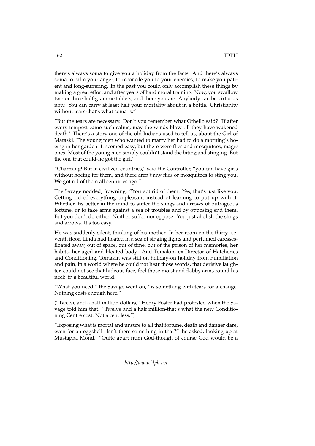there's always soma to give you a holiday from the facts. And there's always soma to calm your anger, to reconcile you to your enemies, to make you patient and long-suffering. In the past you could only accomplish these things by making a great effort and after years of hard moral training. Now, you swallow two or three half-gramme tablets, and there you are. Anybody can be virtuous now. You can carry at least half your mortality about in a bottle. Christianity without tears-that's what soma is."

"But the tears are necessary. Don't you remember what Othello said? 'If after every tempest came such calms, may the winds blow till they have wakened death.' There's a story one of the old Indians used to tell us, about the Girl of Mátaski. The young men who wanted to marry her had to do a morning's hoeing in her garden. It seemed easy; but there were flies and mosquitoes, magic ones. Most of the young men simply couldn't stand the biting and stinging. But the one that could-he got the girl."

"Charming! But in civilized countries," said the Controller, "you can have girls without hoeing for them, and there aren't any flies or mosquitoes to sting you. We got rid of them all centuries ago."

The Savage nodded, frowning. "You got rid of them. Yes, that's just like you. Getting rid of everytfung unpleasant instead of learning to put up with it. Whether 'tis better in the mind to suffer the slings and arrows of outrageous fortune, or to take arms against a sea of troubles and by opposing end them. But you don't do either. Neither suffer nor oppose. You just abolish the slings and arrows. It's too easy."

He was suddenly silent, thinking of his mother. In her room on the thirty- seventh floor, Linda had floated in a sea of singing lights and perfumed caressesfloated away, out of space, out of time, out of the prison of her memories, her habits, her aged and bloated body. And Tomakin, ex-Director of Hatcheries and Conditioning, Tomakin was still on holiday-on holiday from humiliation and pain, in a world where he could not hear those words, that derisive laughter, could not see that hideous face, feel those moist and flabby arms round his neck, in a beautiful world.

"What you need," the Savage went on, "is something with tears for a change. Nothing costs enough here."

("Twelve and a half million dollars," Henry Foster had protested when the Savage told him that. "Twelve and a half million-that's what the new Conditioning Centre cost. Not a cent less.")

"Exposing what is mortal and unsure to all that fortune, death and danger dare, even for an eggshell. Isn't there something in that?" he asked, looking up at Mustapha Mond. "Quite apart from God-though of course God would be a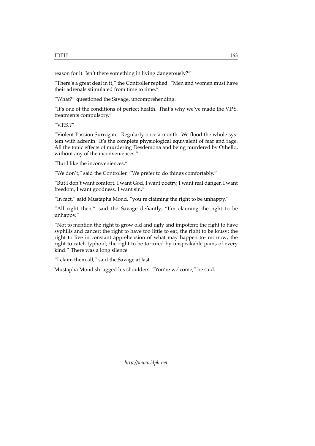reason for it. Isn't there something in living dangerously?"

"There's a great deal in it," the Controller replied. "Men and women must have their adrenals stimulated from time to time."

"What?" questioned the Savage, uncomprehending.

"It's one of the conditions of perfect health. That's why we've made the V.P.S. treatments compulsory."

"V.P.S.?"

"Violent Passion Surrogate. Regularly once a month. We flood the whole system with adrenin. It's the complete physiological equivalent of fear and rage. All the tonic effects of murdering Desdemona and being murdered by Othello, without any of the inconveniences."

"But I like the inconveniences."

"We don't," said the Controller. "We prefer to do things comfortably."

"But I don't want comfort. I want God, I want poetry, I want real danger, I want freedom, I want goodness. I want sin."

"In fact," said Mustapha Mond, "you're claiming the right to be unhappy."

"All right then," said the Savage defiantly, "I'm claiming the nght to be unhappy."

"Not to mention the right to grow old and ugly and impotent; the right to have syphilis and cancer; the right to have too little to eat; the right to be lousy; the right to live in constant apprehension of what may happen to- morrow; the right to catch typhoid; the right to be tortured by unspeakable pains of every kind." There was a long silence.

"I claim them all," said the Savage at last.

Mustapha Mond shrugged his shoulders. "You're welcome," he said.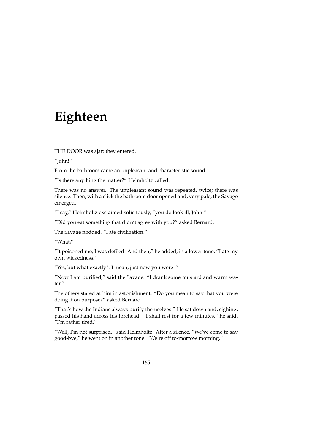# **Eighteen**

THE DOOR was ajar; they entered.

"John!"

From the bathroom came an unpleasant and characteristic sound.

"Is there anything the matter?" Helmholtz called.

There was no answer. The unpleasant sound was repeated, twice; there was silence. Then, with a click the bathroom door opened and, very pale, the Savage emerged.

"I say," Helmholtz exclaimed solicitously, "you do look ill, John!"

"Did you eat something that didn't agree with you?" asked Bernard.

The Savage nodded. "I ate civilization."

"What?"

"It poisoned me; I was defiled. And then," he added, in a lower tone, "I ate my own wickedness."

"Yes, but what exactly?. I mean, just now you were ."

"Now I am purified," said the Savage. "I drank some mustard and warm water."

The others stared at him in astonishment. "Do you mean to say that you were doing it on purpose?" asked Bernard.

"That's how the Indians always purify themselves." He sat down and, sighing, passed his hand across his forehead. "I shall rest for a few minutes," he said. "I'm rather tired."

"Well, I'm not surprised," said Helmholtz. After a silence, "We've come to say good-bye," he went on in another tone. "We're off to-morrow morning."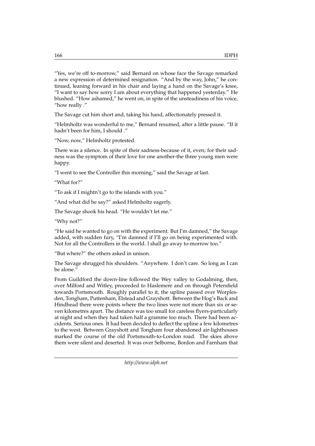"Yes, we're off to-morrow," said Bernard on whose face the Savage remarked a new expression of determined resignation. "And by the way, John," he continued, leaning forward in his chair and laying a hand on the Savage's knee, "I want to say how sorry I am about everything that happened yesterday." He blushed. "How ashamed," he went on, in spite of the unsteadiness of his voice, "how really ."

The Savage cut him short and, taking his hand, affectionately pressed it.

"Helmholtz was wonderful to me," Bernard resumed, after a little pause. "If it hadn't been for him, I should ."

"Now, now," Helmholtz protested.

There was a silence. In spite of their sadness-because of it, even; for their sadness was the symptom of their love for one another-the three young men were happy.

"I went to see the Controller this morning," said the Savage at last.

"What for?"

"To ask if I mightn't go to the islands with you."

"And what did he say?" asked Helmholtz eagerly.

The Savage shook his head. "He wouldn't let me."

"Why not?"

"He said he wanted to go on with the experiment. But I'm damned," the Savage added, with sudden fury, "I'm damned if I'll go on being experimented with. Not for all the Controllers in the world. l shall go away to-morrow too."

"But where?" the others asked in unison.

The Savage shrugged his shoulders. "Anywhere. I don't care. So long as I can be alone."

From Guildford the down-line followed the Wey valley to Godalming, then, over Milford and Witley, proceeded to Haslemere and on through Petersfield towards Portsmouth. Roughly parallel to it, the upline passed over Worplesden, Tongham, Puttenham, Elstead and Grayshott. Between the Hog's Back and Hindhead there were points where the two lines were not more than six or seven kilometres apart. The distance was too small for careless flyers-particularly at night and when they had taken half a gramme too much. There had been accidents. Serious ones. It had been decided to deflect the upline a few kilometres to the west. Between Grayshott and Tongham four abandoned air-lighthouses marked the course of the old Portsmouth-to-London road. The skies above them were silent and deserted. It was over Selborne, Bordon and Farnham that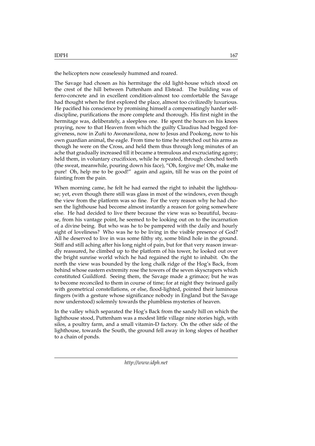### $I$ DPH  $167$

the helicopters now ceaselessly hummed and roared.

The Savage had chosen as his hermitage the old light-house which stood on the crest of the hill between Puttenham and Elstead. The building was of ferro-concrete and in excellent condition-almost too comfortable the Savage had thought when he first explored the place, almost too civilizedly luxurious. He pacified his conscience by promising himself a compensatingly harder selfdiscipline, purifications the more complete and thorough. His first night in the hermitage was, deliberately, a sleepless one. He spent the hours on his knees praying, now to that Heaven from which the guilty Claudius had begged forgiveness, now in Zuñi to Awonawilona, now to Jesus and Pookong, now to his own guardian animal, the eagle. From time to time he stretched out his arms as though he were on the Cross, and held them thus through long minutes of an ache that gradually increased till it became a tremulous and excruciating agony; held them, in voluntary crucifixion, while he repeated, through clenched teeth (the sweat, meanwhile, pouring down his face), "Oh, forgive me! Oh, make me pure! Oh, help me to be good!" again and again, till he was on the point of fainting from the pain.

When morning came, he felt he had earned the right to inhabit the lighthouse; yet, even though there still was glass in most of the windows, even though the view from the platform was so fine. For the very reason why he had chosen the lighthouse had become almost instantly a reason for going somewhere else. He had decided to live there because the view was so beautiful, because, from his vantage point, he seemed to be looking out on to the incarnation of a divine being. But who was he to be pampered with the daily and hourly sight of loveliness? Who was he to be living in the visible presence of God? All he deserved to live in was some filthy sty, some blind hole in the ground. Stiff and still aching after his long night of pain, but for that very reason inwardly reassured, he climbed up to the platform of his tower, he looked out over the bright sunrise world which he had regained the right to inhabit. On the north the view was bounded by the long chalk ridge of the Hog's Back, from behind whose eastern extremity rose the towers of the seven skyscrapers which constituted Guildford. Seeing them, the Savage made a grimace; but he was to become reconciled to them in course of time; for at night they twinued gaily with geometrical constellations, or else, flood-lighted, pointed their luminous fingers (with a gesture whose significance nobody in England but the Savage now understood) solemnly towards the plumbless mysteries of heaven.

In the valley which separated the Hog's Back from the sandy hill on which the lighthouse stood, Puttenham was a modest little village nine stories high, with silos, a poultry farm, and a small vitamin-D factory. On the other side of the lighthouse, towards the South, the ground fell away in long slopes of heather to a chain of ponds.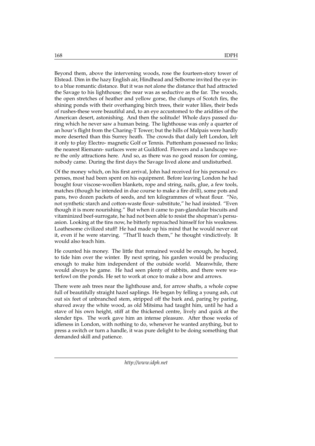Beyond them, above the intervening woods, rose the fourteen-story tower of Elstead. Dim in the hazy English air, Hindhead and Selborne invited the eye into a blue romantic distance. But it was not alone the distance that had attracted the Savage to his lighthouse; the near was as seductive as the far. The woods, the open stretches of heather and yellow gorse, the clumps of Scotch firs, the shining ponds with their overhanging birch trees, their water lilies, their beds of rushes-these were beautiful and, to an eye accustomed to the aridities of the American desert, astonishing. And then the solitude! Whole days passed during which he never saw a human being. The lighthouse was only a quarter of an hour's flight from the Charing-T Tower; but the hills of Malpais were hardly more deserted than this Surrey heath. The crowds that daily left London, left it only to play Electro- magnetic Golf or Tennis. Puttenham possessed no links; the nearest Riemann- surfaces were at Guildford. Flowers and a landscape were the only attractions here. And so, as there was no good reason for coming, nobody came. During the first days the Savage lived alone and undisturbed.

Of the money which, on his first arrival, John had received for his personal expenses, most had been spent on his equipment. Before leaving London he had bought four viscose-woollen blankets, rope and string, nails, glue, a few tools, matches (though he intended in due course to make a fire drill), some pots and pans, two dozen packets of seeds, and ten kilogrammes of wheat flour. "No, not synthetic starch and cotton-waste flour- substitute," he had insisted. "Even though it is more nourishing." But when it came to pan-glandular biscuits and vitaminized beef-surrogate, he had not been able to resist the shopman's persuasion. Looking at the tins now, he bitterly reproached himself for his weakness. Loathesome civilized stuff! He had made up his mind that he would never eat it, even if he were starving. "That'll teach them," he thought vindictively. It would also teach him.

He counted his money. The little that remained would be enough, he hoped, to tide him over the winter. By next spring, his garden would be producing enough to make him independent of the outside world. Meanwhile, there would always be game. He had seen plenty of rabbits, and there were waterfowl on the ponds. He set to work at once to make a bow and arrows.

There were ash trees near the lighthouse and, for arrow shafts, a whole copse full of beautifully straight hazel saplings. He began by felling a young ash, cut out six feet of unbranched stem, stripped off the bark and, paring by paring, shaved away the white wood, as old Mitsima had taught him, until he had a stave of his own height, stiff at the thickened centre, lively and quick at the slender tips. The work gave him an intense pleasure. After those weeks of idleness in London, with nothing to do, whenever he wanted anything, but to press a switch or turn a handle, it was pure delight to be doing something that demanded skill and patience.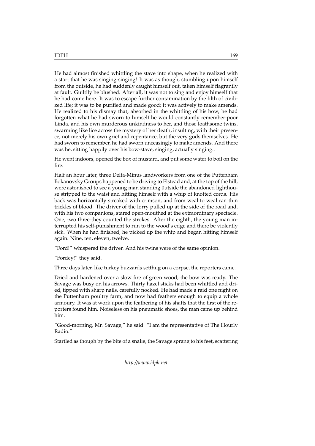He had almost finished whittling the stave into shape, when he realized with a start that he was singing-singing! It was as though, stumbling upon himself from the outside, he had suddenly caught himself out, taken himself flagrantly at fault. Guiltily he blushed. After all, it was not to sing and enjoy himself that he had come here. It was to escape further contamination by the filth of civilized life; it was to be purified and made good; it was actively to make amends. He realized to his dismay that, absorbed in the whittling of his bow, he had forgotten what he had sworn to himself he would constantly remember-poor Linda, and his own murderous unkindness to her, and those loathsome twins, swarming like lice across the mystery of her death, insulting, with their presence, not merely his own grief and repentance, but the very gods themselves. He had sworn to remember, he had sworn unceasingly to make amends. And there was he, sitting happily over his bow-stave, singing, actually singing..

He went indoors, opened the box of mustard, and put some water to boil on the fire.

Half an hour later, three Delta-Minus landworkers from one of the Puttenham Bokanovsky Groups happened to be driving to Elstead and, at the top of the hill, were astonished to see a young man standing 0utside the abandoned lighthouse stripped to the waist and hitting himself with a whip of knotted cords. His back was horizontally streaked with crimson, and from weal to weal ran thin trickles of blood. The driver of the lorry pulled up at the side of the road and, with his two companions, stared open-mouthed at the extraordinary spectacle. One, two three-they counted the strokes. After the eighth, the young man interrupted his self-punishment to run to the wood's edge and there be violently sick. When he had finished, he picked up the whip and began hitting himself again. Nine, ten, eleven, twelve.

"Ford!" whispered the driver. And his twins were of the same opinion.

"Fordey!" they said.

Three days later, like turkey buzzards setthug on a corpse, the reporters came.

Dried and hardened over a slow fire of green wood, the bow was ready. The Savage was busy on his arrows. Thirty hazel sticks had been whittled and dried, tipped with sharp nails, carefully nocked. He had made a raid one night on the Puttenham poultry farm, and now had feathers enough to equip a whole armoury. It was at work upon the feathering of his shafts that the first of the reporters found him. Noiseless on his pneumatic shoes, the man came up behind him.

"Good-morning, Mr. Savage," he said. "I am the representative of The Hourly Radio."

Startled as though by the bite of a snake, the Savage sprang to his feet, scattering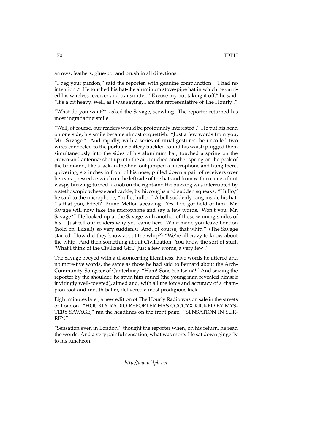arrows, feathers, glue-pot and brush in all directions.

"I beg your pardon," said the reporter, with genuine compunction. "I had no intention ." He touched his hat-the aluminum stove-pipe hat in which he carried his wireless receiver and transmitter. "Excuse my not taking it off," he said. "It's a bit heavy. Well, as I was saying, I am the representative of The Hourly ."

"What do you want?" asked the Savage, scowling. The reporter returned his most ingratiating smile.

"Well, of course, our readers would be profoundly interested ." He put his head on one side, his smile became almost coquettish. "Just a few words from you, Mr. Savage." And rapidly, with a series of ritual gestures, he uncoiled two wires connected to the portable battery buckled round his waist; plugged them simultaneously into the sides of his aluminum hat; touched a spring on the crown-and antennæ shot up into the air; touched another spring on the peak of the brim-and, like a jack-in-the-box, out jumped a microphone and hung there, quivering, six inches in front of his nose; pulled down a pair of receivers over his ears; pressed a switch on the left side of the hat-and from within came a faint waspy buzzing; turned a knob on the right-and the buzzing was interrupted by a stethoscopic wheeze and cackle, by hiccoughs and sudden squeaks. "Hullo," he said to the microphone, "hullo, hullo ." A bell suddenly rang inside his hat. "Is that you, Edzel? Primo Mellon speaking. Yes, I've got hold of him. Mr. Savage will now take the microphone and say a few words. Won't you, Mr. Savage?" He looked up at the Savage with another of those winning smiles of his. "Just tell our readers why you came here. What made you leave London (hold on, Edzel!) so very suddenly. And, of course, that whip." (The Savage started. How did they know about the whip?) "We're all crazy to know about the whip. And then something about Civilization. You know the sort of stuff. 'What I think of the Civilized Girl.' Just a few words, a very few ."

The Savage obeyed with a disconcerting literalness. Five words he uttered and no more-five words, the same as those he had said to Bernard about the Arch-Community-Songster of Canterbury. "Háni! Sons éso tse-ná!" And seizing the reporter by the shoulder, he spun him round (the young man revealed himself invitingly well-covered), aimed and, with all the force and accuracy of a champion foot-and-mouth-baller, delivered a most prodigious kick.

Eight minutes later, a new edition of The Hourly Radio was on sale in the streets of London. "HOURLY RADIO REPORTER HAS COCCYX KICKED BY MYS-TERY SAVAGE," ran the headlines on the front page. "SENSATION IN SUR-REY."

"Sensation even in London," thought the reporter when, on his return, he read the words. And a very painful sensation, what was more. He sat down gingerly to his luncheon.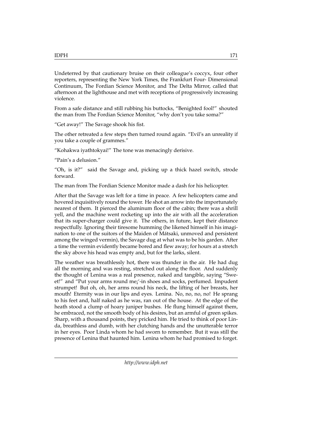Undeterred by that cautionary bruise on their colleague's coccyx, four other reporters, representing the New York Times, the Frankfurt Four- Dimensional Continuum, The Fordian Science Monitor, and The Delta Mirror, called that afternoon at the lighthouse and met with receptions of progressively increasing violence.

From a safe distance and still rubbing his buttocks, "Benighted fool!" shouted the man from The Fordian Science Monitor, "why don't you take soma?"

"Get away!" The Savage shook his fist.

The other retreated a few steps then turned round again. "Evil's an unreality if you take a couple of grammes."

"Kohakwa iyathtokyai!" The tone was menacingly derisive.

"Pain's a delusion."

"Oh, is it?" said the Savage and, picking up a thick hazel switch, strode forward.

The man from The Fordian Science Monitor made a dash for his helicopter.

After that the Savage was left for a time in peace. A few helicopters came and hovered inquisitively round the tower. He shot an arrow into the importunately nearest of them. It pierced the aluminum floor of the cabin; there was a shrill yell, and the machine went rocketing up into the air with all the acceleration that its super-charger could give it. The others, in future, kept their distance respectfully. Ignoring their tiresome humming (he likened himself in his imagination to one of the suitors of the Maiden of Mátsaki, unmoved and persistent among the winged vermin), the Savage dug at what was to be his garden. After a time the vermin evidently became bored and flew away; for hours at a stretch the sky above his head was empty and, but for the larks, silent.

The weather was breathlessly hot, there was thunder in the air. He had dug all the morning and was resting, stretched out along the floor. And suddenly the thought of Lenina was a real presence, naked and tangible, saying "Sweet!" and "Put your arms round me¡'-in shoes and socks, perfumed. Impudent strumpet! But oh, oh, her arms round his neck, the lifting of her breasts, her mouth! Eternity was in our lips and eyes. Lenina. No, no, no, no! He sprang to his feet and, half naked as he was, ran out of the house. At the edge of the heath stood a clump of hoary juniper bushes. He flung himself against them, he embraced, not the smooth body of his desires, but an armful of green spikes. Sharp, with a thousand points, they pricked him. He tried to think of poor Linda, breathless and dumb, with her clutching hands and the unutterable terror in her eyes. Poor Linda whom he had sworn to remember. But it was still the presence of Lenina that haunted him. Lenina whom he had promised to forget.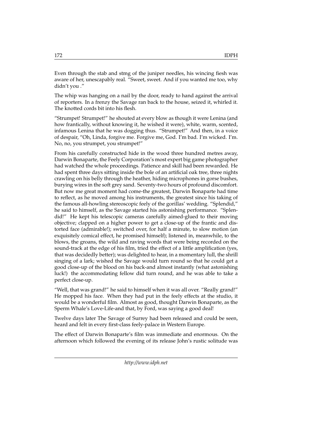Even through the stab and stmg of the juniper needles, his wincing fiesh was aware of her, unescapably real. "Sweet, sweet. And if you wanted me too, why didn't you ."

The whip was hanging on a nail by the door, ready to hand against the arrival of reporters. In a frenzy the Savage ran back to the house, seized it, whirled it. The knotted cords bit into his flesh.

"Strumpet! Strumpet!" he shouted at every blow as though it were Lenina (and how frantically, without knowing it, he wished it were), white, warm, scented, infamous Lenina that he was dogging thus. "Strumpet!" And then, in a voice of despair, "Oh, Linda, forgive me. Forgive me, God. I'm bad. I'm wicked. I'm. No, no, you strumpet, you strumpet!"

From his carefully constructed hide in the wood three hundred metres away, Darwin Bonaparte, the Feely Corporation's most expert big game photographer had watched the whole proceedings. Patience and skill had been rewarded. He had spent three days sitting inside the bole of an artificial oak tree, three nights crawling on his belly through the heather, hiding microphones in gorse bushes, burying wires in the soft grey sand. Seventy-two hours of profound discomfort. But now me great moment had come-the greatest, Darwin Bonaparte had time to reflect, as he moved among his instruments, the greatest since his taking of the famous all-howling stereoscopic feely of the gorillas' wedding. "Splendid," he said to himself, as the Savage started his astonishing performance. "Splendid!" He kept his telescopic cameras carefully aimed-glued to their moving objective; clapped on a higher power to get a close-up of the frantic and distorted face (admirable!); switched over, for half a minute, to slow motion (an exquisitely comical effect, he promised himself); listened in, meanwhile, to the blows, the groans, the wild and raving words that were being recorded on the sound-track at the edge of his film, tried the effect of a little amplification (yes, that was decidedly better); was delighted to hear, in a momentary lull, the shrill singing of a lark; wished the Savage would turn round so that he could get a good close-up of the blood on his back-and almost instantly (what astonishing luck!) the accommodating fellow did turn round, and he was able to take a perfect close-up.

"Well, that was grand!" he said to himself when it was all over. "Really grand!" He mopped his face. When they had put in the feely effects at the studio, it would be a wonderful film. Almost as good, thought Darwin Bonaparte, as the Sperm Whale's Love-Life-and that, by Ford, was saying a good deal!

Twelve days later The Savage of Surrey had been released and could be seen, heard and felt in every first-class feely-palace in Western Europe.

The effect of Darwin Bonaparte's film was immediate and enormous. On the afternoon which followed the evening of its release John's rustic solitude was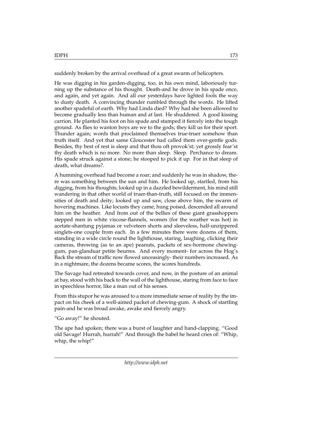### $I$ DPH  $173$

suddenly broken by the arrival overhead of a great swarm of helicopters.

He was digging in his garden-digging, too, in his own mind, laboriously turning up the substance of his thought. Death-and he drove in his spade once, and again, and yet again. And all our yesterdays have lighted fools the way to dusty death. A convincing thunder rumbled through the words. He lifted another spadeful of earth. Why had Linda died? Why had she been allowed to become gradually less than human and at last. He shuddered. A good kissing carrion. He planted his foot on his spade and stamped it fiercely into the tough ground. As flies to wanton boys are we to the gods; they kill us for their sport. Thunder again; words that proclaimed themselves true-truer somehow than truth itself. And yet that same Gloucester had called them ever-gentle gods. Besides, thy best of rest is sleep and that thou oft provok'st; yet grossly fear'st thy death which is no more. No more than sleep. Sleep. Perchance to dream. His spade struck against a stone; he stooped to pick it up. For in that sleep of death, what dreams?.

A humming overhead had become a roar; and suddenly he was in shadow, there was something between the sun and him. He looked up, startled, from his digging, from his thoughts; looked up in a dazzled bewilderment, his mind still wandering in that other world of truer-than-truth, still focused on the immensities of death and deity; looked up and saw, close above him, the swarm of hovering machines. Like locusts they came, hung poised, descended all around him on the heather. And from out of the bellies of these giant grasshoppers stepped men in white viscose-flannels, women (for the weather was hot) in acetate-shantung pyjamas or velveteen shorts and sleeveless, half-unzippered singlets-one couple from each. In a few minutes there were dozens of them, standing in a wide circle round the lighthouse, staring, laughing, clicking their cameras, throwing (as to an ape) peanuts, packets of sex-hormone chewinggum, pan-glanduar petite beurres. And every moment- for across the Hog's Back the stream of traffic now flowed unceasingly- their numbers increased. As in a nightmare, the dozens became scores, the scores hundreds.

The Savage had retreated towards cover, and now, in the posture of an animal at bay, stood with his back to the wall of the lighthouse, staring from face to face in speechless horror, like a man out of his senses.

From this stupor he was aroused to a more immediate sense of reality by the impact on his cheek of a well-aimed packet of chewing-gum. A shock of startling pain-and he was broad awake, awake and fiercely angry.

"Go away!" he shouted.

The ape had spoken; there was a burst of laughter and hand-clapping. "Good old Savage! Hurrah, hurrah!" And through the babel he heard cries of: "Whip, whip, the whip!"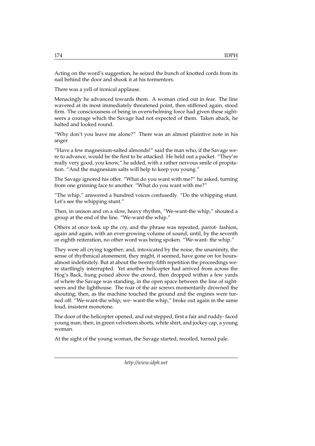Acting on the word's suggestion, he seized the bunch of knotted cords from its nail behind the door and shook it at his tormentors.

There was a yell of ironical applause.

Menacingly he advanced towards them. A woman cried out in fear. The line wavered at its most immediately threatened point, then stiffened again, stood firm. The consciousness of being in overwhelming force had given these sightseers a courage which the Savage had not expected of them. Taken aback, he halted and looked round.

"Why don't you leave me alone?" There was an almost plaintive note in his anger.

"Have a few magnesium-salted almonds!" said the man who, if the Savage were to advance, would be the first to be attacked. He held out a packet. "They're really very good, you know," he added, with a rather nervous smile of propitation. "And the magnesium salts will help to keep you young."

The Savage ignored his offer. "What do you want with me?" he asked, turning from one grinning face to another. "What do you want with me?"

"The whip," answered a hundred voices confusedly. "Do the whipping stunt. Let's see the whipping stunt."

Then, in unison and on a slow, heavy rhythm, "We-want-the whip," shouted a group at the end of the line. "We-want-the whip."

Others at once took up the cry, and the phrase was repeated, parrot- fashion, again and again, with an ever-growing volume of sound, until, by the seventh or eighth reiteration, no other word was being spoken. "We-want- the whip."

They were all crying together; and, intoxicated by the noise, the unanimity, the sense of rhythmical atonement, they might, it seemed, have gone on for hoursalmost indefinitely. But at about the twenty-fifth repetition the proceedings were startlingly interrupted. Yet another helicopter had arrived from across the Hog's Back, hung poised above the crowd, then dropped within a few yards of where the Savage was standing, in the open space between the line of sightseers and the lighthouse. The roar of the air screws momentarily drowned the shouting; then, as the machine touched the ground and the engines were turned off: "We-want-the whip; we- want-the whip," broke out again in the same loud, insistent monotone.

The door of the helicopter opened, and out stepped, first a fair and ruddy- faced young man, then, in green velveteen shorts, white shirt, and jockey cap, a young woman.

At the sight of the young woman, the Savage started, recoiled, turned pale.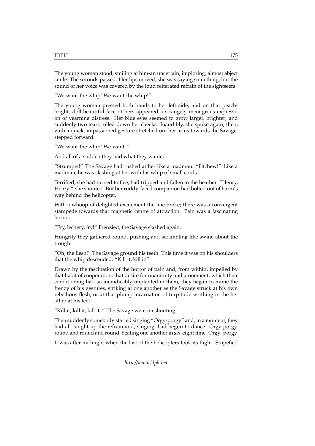The young woman stood, smiling at him-an uncertain, imploring, almost abject smile. The seconds passed. Her lips moved, she was saying something; but the sound of her voice was covered by the loud reiterated refrain of the sightseers.

"We-want-the whip! We-want-the whip!"

The young woman pressed both hands to her left side, and on that peachbright, doll-beautiful face of hers appeared a strangely incongrous expression of yearning distress. Her blue eyes seemed to grow larger, brighter; and suddenly two tears rolled down her cheeks. Inaudibly, she spoke again; then, with a quick, impassioned gesture stretched out her arms towards the Savage, stepped forward.

"We-want-the whip! We-want ."

And all of a sudden they had what they wanted.

"Strumpet!" The Savage had rushed at her like a madman. "Fitchew!" Like a madman, he was slashing at her with his whip of small cords.

Terrified, she had turned to flee, had tripped and fallen in the heather. "Henry, Henry!" she shouted. But her ruddy-faced companion had bolted out of harm's way behind the helicopter.

With a whoop of delighted excitement the line broke; there was a convergent stampede towards that magnetic centre of attraction. Pain was a fascinating horror.

"Fry, lechery, fry!" Frenzied, the Savage slashed again.

Hungrily they gathered round, pushing and scrambling like swine about the trough.

"Oh, the flesh!" The Savage ground his teeth. This time it was on his shoulders that the whip descended. "Kill it, kill it!"

Drawn by the fascination of the horror of pain and, from within, impelled by that habit of cooperation, that desire for unanimity and atonement, which their conditioning had so ineradicably implanted in them, they began to mime the frenzy of his gestures, striking at one another as the Savage struck at his own rebellious flesh, or at that plump incarnation of turpitude writhing in the heather at his feet.

"Kill it, kill it, kill it ." The Savage went on shouting.

Then suddenly somebody started singing "Orgy-porgy" and, in a moment, they had all caught up the refrain and, singing, had begun to dance. Orgy-porgy, round and round and round, beating one another in six-eight time. Orgy- porgy.

It was after midnight when the last of the helicopters took its flight. Stupefied